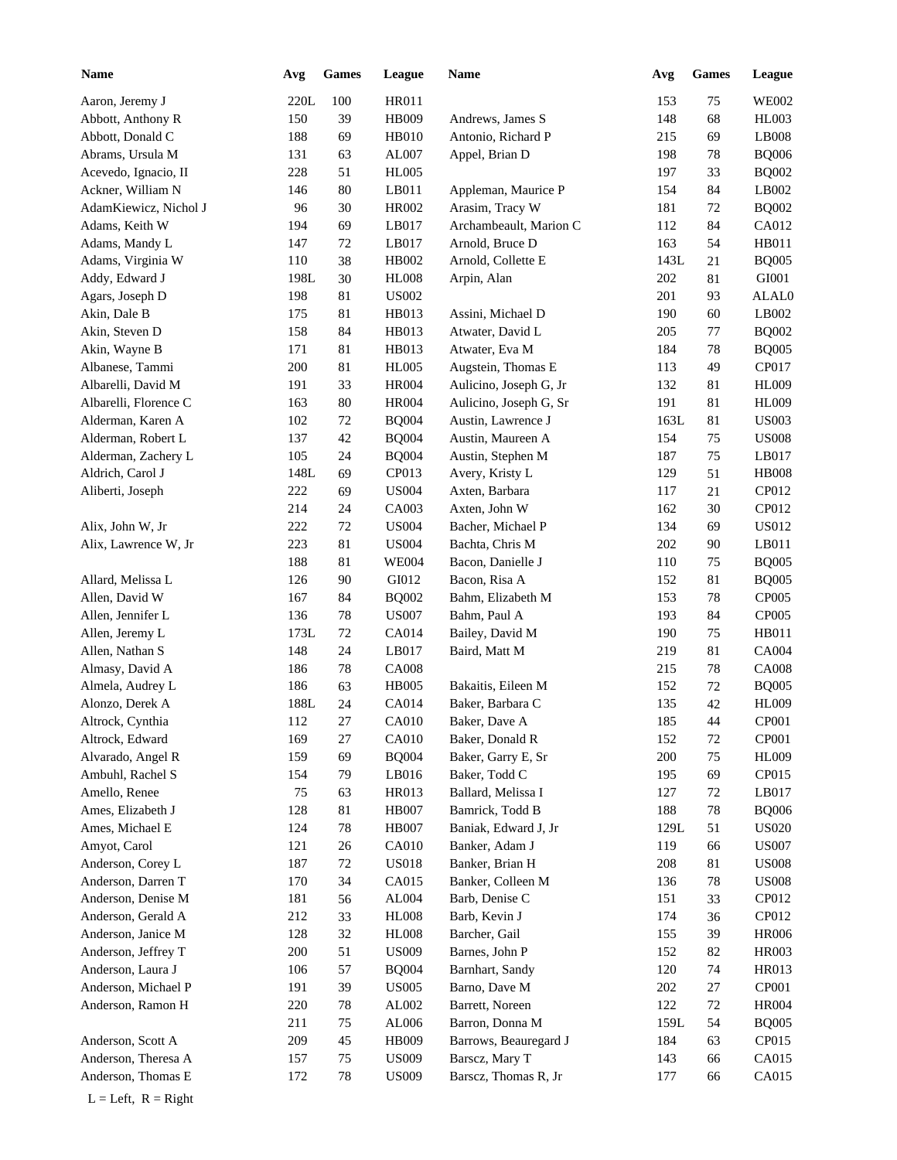| <b>Name</b>           | Avg  | <b>Games</b> | League       | <b>Name</b>            | Avg  | <b>Games</b> | League       |
|-----------------------|------|--------------|--------------|------------------------|------|--------------|--------------|
| Aaron, Jeremy J       | 220L | 100          | HR011        |                        | 153  | 75           | <b>WE002</b> |
| Abbott, Anthony R     | 150  | 39           | HB009        | Andrews, James S       | 148  | 68           | HL003        |
| Abbott, Donald C      | 188  | 69           | HB010        | Antonio, Richard P     | 215  | 69           | LB008        |
| Abrams, Ursula M      | 131  | 63           | AL007        | Appel, Brian D         | 198  | $78\,$       | <b>BQ006</b> |
| Acevedo, Ignacio, II  | 228  | 51           | <b>HL005</b> |                        | 197  | 33           | <b>BQ002</b> |
| Ackner, William N     | 146  | 80           | LB011        | Appleman, Maurice P    | 154  | 84           | LB002        |
| AdamKiewicz, Nichol J | 96   | 30           | HR002        | Arasim, Tracy W        | 181  | $72\,$       | <b>BQ002</b> |
| Adams, Keith W        | 194  | 69           | LB017        | Archambeault, Marion C | 112  | 84           | CA012        |
| Adams, Mandy L        | 147  | 72           | LB017        | Arnold, Bruce D        | 163  | 54           | HB011        |
| Adams, Virginia W     | 110  | 38           | HB002        | Arnold, Collette E     | 143L | 21           | <b>BQ005</b> |
| Addy, Edward J        | 198L | 30           | <b>HL008</b> | Arpin, Alan            | 202  | 81           | GI001        |
| Agars, Joseph D       | 198  | 81           | <b>US002</b> |                        | 201  | 93           | ALAL0        |
| Akin, Dale B          | 175  | 81           | HB013        | Assini, Michael D      | 190  | 60           | LB002        |
| Akin, Steven D        | 158  | 84           | HB013        | Atwater, David L       | 205  | 77           | <b>BQ002</b> |
|                       | 171  | 81           | HB013        | Atwater, Eva M         | 184  | $78\,$       | <b>BQ005</b> |
| Akin, Wayne B         |      |              |              |                        |      |              |              |
| Albanese, Tammi       | 200  | 81           | <b>HL005</b> | Augstein, Thomas E     | 113  | 49           | CP017        |
| Albarelli, David M    | 191  | 33           | <b>HR004</b> | Aulicino, Joseph G, Jr | 132  | 81           | <b>HL009</b> |
| Albarelli, Florence C | 163  | 80           | <b>HR004</b> | Aulicino, Joseph G, Sr | 191  | 81           | <b>HL009</b> |
| Alderman, Karen A     | 102  | $72\,$       | <b>BQ004</b> | Austin, Lawrence J     | 163L | 81           | <b>US003</b> |
| Alderman, Robert L    | 137  | 42           | <b>BQ004</b> | Austin, Maureen A      | 154  | 75           | <b>US008</b> |
| Alderman, Zachery L   | 105  | 24           | <b>BQ004</b> | Austin, Stephen M      | 187  | 75           | LB017        |
| Aldrich, Carol J      | 148L | 69           | CP013        | Avery, Kristy L        | 129  | 51           | <b>HB008</b> |
| Aliberti, Joseph      | 222  | 69           | <b>US004</b> | Axten, Barbara         | 117  | 21           | CP012        |
|                       | 214  | 24           | CA003        | Axten, John W          | 162  | 30           | CP012        |
| Alix, John W, Jr      | 222  | 72           | <b>US004</b> | Bacher, Michael P      | 134  | 69           | <b>US012</b> |
| Alix, Lawrence W, Jr  | 223  | $81\,$       | <b>US004</b> | Bachta, Chris M        | 202  | 90           | LB011        |
|                       | 188  | 81           | <b>WE004</b> | Bacon, Danielle J      | 110  | 75           | <b>BQ005</b> |
| Allard, Melissa L     | 126  | 90           | GI012        | Bacon, Risa A          | 152  | 81           | <b>BQ005</b> |
| Allen, David W        | 167  | 84           | <b>BQ002</b> | Bahm, Elizabeth M      | 153  | 78           | CP005        |
| Allen, Jennifer L     | 136  | 78           | <b>US007</b> | Bahm, Paul A           | 193  | 84           | CP005        |
| Allen, Jeremy L       | 173L | 72           | CA014        | Bailey, David M        | 190  | 75           | HB011        |
| Allen, Nathan S       | 148  | 24           | LB017        | Baird, Matt M          | 219  | 81           | <b>CA004</b> |
| Almasy, David A       | 186  | 78           | <b>CA008</b> |                        | 215  | 78           | <b>CA008</b> |
| Almela, Audrey L      | 186  | 63           | <b>HB005</b> | Bakaitis, Eileen M     | 152  | $72\,$       | <b>BQ005</b> |
| Alonzo, Derek A       | 188L | 24           | CA014        | Baker, Barbara C       | 135  | 42           | <b>HL009</b> |
| Altrock, Cynthia      | 112  | $27\,$       | CA010        | Baker, Dave A          | 185  | 44           | CP001        |
| Altrock, Edward       | 169  | 27           | CA010        | Baker, Donald R        | 152  | 72           | CP001        |
| Alvarado, Angel R     | 159  | 69           | <b>BQ004</b> | Baker, Garry E, Sr     | 200  | 75           | <b>HL009</b> |
| Ambuhl, Rachel S      | 154  | 79           | LB016        | Baker, Todd C          | 195  | 69           | CP015        |
| Amello, Renee         | 75   | 63           | HR013        | Ballard, Melissa I     | 127  | 72           | LB017        |
| Ames, Elizabeth J     | 128  | 81           | <b>HB007</b> | Bamrick, Todd B        | 188  | 78           | <b>BQ006</b> |
| Ames, Michael E       | 124  | 78           | <b>HB007</b> | Baniak, Edward J, Jr   | 129L | 51           | <b>US020</b> |
| Amyot, Carol          | 121  | $26\,$       | CA010        | Banker, Adam J         | 119  | 66           | <b>US007</b> |
| Anderson, Corey L     | 187  | $72\,$       | <b>US018</b> | Banker, Brian H        | 208  | 81           | <b>US008</b> |
| Anderson, Darren T    | 170  | 34           | CA015        | Banker, Colleen M      | 136  | 78           | <b>US008</b> |
|                       |      |              |              |                        |      |              |              |
| Anderson, Denise M    | 181  | 56           | AL004        | Barb, Denise C         | 151  | 33           | CP012        |
| Anderson, Gerald A    | 212  | 33           | <b>HL008</b> | Barb, Kevin J          | 174  | 36           | CP012        |
| Anderson, Janice M    | 128  | 32           | <b>HL008</b> | Barcher, Gail          | 155  | 39           | <b>HR006</b> |
| Anderson, Jeffrey T   | 200  | 51           | <b>US009</b> | Barnes, John P         | 152  | 82           | <b>HR003</b> |
| Anderson, Laura J     | 106  | 57           | <b>BQ004</b> | Barnhart, Sandy        | 120  | 74           | HR013        |
| Anderson, Michael P   | 191  | 39           | <b>US005</b> | Barno, Dave M          | 202  | $27\,$       | CP001        |
| Anderson, Ramon H     | 220  | $78\,$       | AL002        | Barrett, Noreen        | 122  | $72\,$       | <b>HR004</b> |
|                       | 211  | 75           | AL006        | Barron, Donna M        | 159L | 54           | <b>BQ005</b> |
| Anderson, Scott A     | 209  | 45           | HB009        | Barrows, Beauregard J  | 184  | 63           | CP015        |
| Anderson, Theresa A   | 157  | 75           | <b>US009</b> | Barscz, Mary T         | 143  | 66           | CA015        |
| Anderson, Thomas E    | 172  | 78           | <b>US009</b> | Barscz, Thomas R, Jr   | 177  | 66           | CA015        |
| $L = Left, R = Right$ |      |              |              |                        |      |              |              |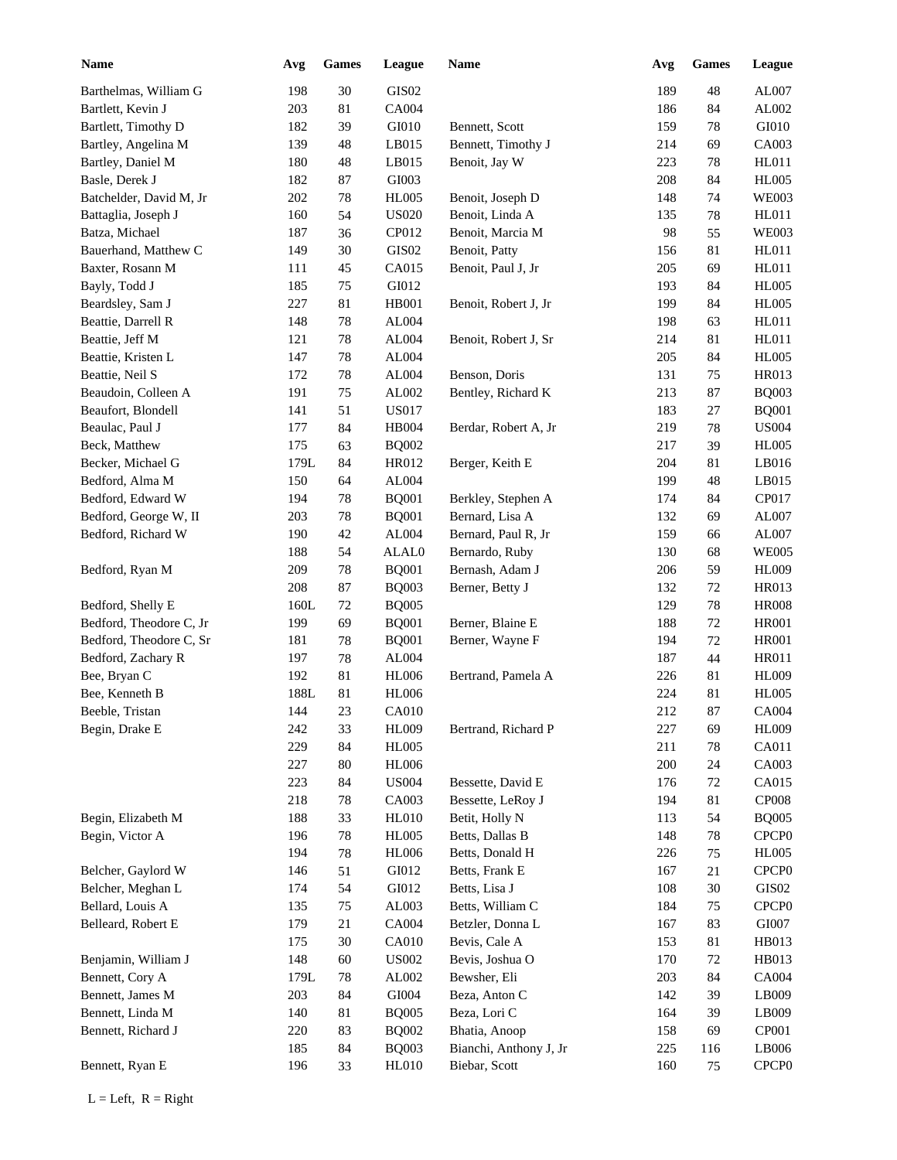| <b>Name</b>             | Avg  | <b>Games</b> | League            | Name                   | Avg | <b>Games</b> | League            |
|-------------------------|------|--------------|-------------------|------------------------|-----|--------------|-------------------|
| Barthelmas, William G   | 198  | 30           | GIS <sub>02</sub> |                        | 189 | 48           | AL007             |
| Bartlett, Kevin J       | 203  | 81           | CA004             |                        | 186 | 84           | AL002             |
| Bartlett, Timothy D     | 182  | 39           | GI010             | Bennett, Scott         | 159 | 78           | GI010             |
| Bartley, Angelina M     | 139  | 48           | LB015             | Bennett, Timothy J     | 214 | 69           | CA003             |
| Bartley, Daniel M       | 180  | 48           | LB015             | Benoit, Jay W          | 223 | 78           | HL011             |
| Basle, Derek J          | 182  | 87           | GI003             |                        | 208 | 84           | <b>HL005</b>      |
| Batchelder, David M, Jr | 202  | 78           | <b>HL005</b>      | Benoit, Joseph D       | 148 | 74           | <b>WE003</b>      |
| Battaglia, Joseph J     | 160  | 54           | <b>US020</b>      | Benoit, Linda A        | 135 | $78\,$       | HL011             |
| Batza, Michael          | 187  | 36           | CP012             | Benoit, Marcia M       | 98  | 55           | <b>WE003</b>      |
| Bauerhand, Matthew C    | 149  | 30           | GIS02             | Benoit, Patty          | 156 | 81           | HL011             |
| Baxter, Rosann M        | 111  | 45           | CA015             | Benoit, Paul J, Jr     | 205 | 69           | HL011             |
| Bayly, Todd J           | 185  | $75\,$       | GI012             |                        | 193 | 84           | <b>HL005</b>      |
| Beardsley, Sam J        | 227  | 81           | <b>HB001</b>      | Benoit, Robert J, Jr   | 199 | 84           | <b>HL005</b>      |
| Beattie, Darrell R      | 148  | 78           | AL004             |                        | 198 | 63           | HL011             |
| Beattie, Jeff M         | 121  | 78           | AL004             | Benoit, Robert J, Sr   | 214 | 81           | HL011             |
| Beattie, Kristen L      | 147  | 78           | AL004             |                        | 205 | 84           | <b>HL005</b>      |
| Beattie, Neil S         | 172  | 78           | AL004             | Benson, Doris          | 131 | 75           | HR013             |
| Beaudoin, Colleen A     | 191  | 75           | AL002             | Bentley, Richard K     | 213 | 87           | <b>BQ003</b>      |
| Beaufort, Blondell      | 141  | 51           | <b>US017</b>      |                        | 183 | 27           | <b>BQ001</b>      |
| Beaulac, Paul J         | 177  | 84           | <b>HB004</b>      | Berdar, Robert A, Jr   | 219 | 78           | <b>US004</b>      |
| Beck, Matthew           | 175  | 63           | <b>BQ002</b>      |                        | 217 | 39           | <b>HL005</b>      |
| Becker, Michael G       | 179L | 84           | HR012             | Berger, Keith E        | 204 | 81           | LB016             |
| Bedford, Alma M         | 150  | 64           | AL004             |                        | 199 | 48           | LB015             |
| Bedford, Edward W       | 194  | 78           | <b>BQ001</b>      | Berkley, Stephen A     | 174 | 84           | CP017             |
| Bedford, George W, II   | 203  | 78           | <b>BQ001</b>      | Bernard, Lisa A        | 132 | 69           | AL007             |
| Bedford, Richard W      | 190  | 42           | AL004             | Bernard, Paul R, Jr    | 159 | 66           | AL007             |
|                         | 188  | 54           | ALAL0             | Bernardo, Ruby         | 130 | 68           | <b>WE005</b>      |
| Bedford, Ryan M         | 209  | 78           | <b>BQ001</b>      | Bernash, Adam J        | 206 | 59           | <b>HL009</b>      |
|                         | 208  | 87           | <b>BQ003</b>      | Berner, Betty J        | 132 | 72           | <b>HR013</b>      |
| Bedford, Shelly E       | 160L | 72           | <b>BQ005</b>      |                        | 129 | 78           | <b>HR008</b>      |
| Bedford, Theodore C, Jr | 199  | 69           | <b>BQ001</b>      | Berner, Blaine E       | 188 | 72           | <b>HR001</b>      |
| Bedford, Theodore C, Sr | 181  | 78           | <b>BQ001</b>      | Berner, Wayne F        | 194 | 72           | <b>HR001</b>      |
| Bedford, Zachary R      | 197  | 78           | AL004             |                        | 187 | 44           | <b>HR011</b>      |
| Bee, Bryan C            | 192  | 81           | <b>HL006</b>      | Bertrand, Pamela A     | 226 | 81           | <b>HL009</b>      |
| Bee, Kenneth B          | 188L | 81           | <b>HL006</b>      |                        | 224 | 81           | <b>HL005</b>      |
| Beeble, Tristan         | 144  | $23\,$       | CA010             |                        | 212 | $87\,$       | <b>CA004</b>      |
| Begin, Drake E          | 242  | 33           | <b>HL009</b>      | Bertrand, Richard P    | 227 | 69           | <b>HL009</b>      |
|                         | 229  | 84           | <b>HL005</b>      |                        | 211 | $78\,$       | CA011             |
|                         | 227  | $80\,$       | <b>HL006</b>      |                        | 200 | 24           | CA003             |
|                         | 223  | 84           | <b>US004</b>      | Bessette, David E      | 176 | $72\,$       | CA015             |
|                         | 218  | 78           | CA003             | Bessette, LeRoy J      | 194 | 81           | <b>CP008</b>      |
| Begin, Elizabeth M      | 188  | 33           | <b>HL010</b>      | Betit, Holly N         | 113 | 54           | <b>BQ005</b>      |
| Begin, Victor A         | 196  | $78\,$       | <b>HL005</b>      | Betts, Dallas B        | 148 | $78\,$       | CPCP <sub>0</sub> |
|                         | 194  | 78           | <b>HL006</b>      | Betts, Donald H        | 226 | 75           | <b>HL005</b>      |
| Belcher, Gaylord W      | 146  | 51           | GI012             | Betts, Frank E         | 167 | 21           | CPCP <sub>0</sub> |
| Belcher, Meghan L       | 174  | 54           | GI012             | Betts, Lisa J          | 108 | $30\,$       | $\rm GIS02$       |
| Bellard, Louis A        | 135  | $75\,$       | AL003             | Betts, William C       | 184 | 75           | CPCP <sub>0</sub> |
| Belleard, Robert E      | 179  | 21           | CA004             | Betzler, Donna L       | 167 | 83           | ${\rm G}1007$     |
|                         | 175  | $30\,$       | CA010             | Bevis, Cale A          | 153 | 81           | HB013             |
| Benjamin, William J     | 148  | 60           | <b>US002</b>      | Bevis, Joshua O        | 170 | $72\,$       | HB013             |
| Bennett, Cory A         | 179L | 78           | AL002             | Bewsher, Eli           | 203 | 84           | CA004             |
| Bennett, James M        | 203  | 84           | ${\rm GIO}04$     | Beza, Anton C          | 142 | 39           | LB009             |
| Bennett, Linda M        | 140  | 81           | <b>BQ005</b>      | Beza, Lori C           | 164 | 39           | LB009             |
| Bennett, Richard J      | 220  | 83           | <b>BQ002</b>      | Bhatia, Anoop          | 158 | 69           | CP001             |
|                         | 185  | 84           | <b>BQ003</b>      | Bianchi, Anthony J, Jr | 225 | 116          | LB006             |
| Bennett, Ryan E         | 196  | 33           | <b>HL010</b>      | Biebar, Scott          | 160 | 75           | CPCP <sub>0</sub> |
|                         |      |              |                   |                        |     |              |                   |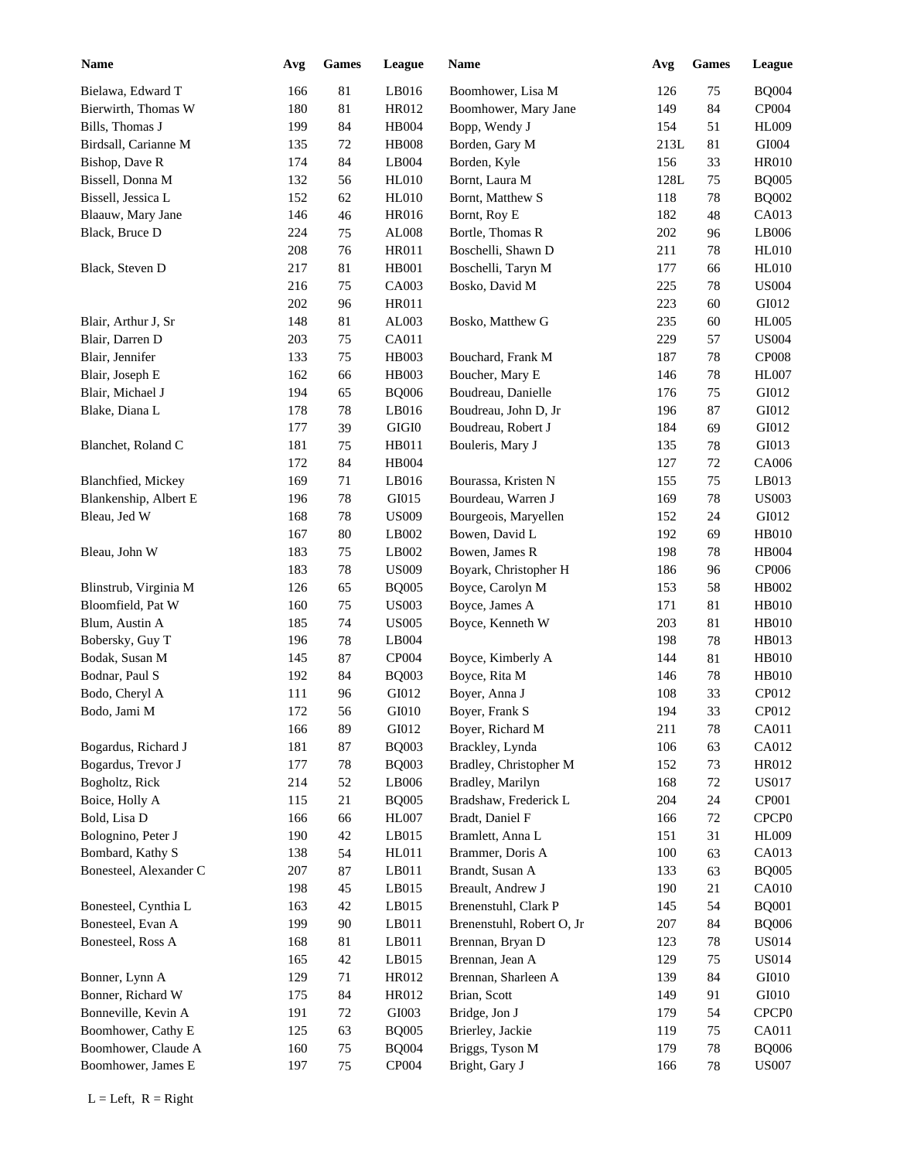| Name                   | Avg | <b>Games</b> | League       | Name                      | Avg  | <b>Games</b> | League            |
|------------------------|-----|--------------|--------------|---------------------------|------|--------------|-------------------|
| Bielawa, Edward T      | 166 | 81           | LB016        | Boomhower, Lisa M         | 126  | 75           | <b>BQ004</b>      |
| Bierwirth, Thomas W    | 180 | 81           | HR012        | Boomhower, Mary Jane      | 149  | 84           | CP004             |
| Bills, Thomas J        | 199 | 84           | <b>HB004</b> | Bopp, Wendy J             | 154  | 51           | <b>HL009</b>      |
| Birdsall, Carianne M   | 135 | $72\,$       | <b>HB008</b> | Borden, Gary M            | 213L | 81           | GI004             |
| Bishop, Dave R         | 174 | 84           | LB004        | Borden, Kyle              | 156  | 33           | <b>HR010</b>      |
| Bissell, Donna M       | 132 | 56           | <b>HL010</b> | Bornt, Laura M            | 128L | 75           | <b>BQ005</b>      |
| Bissell, Jessica L     | 152 | 62           | <b>HL010</b> | Bornt, Matthew S          | 118  | 78           | <b>BQ002</b>      |
| Blaauw, Mary Jane      | 146 | 46           | HR016        | Bornt, Roy E              | 182  | 48           | CA013             |
| Black, Bruce D         | 224 | 75           | AL008        | Bortle, Thomas R          | 202  | 96           | LB006             |
|                        | 208 | 76           | HR011        | Boschelli, Shawn D        | 211  | 78           | <b>HL010</b>      |
| Black, Steven D        | 217 | 81           | HB001        | Boschelli, Taryn M        | 177  | 66           | <b>HL010</b>      |
|                        | 216 | $75\,$       | CA003        | Bosko, David M            | 225  | 78           | <b>US004</b>      |
|                        | 202 | 96           | HR011        |                           | 223  | 60           | GI012             |
| Blair, Arthur J, Sr    | 148 | 81           | AL003        | Bosko, Matthew G          | 235  | 60           | <b>HL005</b>      |
| Blair, Darren D        | 203 |              | CA011        |                           |      |              | <b>US004</b>      |
|                        |     | 75           |              |                           | 229  | 57           |                   |
| Blair, Jennifer        | 133 | 75           | HB003        | Bouchard, Frank M         | 187  | 78           | <b>CP008</b>      |
| Blair, Joseph E        | 162 | 66           | HB003        | Boucher, Mary E           | 146  | 78           | <b>HL007</b>      |
| Blair, Michael J       | 194 | 65           | <b>BQ006</b> | Boudreau, Danielle        | 176  | 75           | GI012             |
| Blake, Diana L         | 178 | 78           | LB016        | Boudreau, John D, Jr      | 196  | 87           | GI012             |
|                        | 177 | 39           | $\rm GIGI0$  | Boudreau, Robert J        | 184  | 69           | GI012             |
| Blanchet, Roland C     | 181 | 75           | HB011        | Bouleris, Mary J          | 135  | $78\,$       | GI013             |
|                        | 172 | 84           | <b>HB004</b> |                           | 127  | 72           | CA006             |
| Blanchfied, Mickey     | 169 | 71           | LB016        | Bourassa, Kristen N       | 155  | 75           | LB013             |
| Blankenship, Albert E  | 196 | 78           | GI015        | Bourdeau, Warren J        | 169  | 78           | <b>US003</b>      |
| Bleau, Jed W           | 168 | 78           | <b>US009</b> | Bourgeois, Maryellen      | 152  | 24           | GI012             |
|                        | 167 | 80           | LB002        | Bowen, David L            | 192  | 69           | <b>HB010</b>      |
| Bleau, John W          | 183 | 75           | LB002        | Bowen, James R            | 198  | 78           | <b>HB004</b>      |
|                        | 183 | 78           | <b>US009</b> | Boyark, Christopher H     | 186  | 96           | CP006             |
| Blinstrub, Virginia M  | 126 | 65           | <b>BQ005</b> | Boyce, Carolyn M          | 153  | 58           | HB002             |
| Bloomfield, Pat W      | 160 | $75\,$       | <b>US003</b> | Boyce, James A            | 171  | 81           | HB010             |
| Blum, Austin A         | 185 | 74           | <b>US005</b> | Boyce, Kenneth W          | 203  | 81           | HB010             |
| Bobersky, Guy T        | 196 | $78\,$       | LB004        |                           | 198  | $78\,$       | HB013             |
| Bodak, Susan M         | 145 | 87           | CP004        | Boyce, Kimberly A         | 144  | 81           | HB010             |
| Bodnar, Paul S         | 192 | 84           | <b>BQ003</b> | Boyce, Rita M             | 146  | $78\,$       | <b>HB010</b>      |
| Bodo, Cheryl A         | 111 | 96           | GI012        | Boyer, Anna J             | 108  | 33           | CP012             |
| Bodo, Jami M           | 172 | 56           | GI010        | Boyer, Frank S            | 194  | 33           | CP012             |
|                        | 166 | 89           | GI012        | Boyer, Richard M          | 211  | 78           | CA011             |
| Bogardus, Richard J    | 181 | $87\,$       | <b>BQ003</b> | Brackley, Lynda           | 106  | 63           | CA012             |
| Bogardus, Trevor J     | 177 | 78           | <b>BQ003</b> | Bradley, Christopher M    | 152  | 73           | HR012             |
|                        |     |              |              |                           |      |              |                   |
| Bogholtz, Rick         | 214 | 52           | LB006        | Bradley, Marilyn          | 168  | 72           | <b>US017</b>      |
| Boice, Holly A         | 115 | 21           | <b>BQ005</b> | Bradshaw, Frederick L     | 204  | 24           | CP001             |
| Bold, Lisa D           | 166 | 66           | HL007        | Bradt, Daniel F           | 166  | $72\,$       | CPCP <sub>0</sub> |
| Bolognino, Peter J     | 190 | 42           | LB015        | Bramlett, Anna L          | 151  | 31           | <b>HL009</b>      |
| Bombard, Kathy S       | 138 | 54           | HL011        | Brammer, Doris A          | 100  | 63           | CA013             |
| Bonesteel, Alexander C | 207 | 87           | LB011        | Brandt, Susan A           | 133  | 63           | <b>BQ005</b>      |
|                        | 198 | 45           | LB015        | Breault, Andrew J         | 190  | 21           | CA010             |
| Bonesteel, Cynthia L   | 163 | 42           | LB015        | Brenenstuhl, Clark P      | 145  | 54           | <b>BQ001</b>      |
| Bonesteel, Evan A      | 199 | $90\,$       | LB011        | Brenenstuhl, Robert O, Jr | 207  | 84           | <b>BQ006</b>      |
| Bonesteel, Ross A      | 168 | 81           | LB011        | Brennan, Bryan D          | 123  | $78\,$       | US014             |
|                        | 165 | 42           | LB015        | Brennan, Jean A           | 129  | 75           | US014             |
| Bonner, Lynn A         | 129 | 71           | HR012        | Brennan, Sharleen A       | 139  | 84           | GI010             |
| Bonner, Richard W      | 175 | 84           | HR012        | Brian, Scott              | 149  | 91           | GI010             |
| Bonneville, Kevin A    | 191 | $72\,$       | GI003        | Bridge, Jon J             | 179  | 54           | CPCP <sub>0</sub> |
| Boomhower, Cathy E     | 125 | 63           | <b>BQ005</b> | Brierley, Jackie          | 119  | 75           | CA011             |
| Boomhower, Claude A    | 160 | 75           | <b>BQ004</b> | Briggs, Tyson M           | 179  | 78           | <b>BQ006</b>      |
| Boomhower, James E     | 197 | 75           | CP004        | Bright, Gary J            | 166  | 78           | <b>US007</b>      |
|                        |     |              |              |                           |      |              |                   |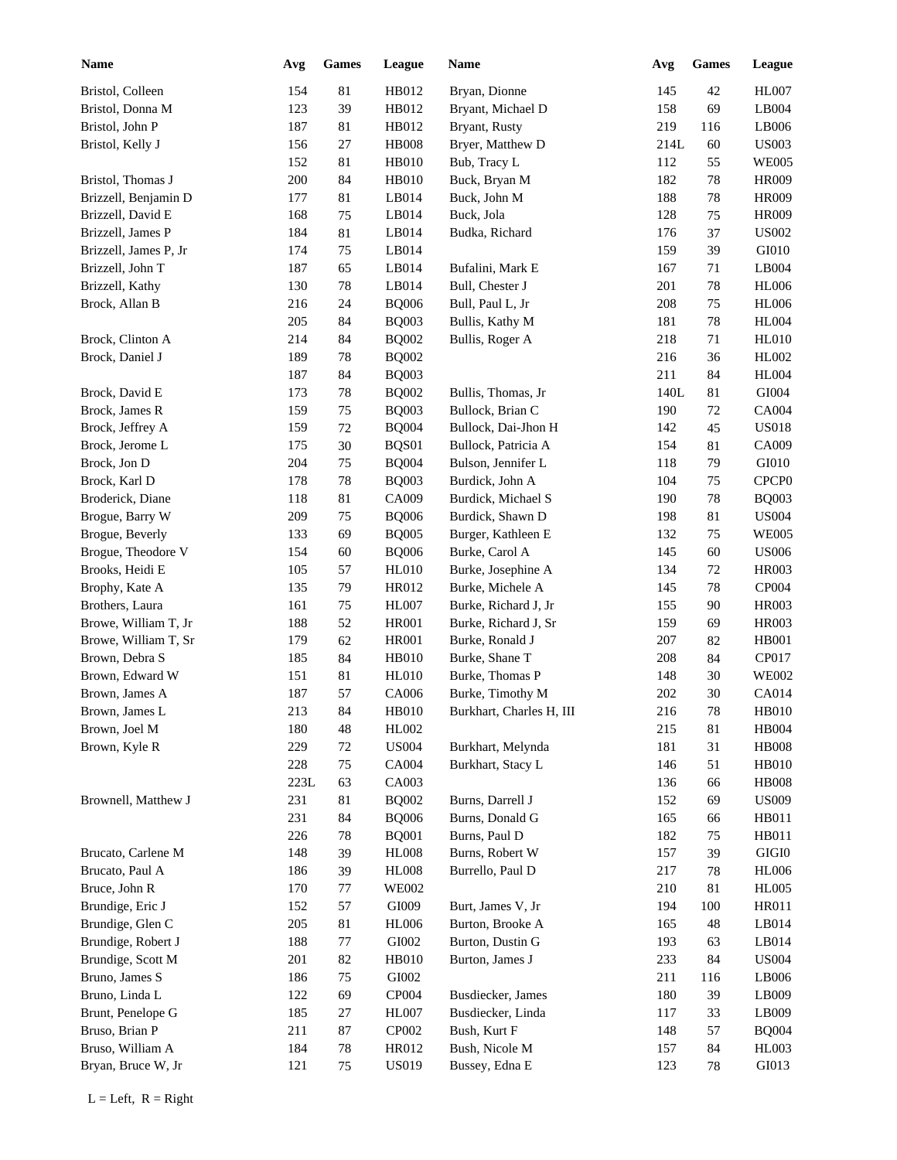| <b>Name</b>           | Avg             | <b>Games</b> | League       | Name                     | Avg  | <b>Games</b> | League            |
|-----------------------|-----------------|--------------|--------------|--------------------------|------|--------------|-------------------|
| Bristol, Colleen      | 154             | 81           | HB012        | Bryan, Dionne            | 145  | 42           | <b>HL007</b>      |
| Bristol, Donna M      | 123             | 39           | HB012        | Bryant, Michael D        | 158  | 69           | LB004             |
| Bristol, John P       | 187             | 81           | HB012        | Bryant, Rusty            | 219  | 116          | LB006             |
| Bristol, Kelly J      | 156             | 27           | <b>HB008</b> | Bryer, Matthew D         | 214L | 60           | <b>US003</b>      |
|                       | 152             | 81           | <b>HB010</b> | Bub, Tracy L             | 112  | 55           | <b>WE005</b>      |
| Bristol, Thomas J     | 200             | 84           | <b>HB010</b> | Buck, Bryan M            | 182  | 78           | <b>HR009</b>      |
| Brizzell, Benjamin D  | 177             | 81           | LB014        | Buck, John M             | 188  | $78\,$       | <b>HR009</b>      |
| Brizzell, David E     | 168             | 75           | LB014        | Buck, Jola               | 128  | 75           | <b>HR009</b>      |
| Brizzell, James P     | 184             | 81           | LB014        | Budka, Richard           | 176  | 37           | <b>US002</b>      |
| Brizzell, James P, Jr | 174             | $75\,$       | LB014        |                          | 159  | 39           | GI010             |
| Brizzell, John T      | 187             | 65           | LB014        | Bufalini, Mark E         | 167  | 71           | LB004             |
| Brizzell, Kathy       | 130             | $78\,$       | LB014        | Bull, Chester J          | 201  | 78           | <b>HL006</b>      |
| Brock, Allan B        | 216             | 24           | <b>BQ006</b> | Bull, Paul L, Jr         | 208  | 75           | <b>HL006</b>      |
|                       | 205             | 84           | <b>BQ003</b> | Bullis, Kathy M          | 181  | 78           | <b>HL004</b>      |
| Brock, Clinton A      | 214             | 84           | <b>BQ002</b> | Bullis, Roger A          | 218  | 71           | <b>HL010</b>      |
| Brock, Daniel J       | 189             | 78           | <b>BQ002</b> |                          | 216  | 36           | HL002             |
|                       | 187             | 84           | <b>BQ003</b> |                          | 211  | 84           | <b>HL004</b>      |
| Brock, David E        | 173             | 78           | <b>BQ002</b> | Bullis, Thomas, Jr       | 140L | 81           | GI004             |
| Brock, James R        | 159             | 75           | <b>BQ003</b> | Bullock, Brian C         | 190  | 72           | CA004             |
| Brock, Jeffrey A      | 159             | $72\,$       | <b>BQ004</b> | Bullock, Dai-Jhon H      | 142  | 45           | <b>US018</b>      |
| Brock, Jerome L       | 175             | $30\,$       | BQS01        | Bullock, Patricia A      | 154  | 81           | CA009             |
| Brock, Jon D          | 204             | 75           | <b>BQ004</b> | Bulson, Jennifer L       | 118  | 79           | GI010             |
| Brock, Karl D         | 178             | 78           | <b>BQ003</b> | Burdick, John A          | 104  | 75           | CPCP <sub>0</sub> |
| Broderick, Diane      | 118             | 81           | CA009        | Burdick, Michael S       | 190  | 78           | <b>BQ003</b>      |
| Brogue, Barry W       | 209             | 75           | <b>BQ006</b> | Burdick, Shawn D         | 198  | 81           | <b>US004</b>      |
| Brogue, Beverly       | 133             | 69           | <b>BQ005</b> | Burger, Kathleen E       | 132  | 75           | <b>WE005</b>      |
| Brogue, Theodore V    | 154             | 60           | <b>BQ006</b> | Burke, Carol A           | 145  | 60           | <b>US006</b>      |
| Brooks, Heidi E       | 105             | 57           | <b>HL010</b> | Burke, Josephine A       | 134  | 72           | <b>HR003</b>      |
| Brophy, Kate A        | 135             | 79           | HR012        | Burke, Michele A         | 145  | 78           | CP004             |
| Brothers, Laura       | 161             | 75           | <b>HL007</b> | Burke, Richard J, Jr     | 155  | 90           | <b>HR003</b>      |
| Browe, William T, Jr  | 188             | 52           | <b>HR001</b> | Burke, Richard J, Sr     | 159  | 69           | <b>HR003</b>      |
| Browe, William T, Sr  | 179             | 62           | <b>HR001</b> | Burke, Ronald J          | 207  | 82           | <b>HB001</b>      |
| Brown, Debra S        | 185             | 84           | <b>HB010</b> | Burke, Shane T           | 208  | 84           | CP017             |
| Brown, Edward W       | 151             | 81           | <b>HL010</b> | Burke, Thomas P          | 148  | 30           | <b>WE002</b>      |
| Brown, James A        | 187             | 57           | CA006        | Burke, Timothy M         | 202  | 30           | CA014             |
| Brown, James L        | 213             | 84           | <b>HB010</b> | Burkhart, Charles H, III | 216  | $78\,$       | <b>HB010</b>      |
| Brown, Joel M         | 180             | 48           | HL002        |                          | 215  | 81           | HB004             |
| Brown, Kyle R         | 229             | 72           | <b>US004</b> | Burkhart, Melynda        | 181  | 31           | ${\rm HB008}$     |
|                       | 228             | 75           | CA004        | Burkhart, Stacy L        | 146  | 51           | HB010             |
|                       | $223\mathrm{L}$ | 63           | CA003        |                          | 136  | 66           | <b>HB008</b>      |
| Brownell, Matthew J   | 231             | 81           | <b>BQ002</b> | Burns, Darrell J         | 152  | 69           | <b>US009</b>      |
|                       | 231             | 84           | <b>BQ006</b> | Burns, Donald G          | 165  | 66           | HB011             |
|                       | 226             | 78           | <b>BQ001</b> | Burns, Paul D            | 182  | 75           | HB011             |
| Brucato, Carlene M    | 148             | 39           | <b>HL008</b> | Burns, Robert W          | 157  | 39           | $\rm GIGI0$       |
| Brucato, Paul A       | 186             | 39           | <b>HL008</b> | Burrello, Paul D         | 217  | $78\,$       | <b>HL006</b>      |
| Bruce, John R         | 170             | 77           | <b>WE002</b> |                          | 210  | 81           | <b>HL005</b>      |
| Brundige, Eric J      | 152             | 57           | GI009        | Burt, James V, Jr        | 194  |              | HR011             |
| Brundige, Glen C      | 205             | $81\,$       | <b>HL006</b> | Burton, Brooke A         | 165  | 100<br>48    | LB014             |
| Brundige, Robert J    | 188             | $77\,$       | GI002        | Burton, Dustin G         | 193  |              | LB014             |
| Brundige, Scott M     |                 |              |              | Burton, James J          |      | 63           | <b>US004</b>      |
|                       | 201             | 82           | <b>HB010</b> |                          | 233  | 84           |                   |
| Bruno, James S        | 186             | 75           | GI002        |                          | 211  | 116          | LB006             |
| Bruno, Linda L        | 122             | 69           | CP004        | Busdiecker, James        | 180  | 39           | LB009             |
| Brunt, Penelope G     | 185             | 27           | <b>HL007</b> | Busdiecker, Linda        | 117  | 33           | LB009             |
| Bruso, Brian P        | 211             | $87\,$       | CP002        | Bush, Kurt F             | 148  | 57           | <b>BQ004</b>      |
| Bruso, William A      | 184             | $78\,$       | HR012        | Bush, Nicole M           | 157  | 84           | HL003             |
| Bryan, Bruce W, Jr    | 121             | 75           | <b>US019</b> | Bussey, Edna E           | 123  | $78\,$       | GI013             |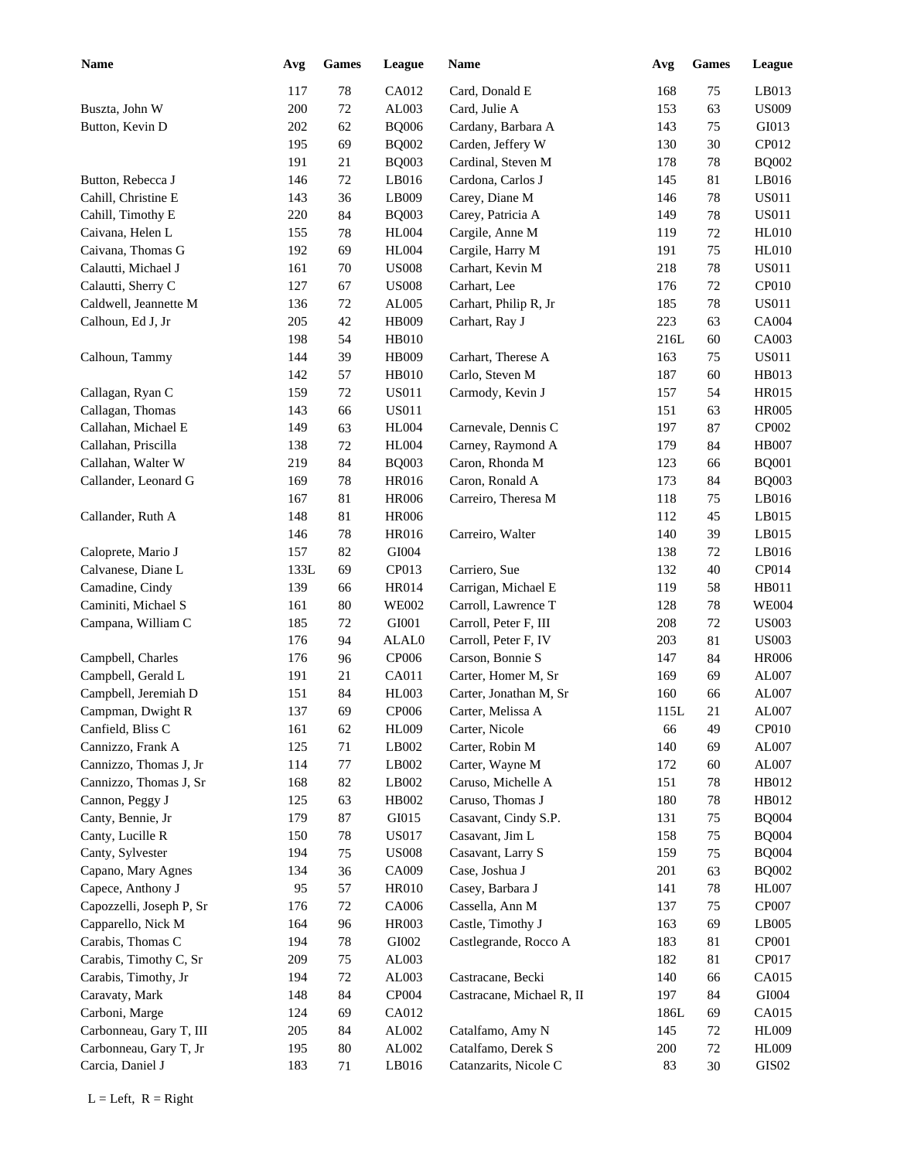| <b>Name</b>              | Avg  | <b>Games</b> | League       | Name                      | Avg  | <b>Games</b> | League        |
|--------------------------|------|--------------|--------------|---------------------------|------|--------------|---------------|
|                          | 117  | 78           | CA012        | Card, Donald E            | 168  | 75           | LB013         |
| Buszta, John W           | 200  | 72           | AL003        | Card, Julie A             | 153  | 63           | <b>US009</b>  |
| Button, Kevin D          | 202  | 62           | <b>BQ006</b> | Cardany, Barbara A        | 143  | 75           | GI013         |
|                          | 195  | 69           | <b>BQ002</b> | Carden, Jeffery W         | 130  | 30           | CP012         |
|                          | 191  | 21           | <b>BQ003</b> | Cardinal, Steven M        | 178  | 78           | <b>BQ002</b>  |
| Button, Rebecca J        | 146  | $72\,$       | LB016        | Cardona, Carlos J         | 145  | 81           | LB016         |
| Cahill, Christine E      | 143  | 36           | LB009        | Carey, Diane M            | 146  | 78           | <b>US011</b>  |
| Cahill, Timothy E        | 220  | 84           | <b>BQ003</b> | Carey, Patricia A         | 149  | 78           | <b>US011</b>  |
| Caivana, Helen L         | 155  | 78           | <b>HL004</b> | Cargile, Anne M           | 119  | 72           | <b>HL010</b>  |
| Caivana, Thomas G        | 192  | 69           | <b>HL004</b> | Cargile, Harry M          | 191  | 75           | <b>HL010</b>  |
| Calautti, Michael J      | 161  | 70           | <b>US008</b> | Carhart, Kevin M          | 218  | 78           | <b>US011</b>  |
| Calautti, Sherry C       | 127  | 67           | <b>US008</b> | Carhart, Lee              | 176  | 72           | CP010         |
| Caldwell, Jeannette M    | 136  | $72\,$       | AL005        | Carhart, Philip R, Jr     | 185  | 78           | <b>US011</b>  |
| Calhoun, Ed J, Jr        | 205  | 42           | HB009        | Carhart, Ray J            | 223  | 63           | CA004         |
|                          | 198  | 54           | <b>HB010</b> |                           | 216L | 60           | CA003         |
| Calhoun, Tammy           | 144  | 39           | HB009        | Carhart, Therese A        | 163  | 75           | <b>US011</b>  |
|                          | 142  | 57           | <b>HB010</b> | Carlo, Steven M           | 187  | 60           | HB013         |
| Callagan, Ryan C         | 159  | 72           | <b>US011</b> | Carmody, Kevin J          | 157  | 54           | <b>HR015</b>  |
| Callagan, Thomas         | 143  | 66           | <b>US011</b> |                           | 151  | 63           | <b>HR005</b>  |
| Callahan, Michael E      | 149  | 63           | <b>HL004</b> | Carnevale, Dennis C       | 197  | 87           | CP002         |
| Callahan, Priscilla      | 138  | 72           | <b>HL004</b> | Carney, Raymond A         | 179  | 84           | <b>HB007</b>  |
| Callahan, Walter W       | 219  | 84           | <b>BQ003</b> | Caron, Rhonda M           | 123  | 66           | <b>BQ001</b>  |
| Callander, Leonard G     | 169  | 78           | <b>HR016</b> | Caron, Ronald A           | 173  | 84           | <b>BQ003</b>  |
|                          | 167  | 81           | <b>HR006</b> | Carreiro, Theresa M       | 118  | 75           | LB016         |
| Callander, Ruth A        | 148  | 81           | <b>HR006</b> |                           | 112  | 45           | LB015         |
|                          | 146  | 78           | <b>HR016</b> | Carreiro, Walter          | 140  | 39           | LB015         |
| Caloprete, Mario J       | 157  | 82           | GI004        |                           | 138  | 72           | LB016         |
| Calvanese, Diane L       | 133L | 69           | CP013        | Carriero, Sue             | 132  | 40           | CP014         |
| Camadine, Cindy          | 139  | 66           | <b>HR014</b> | Carrigan, Michael E       | 119  | 58           | HB011         |
| Caminiti, Michael S      | 161  | 80           | <b>WE002</b> | Carroll, Lawrence T       | 128  | 78           | <b>WE004</b>  |
| Campana, William C       | 185  | 72           | GI001        | Carroll, Peter F, III     | 208  | 72           | <b>US003</b>  |
|                          | 176  | 94           | ALAL0        | Carroll, Peter F, IV      | 203  | 81           | <b>US003</b>  |
| Campbell, Charles        | 176  | 96           | <b>CP006</b> | Carson, Bonnie S          | 147  | 84           | <b>HR006</b>  |
| Campbell, Gerald L       | 191  | 21           | CA011        | Carter, Homer M, Sr       | 169  | 69           | AL007         |
| Campbell, Jeremiah D     | 151  | 84           | <b>HL003</b> | Carter, Jonathan M, Sr    | 160  | 66           | AL007         |
| Campman, Dwight R        | 137  | 69           | CP006        | Carter, Melissa A         | 115L | 21           | AL007         |
| Canfield, Bliss C        | 161  | 62           | <b>HL009</b> | Carter, Nicole            | 66   | 49           | CP010         |
| Cannizzo, Frank A        | 125  | 71           | LB002        | Carter, Robin M           | 140  | 69           | AL007         |
| Cannizzo, Thomas J, Jr   | 114  | 77           | LB002        | Carter, Wayne M           | 172  | 60           | AL007         |
| Cannizzo, Thomas J, Sr   | 168  | $82\,$       | LB002        | Caruso, Michelle A        | 151  | 78           | HB012         |
| Cannon, Peggy J          | 125  | 63           | HB002        | Caruso, Thomas J          | 180  | 78           | HB012         |
| Canty, Bennie, Jr        | 179  | $87\,$       | GI015        | Casavant, Cindy S.P.      | 131  | 75           | <b>BQ004</b>  |
| Canty, Lucille R         | 150  | 78           | <b>US017</b> | Casavant, Jim L           | 158  | 75           | <b>BQ004</b>  |
| Canty, Sylvester         | 194  | 75           | <b>US008</b> | Casavant, Larry S         | 159  | 75           | <b>BQ004</b>  |
| Capano, Mary Agnes       | 134  | 36           | CA009        | Case, Joshua J            | 201  | 63           | <b>BQ002</b>  |
| Capece, Anthony J        | 95   | 57           | <b>HR010</b> | Casey, Barbara J          | 141  | 78           | <b>HL007</b>  |
| Capozzelli, Joseph P, Sr | 176  | 72           | CA006        | Cassella, Ann M           | 137  | 75           | CP007         |
| Capparello, Nick M       | 164  | 96           | HR003        | Castle, Timothy J         | 163  | 69           | LB005         |
| Carabis, Thomas C        | 194  | 78           | GI002        | Castlegrande, Rocco A     | 183  | 81           | CP001         |
| Carabis, Timothy C, Sr   | 209  | 75           | AL003        |                           | 182  | 81           | CP017         |
| Carabis, Timothy, Jr     | 194  | 72           | AL003        | Castracane, Becki         | 140  | 66           | CA015         |
| Caravaty, Mark           | 148  | $84\,$       | CP004        | Castracane, Michael R, II | 197  | 84           | ${\rm GIO}04$ |
| Carboni, Marge           | 124  | 69           | CA012        |                           | 186L | 69           | CA015         |
| Carbonneau, Gary T, III  | 205  | 84           | AL002        | Catalfamo, Amy N          | 145  | 72           | <b>HL009</b>  |
| Carbonneau, Gary T, Jr   | 195  | 80           | AL002        | Catalfamo, Derek S        | 200  | 72           | <b>HL009</b>  |
| Carcia, Daniel J         | 183  | 71           | LB016        | Catanzarits, Nicole C     | 83   | 30           | GIS02         |
|                          |      |              |              |                           |      |              |               |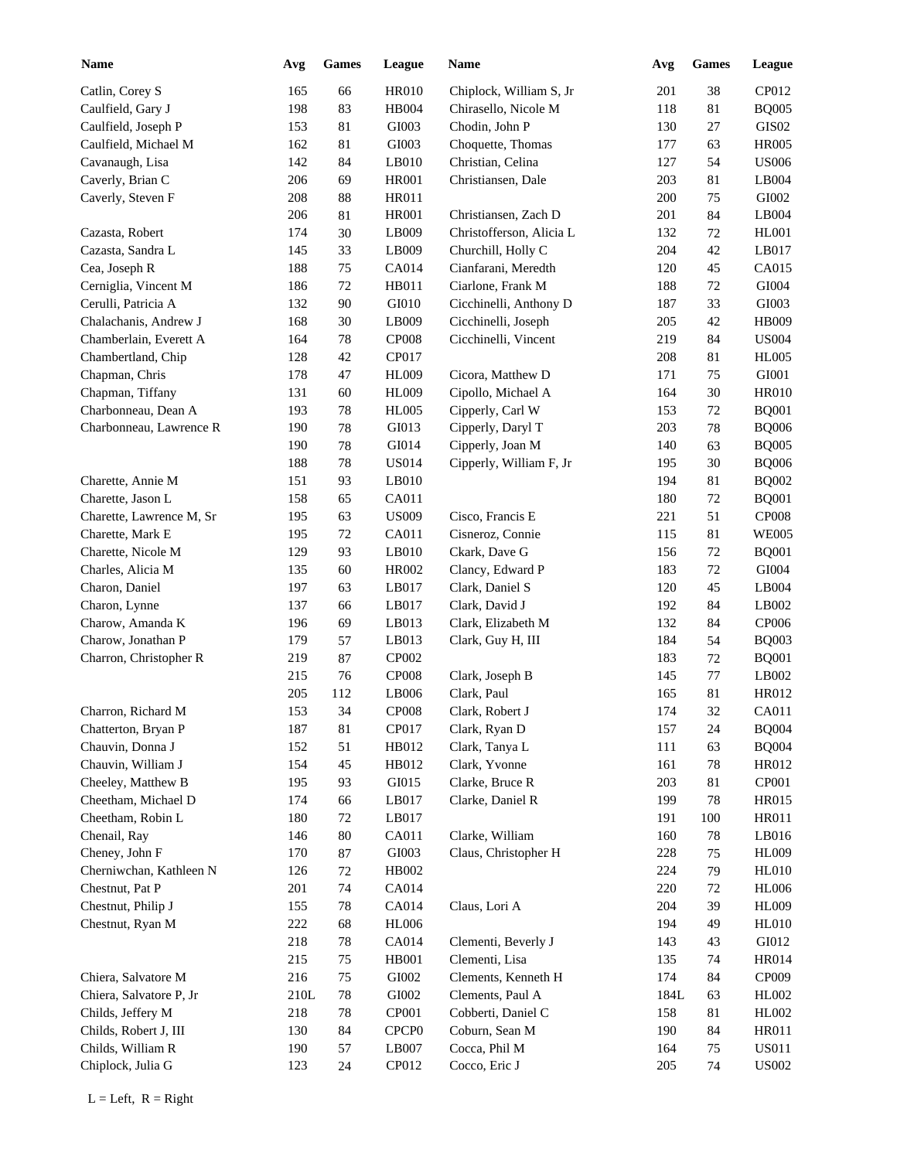| <b>Name</b>              | Avg  | <b>Games</b> | League            | Name                     | Avg  | Games  | <b>League</b>     |
|--------------------------|------|--------------|-------------------|--------------------------|------|--------|-------------------|
| Catlin, Corey S          | 165  | 66           | <b>HR010</b>      | Chiplock, William S, Jr  | 201  | 38     | CP012             |
| Caulfield, Gary J        | 198  | 83           | <b>HB004</b>      | Chirasello, Nicole M     | 118  | 81     | <b>BQ005</b>      |
| Caulfield, Joseph P      | 153  | 81           | GI003             | Chodin, John P           | 130  | 27     | GIS <sub>02</sub> |
| Caulfield, Michael M     | 162  | 81           | GI003             | Choquette, Thomas        | 177  | 63     | <b>HR005</b>      |
| Cavanaugh, Lisa          | 142  | 84           | LB010             | Christian, Celina        | 127  | 54     | <b>US006</b>      |
| Caverly, Brian C         | 206  | 69           | <b>HR001</b>      | Christiansen, Dale       | 203  | 81     | LB004             |
| Caverly, Steven F        | 208  | 88           | <b>HR011</b>      |                          | 200  | 75     | GI002             |
|                          | 206  | 81           | <b>HR001</b>      | Christiansen, Zach D     | 201  | 84     | LB004             |
| Cazasta, Robert          | 174  | $30\,$       | LB009             | Christofferson, Alicia L | 132  | 72     | <b>HL001</b>      |
| Cazasta, Sandra L        | 145  | 33           | LB009             | Churchill, Holly C       | 204  | 42     | LB017             |
| Cea, Joseph R            | 188  | 75           | <b>CA014</b>      | Cianfarani, Meredth      | 120  | 45     | CA015             |
| Cerniglia, Vincent M     | 186  | 72           | HB011             | Ciarlone, Frank M        | 188  | 72     | GI004             |
| Cerulli, Patricia A      | 132  | 90           | GI010             | Cicchinelli, Anthony D   | 187  | 33     | GI003             |
| Chalachanis, Andrew J    | 168  | 30           | LB009             | Cicchinelli, Joseph      | 205  | 42     | <b>HB009</b>      |
| Chamberlain, Everett A   | 164  | 78           | <b>CP008</b>      | Cicchinelli, Vincent     | 219  | 84     | <b>US004</b>      |
| Chambertland, Chip       | 128  | $42\,$       | CP017             |                          | 208  | 81     | <b>HL005</b>      |
| Chapman, Chris           | 178  | 47           | <b>HL009</b>      | Cicora, Matthew D        | 171  | 75     | GI001             |
| Chapman, Tiffany         | 131  | 60           | <b>HL009</b>      | Cipollo, Michael A       | 164  | 30     | <b>HR010</b>      |
| Charbonneau, Dean A      | 193  | 78           | <b>HL005</b>      | Cipperly, Carl W         | 153  | 72     | <b>BQ001</b>      |
|                          | 190  |              | GI013             |                          |      |        |                   |
| Charbonneau, Lawrence R  |      | 78           |                   | Cipperly, Daryl T        | 203  | 78     | <b>BQ006</b>      |
|                          | 190  | 78           | GI014             | Cipperly, Joan M         | 140  | 63     | <b>BQ005</b>      |
|                          | 188  | 78           | <b>US014</b>      | Cipperly, William F, Jr  | 195  | 30     | <b>BQ006</b>      |
| Charette, Annie M        | 151  | 93           | LB010             |                          | 194  | 81     | <b>BQ002</b>      |
| Charette, Jason L        | 158  | 65           | CA011             |                          | 180  | 72     | <b>BQ001</b>      |
| Charette, Lawrence M, Sr | 195  | 63           | <b>US009</b>      | Cisco, Francis E         | 221  | 51     | <b>CP008</b>      |
| Charette, Mark E         | 195  | 72           | CA011             | Cisneroz, Connie         | 115  | 81     | <b>WE005</b>      |
| Charette, Nicole M       | 129  | 93           | LB010             | Ckark, Dave G            | 156  | 72     | <b>BQ001</b>      |
| Charles, Alicia M        | 135  | 60           | <b>HR002</b>      | Clancy, Edward P         | 183  | 72     | GI004             |
| Charon, Daniel           | 197  | 63           | LB017             | Clark, Daniel S          | 120  | 45     | LB004             |
| Charon, Lynne            | 137  | 66           | LB017             | Clark, David J           | 192  | 84     | LB002             |
| Charow, Amanda K         | 196  | 69           | LB013             | Clark, Elizabeth M       | 132  | 84     | CP006             |
| Charow, Jonathan P       | 179  | 57           | LB013             | Clark, Guy H, III        | 184  | 54     | <b>BQ003</b>      |
| Charron, Christopher R   | 219  | 87           | CP002             |                          | 183  | 72     | <b>BQ001</b>      |
|                          | 215  | 76           | <b>CP008</b>      | Clark, Joseph B          | 145  | 77     | LB002             |
|                          | 205  | 112          | LB006             | Clark, Paul              | 165  | 81     | HR012             |
| Charron, Richard M       | 153  | 34           | $\mathbf{CPO08}$  | Clark, Robert J          | 174  | $32\,$ | CA011             |
| Chatterton, Bryan P      | 187  | 81           | CP017             | Clark, Ryan D            | 157  | 24     | <b>BQ004</b>      |
| Chauvin, Donna J         | 152  | 51           | HB012             | Clark, Tanya L           | 111  | 63     | <b>BQ004</b>      |
| Chauvin, William J       | 154  | 45           | HB012             | Clark, Yvonne            | 161  | $78\,$ | HR012             |
| Cheeley, Matthew B       | 195  | 93           | GI015             | Clarke, Bruce R          | 203  | 81     | CP001             |
| Cheetham, Michael D      | 174  | 66           | LB017             | Clarke, Daniel R         | 199  | 78     | HR015             |
| Cheetham, Robin L        | 180  | 72           | LB017             |                          | 191  | 100    | HR011             |
| Chenail, Ray             | 146  | $80\,$       | CA011             | Clarke, William          | 160  | 78     | LB016             |
| Cheney, John F           | 170  | $87\,$       | GI003             | Claus, Christopher H     | 228  | 75     | <b>HL009</b>      |
| Cherniwchan, Kathleen N  | 126  | $72\,$       | HB002             |                          | 224  | 79     | <b>HL010</b>      |
| Chestnut, Pat P          | 201  | $74\,$       | CA014             |                          | 220  | 72     | <b>HL006</b>      |
| Chestnut, Philip J       | 155  | $78\,$       | CA014             | Claus, Lori A            | 204  | 39     | <b>HL009</b>      |
| Chestnut, Ryan M         | 222  | 68           | HL006             |                          | 194  | 49     | <b>HL010</b>      |
|                          | 218  | $78\,$       | CA014             | Clementi, Beverly J      | 143  | 43     | GI012             |
|                          | 215  | 75           | HB001             | Clementi, Lisa           | 135  | 74     | <b>HR014</b>      |
| Chiera, Salvatore M      | 216  | 75           | GI002             | Clements, Kenneth H      | 174  | 84     | CP009             |
| Chiera, Salvatore P, Jr  | 210L | $78\,$       | ${\rm GIO}02$     | Clements, Paul A         | 184L | 63     | HL002             |
| Childs, Jeffery M        | 218  | $78\,$       | CP001             | Cobberti, Daniel C       | 158  | 81     | HL002             |
| Childs, Robert J, III    | 130  | 84           | CPCP <sub>0</sub> | Coburn, Sean M           | 190  | 84     | <b>HR011</b>      |
|                          |      |              |                   |                          |      |        | <b>US011</b>      |
| Childs, William R        | 190  | 57           | LB007             | Cocca, Phil M            | 164  | 75     |                   |
| Chiplock, Julia G        | 123  | 24           | CP012             | Cocco, Eric J            | 205  | 74     | <b>US002</b>      |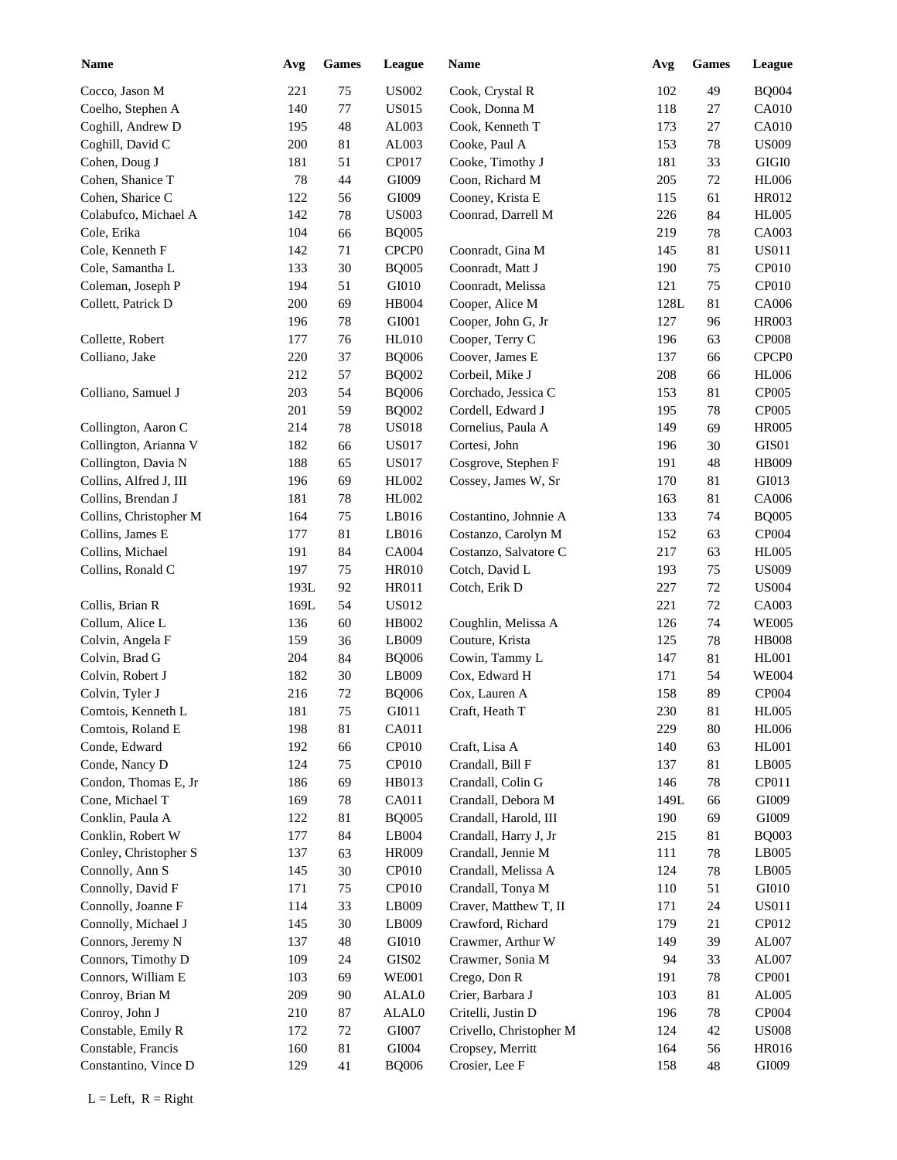| <b>Name</b>            | Avg    | <b>Games</b> | League            | Name                    | Avg     | <b>Games</b> | <b>League</b>     |
|------------------------|--------|--------------|-------------------|-------------------------|---------|--------------|-------------------|
| Cocco, Jason M         | 221    | 75           | <b>US002</b>      | Cook, Crystal R         | 102     | 49           | <b>BQ004</b>      |
| Coelho, Stephen A      | 140    | 77           | <b>US015</b>      | Cook, Donna M           | 118     | 27           | CA010             |
| Coghill, Andrew D      | 195    | 48           | AL003             | Cook, Kenneth T         | 173     | 27           | CA010             |
| Coghill, David C       | 200    | 81           | AL003             | Cooke, Paul A           | 153     | 78           | <b>US009</b>      |
| Cohen, Doug J          | 181    | 51           | CP017             | Cooke, Timothy J        | 181     | 33           | GIGI0             |
| Cohen, Shanice T       | $78\,$ | 44           | GI009             | Coon, Richard M         | 205     | 72           | <b>HL006</b>      |
| Cohen, Sharice C       | 122    | 56           | GI009             | Cooney, Krista E        | 115     | 61           | HR012             |
| Colabufco, Michael A   | 142    | 78           | <b>US003</b>      | Coonrad, Darrell M      | 226     | 84           | <b>HL005</b>      |
| Cole, Erika            | 104    | 66           | <b>BQ005</b>      |                         | 219     | 78           | CA003             |
| Cole, Kenneth F        | 142    | 71           | CPCP <sub>0</sub> | Coonradt, Gina M        | 145     | 81           | <b>US011</b>      |
| Cole, Samantha L       | 133    | 30           | <b>BQ005</b>      | Coonradt, Matt J        | 190     | 75           | CP010             |
| Coleman, Joseph P      | 194    | 51           | GI010             | Coonradt, Melissa       | 121     | 75           | CP010             |
| Collett, Patrick D     | 200    | 69           | <b>HB004</b>      | Cooper, Alice M         | 128L    | 81           | CA006             |
|                        | 196    |              | GI001             |                         |         |              | <b>HR003</b>      |
|                        |        | 78           |                   | Cooper, John G, Jr      | 127     | 96           |                   |
| Collette, Robert       | 177    | 76           | <b>HL010</b>      | Cooper, Terry C         | 196     | 63           | <b>CP008</b>      |
| Colliano, Jake         | 220    | 37           | <b>BQ006</b>      | Coover, James E         | 137     | 66           | CPCP <sub>0</sub> |
|                        | 212    | 57           | <b>BQ002</b>      | Corbeil, Mike J         | 208     | 66           | <b>HL006</b>      |
| Colliano, Samuel J     | 203    | 54           | <b>BQ006</b>      | Corchado, Jessica C     | 153     | 81           | CP005             |
|                        | 201    | 59           | <b>BQ002</b>      | Cordell, Edward J       | 195     | 78           | CP005             |
| Collington, Aaron C    | 214    | 78           | <b>US018</b>      | Cornelius, Paula A      | 149     | 69           | <b>HR005</b>      |
| Collington, Arianna V  | 182    | 66           | <b>US017</b>      | Cortesi, John           | 196     | 30           | GIS01             |
| Collington, Davia N    | 188    | 65           | <b>US017</b>      | Cosgrove, Stephen F     | 191     | 48           | <b>HB009</b>      |
| Collins, Alfred J, III | 196    | 69           | HL002             | Cossey, James W, Sr     | 170     | 81           | GI013             |
| Collins, Brendan J     | 181    | 78           | HL002             |                         | 163     | 81           | CA006             |
| Collins, Christopher M | 164    | 75           | LB016             | Costantino, Johnnie A   | 133     | 74           | <b>BQ005</b>      |
| Collins, James E       | 177    | 81           | LB016             | Costanzo, Carolyn M     | 152     | 63           | CP004             |
| Collins, Michael       | 191    | 84           | <b>CA004</b>      | Costanzo, Salvatore C   | 217     | 63           | <b>HL005</b>      |
| Collins, Ronald C      | 197    | 75           | <b>HR010</b>      | Cotch, David L          | 193     | 75           | <b>US009</b>      |
|                        | 193L   | 92           | <b>HR011</b>      | Cotch, Erik D           | 227     | 72           | <b>US004</b>      |
| Collis, Brian R        | 169L   | 54           | US012             |                         | 221     | 72           | CA003             |
| Collum, Alice L        | 136    | 60           | HB002             | Coughlin, Melissa A     | 126     | 74           | <b>WE005</b>      |
| Colvin, Angela F       | 159    | 36           | LB009             | Couture, Krista         | 125     | 78           | <b>HB008</b>      |
| Colvin, Brad G         | 204    | 84           | <b>BQ006</b>      | Cowin, Tammy L          | 147     | 81           | <b>HL001</b>      |
| Colvin, Robert J       | 182    | 30           | LB009             | Cox, Edward H           | 171     | 54           | <b>WE004</b>      |
| Colvin, Tyler J        | 216    | 72           | <b>BQ006</b>      | Cox, Lauren A           | 158     | 89           | CP004             |
| Comtois, Kenneth L     | 181    | 75           | GI011             | Craft, Heath T          | $230\,$ | 81           | <b>HL005</b>      |
| Comtois, Roland E      | 198    | $81\,$       | CA011             |                         | 229     | 80           | <b>HL006</b>      |
| Conde, Edward          | 192    |              | CP <sub>010</sub> | Craft, Lisa A           |         |              | HL001             |
|                        |        | 66           |                   |                         | 140     | 63           |                   |
| Conde, Nancy D         | 124    | 75           | CP010             | Crandall, Bill F        | 137     | 81           | LB005             |
| Condon, Thomas E, Jr   | 186    | 69           | HB013             | Crandall, Colin G       | 146     | 78           | CP011             |
| Cone, Michael T        | 169    | $78\,$       | CA011             | Crandall, Debora M      | 149L    | 66           | GI009             |
| Conklin, Paula A       | 122    | 81           | <b>BQ005</b>      | Crandall, Harold, III   | 190     | 69           | GI009             |
| Conklin, Robert W      | 177    | 84           | LB004             | Crandall, Harry J, Jr   | 215     | 81           | <b>BQ003</b>      |
| Conley, Christopher S  | 137    | 63           | HR009             | Crandall, Jennie M      | 111     | 78           | LB005             |
| Connolly, Ann S        | 145    | $30\,$       | CP010             | Crandall, Melissa A     | 124     | 78           | LB005             |
| Connolly, David F      | 171    | 75           | CP010             | Crandall, Tonya M       | 110     | 51           | GI010             |
| Connolly, Joanne F     | 114    | 33           | LB009             | Craver, Matthew T, II   | 171     | 24           | <b>US011</b>      |
| Connolly, Michael J    | 145    | $30\,$       | LB009             | Crawford, Richard       | 179     | 21           | CP012             |
| Connors, Jeremy N      | 137    | $\sqrt{48}$  | ${\rm G}I010$     | Crawmer, Arthur W       | 149     | 39           | AL007             |
| Connors, Timothy D     | 109    | 24           | $\rm GIS02$       | Crawmer, Sonia M        | 94      | 33           | AL007             |
| Connors, William E     | 103    | 69           | <b>WE001</b>      | Crego, Don R            | 191     | 78           | CP001             |
| Conroy, Brian M        | 209    | $90\,$       | ALAL0             | Crier, Barbara J        | 103     | 81           | AL005             |
| Conroy, John J         | 210    | 87           | ALAL0             | Critelli, Justin D      | 196     | 78           | CP004             |
| Constable, Emily R     | 172    | $72\,$       | ${\rm G}1007$     | Crivello, Christopher M | 124     | 42           | <b>US008</b>      |
| Constable, Francis     | 160    | 81           | ${\rm GIO}04$     | Cropsey, Merritt        | 164     | 56           | HR016             |
| Constantino, Vince D   | 129    | 41           | <b>BQ006</b>      | Crosier, Lee F          | 158     | 48           | GI009             |
|                        |        |              |                   |                         |         |              |                   |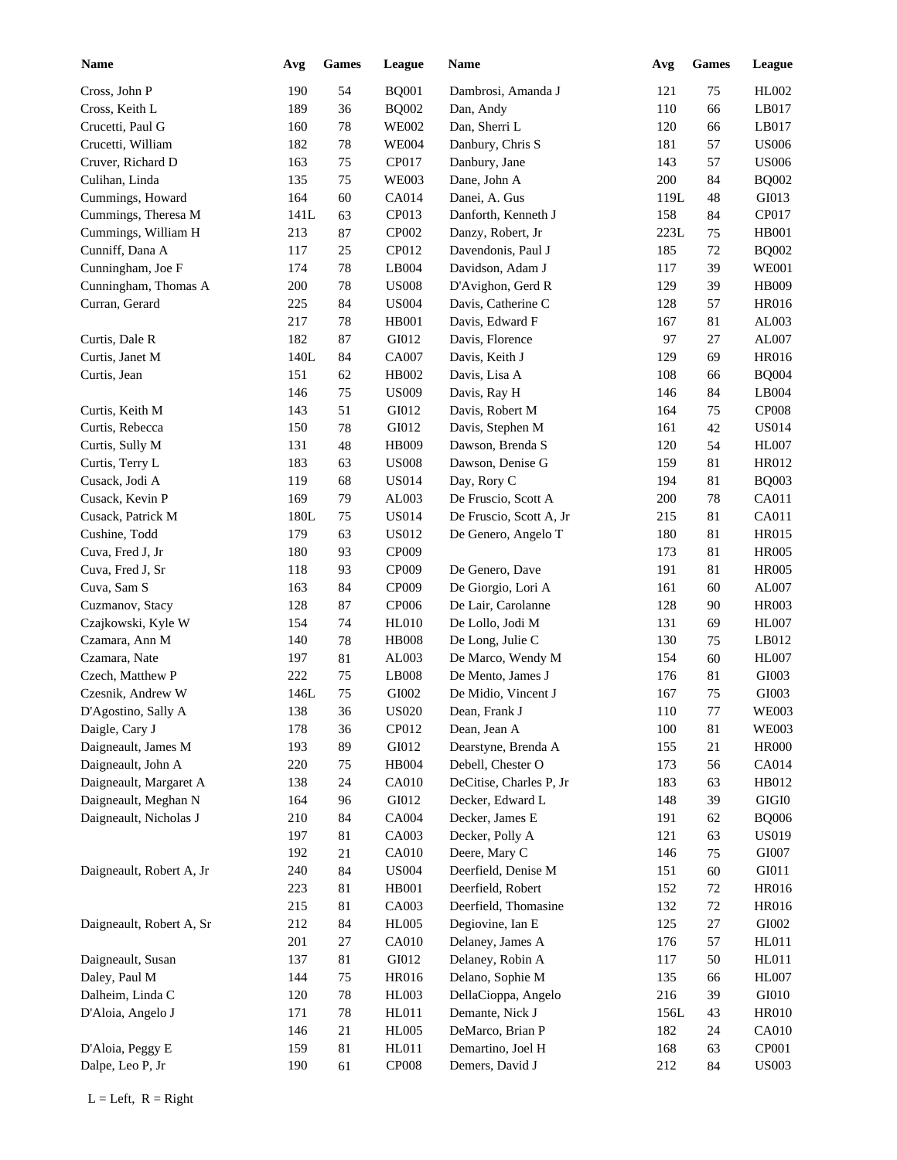| <b>Name</b>              | Avg  | <b>Games</b> | League       | <b>Name</b>             | Avg  | <b>Games</b> | League        |
|--------------------------|------|--------------|--------------|-------------------------|------|--------------|---------------|
| Cross, John P            | 190  | 54           | <b>BQ001</b> | Dambrosi, Amanda J      | 121  | 75           | HL002         |
| Cross, Keith L           | 189  | 36           | <b>BQ002</b> | Dan, Andy               | 110  | 66           | LB017         |
| Crucetti, Paul G         | 160  | $78\,$       | <b>WE002</b> | Dan, Sherri L           | 120  | 66           | LB017         |
| Crucetti, William        | 182  | $78\,$       | <b>WE004</b> | Danbury, Chris S        | 181  | 57           | <b>US006</b>  |
| Cruver, Richard D        | 163  | 75           | CP017        | Danbury, Jane           | 143  | 57           | <b>US006</b>  |
| Culihan, Linda           | 135  | 75           | <b>WE003</b> | Dane, John A            | 200  | 84           | <b>BQ002</b>  |
| Cummings, Howard         | 164  | 60           | CA014        | Danei, A. Gus           | 119L | 48           | GI013         |
| Cummings, Theresa M      | 141L | 63           | CP013        | Danforth, Kenneth J     | 158  | 84           | CP017         |
| Cummings, William H      | 213  | 87           | CP002        | Danzy, Robert, Jr       | 223L | 75           | <b>HB001</b>  |
| Cunniff, Dana A          | 117  | $25\,$       | CP012        | Davendonis, Paul J      | 185  | 72           | <b>BQ002</b>  |
| Cunningham, Joe F        | 174  | $78\,$       | LB004        | Davidson, Adam J        | 117  | 39           | <b>WE001</b>  |
| Cunningham, Thomas A     | 200  | $78\,$       | <b>US008</b> | D'Avighon, Gerd R       | 129  | 39           | HB009         |
| Curran, Gerard           | 225  | 84           | <b>US004</b> | Davis, Catherine C      | 128  | 57           | HR016         |
|                          | 217  | $78\,$       | <b>HB001</b> | Davis, Edward F         | 167  | 81           | AL003         |
| Curtis, Dale R           | 182  | 87           | GI012        | Davis, Florence         | 97   | 27           | AL007         |
| Curtis, Janet M          | 140L | 84           | <b>CA007</b> | Davis, Keith J          | 129  | 69           | HR016         |
| Curtis, Jean             | 151  | 62           | HB002        | Davis, Lisa A           | 108  | 66           | <b>BQ004</b>  |
|                          | 146  | 75           | <b>US009</b> | Davis, Ray H            | 146  | 84           | LB004         |
| Curtis, Keith M          | 143  | 51           | GI012        | Davis, Robert M         | 164  | 75           | CP008         |
| Curtis, Rebecca          | 150  | 78           | GI012        | Davis, Stephen M        | 161  | 42           | <b>US014</b>  |
| Curtis, Sully M          | 131  | 48           | <b>HB009</b> | Dawson, Brenda S        | 120  | 54           | <b>HL007</b>  |
| Curtis, Terry L          | 183  | 63           | <b>US008</b> | Dawson, Denise G        | 159  | 81           | HR012         |
| Cusack, Jodi A           | 119  | 68           | <b>US014</b> | Day, Rory C             | 194  | 81           | <b>BQ003</b>  |
| Cusack, Kevin P          | 169  | 79           | AL003        | De Fruscio, Scott A     | 200  | 78           | CA011         |
| Cusack, Patrick M        | 180L | 75           | <b>US014</b> | De Fruscio, Scott A, Jr | 215  | 81           | CA011         |
| Cushine, Todd            | 179  | 63           | <b>US012</b> | De Genero, Angelo T     | 180  | 81           | <b>HR015</b>  |
| Cuva, Fred J, Jr         | 180  | 93           | CP009        |                         | 173  | 81           | <b>HR005</b>  |
| Cuva, Fred J, Sr         | 118  | 93           | CP009        | De Genero, Dave         | 191  | 81           | <b>HR005</b>  |
| Cuva, Sam S              | 163  | 84           | CP009        | De Giorgio, Lori A      | 161  | 60           | AL007         |
| Cuzmanov, Stacy          | 128  | 87           | CP006        | De Lair, Carolanne      | 128  | 90           | <b>HR003</b>  |
| Czajkowski, Kyle W       | 154  | 74           | <b>HL010</b> | De Lollo, Jodi M        | 131  | 69           | <b>HL007</b>  |
| Czamara, Ann M           | 140  | 78           | <b>HB008</b> | De Long, Julie C        | 130  | 75           | LB012         |
| Czamara, Nate            | 197  | 81           | AL003        | De Marco, Wendy M       | 154  | 60           | <b>HL007</b>  |
| Czech, Matthew P         | 222  | 75           | LB008        | De Mento, James J       | 176  | 81           | GI003         |
| Czesnik, Andrew W        | 146L | 75           | GI002        | De Midio, Vincent J     | 167  | 75           | GI003         |
| D'Agostino, Sally A      | 138  | 36           | <b>US020</b> | Dean, Frank J           | 110  | $77\,$       | <b>WE003</b>  |
| Daigle, Cary J           | 178  | 36           | CP012        | Dean, Jean A            | 100  | 81           | <b>WE003</b>  |
| Daigneault, James M      | 193  | 89           | GI012        | Dearstyne, Brenda A     | 155  | 21           | <b>HR000</b>  |
| Daigneault, John A       | 220  | 75           | HB004        | Debell, Chester O       | 173  | 56           | CA014         |
| Daigneault, Margaret A   | 138  | 24           | CA010        | DeCitise, Charles P, Jr | 183  | 63           | HB012         |
| Daigneault, Meghan N     | 164  | 96           | GI012        | Decker, Edward L        | 148  | 39           | GIGI0         |
| Daigneault, Nicholas J   | 210  | 84           | CA004        | Decker, James E         | 191  | 62           | <b>BQ006</b>  |
|                          | 197  | 81           | CA003        | Decker, Polly A         | 121  | 63           | <b>US019</b>  |
|                          | 192  | 21           | <b>CA010</b> | Deere, Mary C           | 146  | 75           | GI007         |
| Daigneault, Robert A, Jr | 240  | 84           | <b>US004</b> | Deerfield, Denise M     | 151  | 60           | GI011         |
|                          | 223  | 81           | HB001        | Deerfield, Robert       | 152  | 72           | HR016         |
|                          | 215  | 81           | CA003        | Deerfield, Thomasine    | 132  | $72\,$       | HR016         |
| Daigneault, Robert A, Sr | 212  | 84           | <b>HL005</b> | Degiovine, Ian E        | 125  | 27           | ${\rm GIO}02$ |
|                          | 201  | 27           | <b>CA010</b> | Delaney, James A        | 176  | 57           | HL011         |
| Daigneault, Susan        | 137  | 81           | GI012        | Delaney, Robin A        | 117  | 50           | HL011         |
| Daley, Paul M            | 144  | 75           | <b>HR016</b> | Delano, Sophie M        | 135  | 66           | HL007         |
| Dalheim, Linda C         | 120  | 78           | HL003        | DellaCioppa, Angelo     | 216  | 39           | GI010         |
| D'Aloia, Angelo J        | 171  | 78           | HL011        | Demante, Nick J         | 156L | 43           | <b>HR010</b>  |
|                          | 146  | 21           | <b>HL005</b> | DeMarco, Brian P        | 182  | 24           | <b>CA010</b>  |
| D'Aloia, Peggy E         | 159  | 81           | HL011        | Demartino, Joel H       | 168  | 63           | CP001         |
| Dalpe, Leo P, Jr         | 190  | 61           | CP008        | Demers, David J         | 212  | 84           | <b>US003</b>  |
|                          |      |              |              |                         |      |              |               |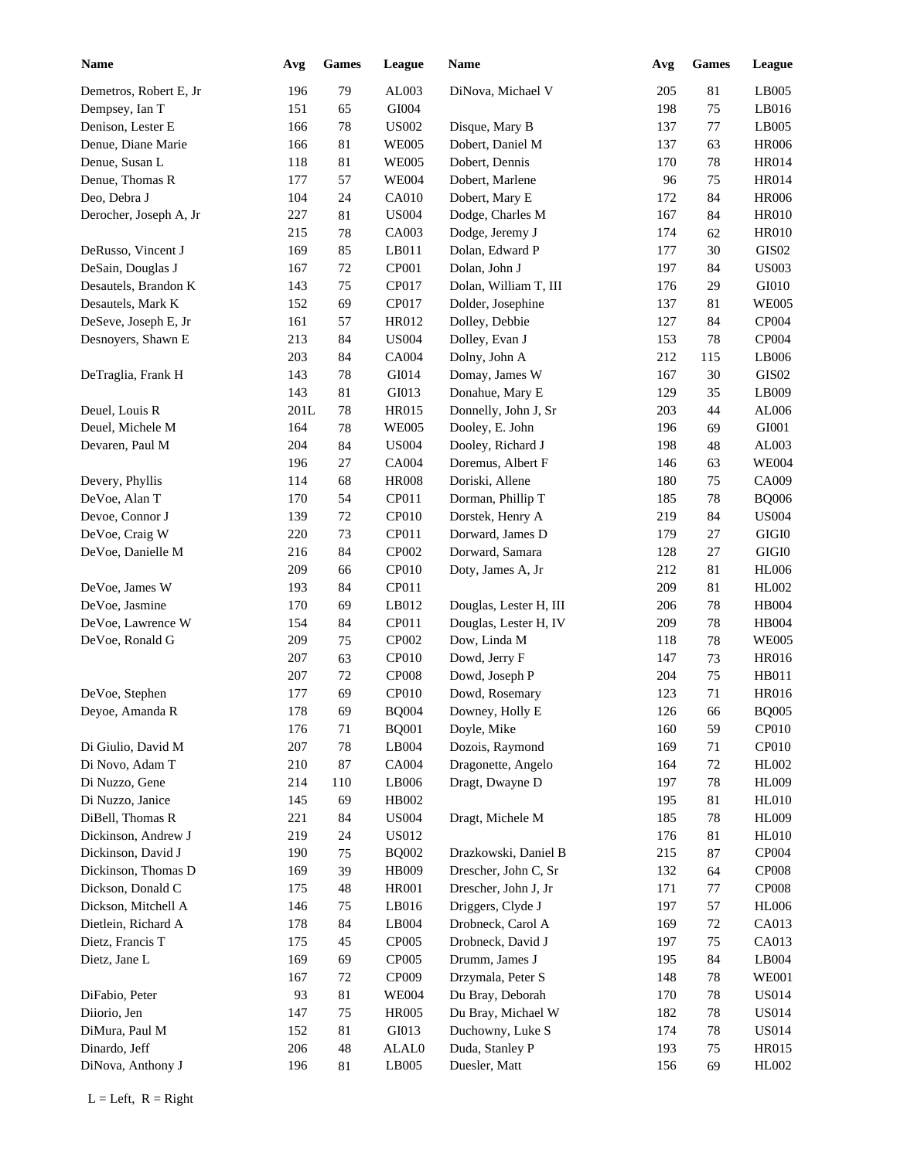| Name                   | Avg  | <b>Games</b> | League       | <b>Name</b>            | Avg     | <b>Games</b> | <b>League</b>     |
|------------------------|------|--------------|--------------|------------------------|---------|--------------|-------------------|
| Demetros, Robert E, Jr | 196  | 79           | AL003        | DiNova, Michael V      | 205     | 81           | LB005             |
| Dempsey, Ian T         | 151  | 65           | GI004        |                        | 198     | 75           | LB016             |
| Denison, Lester E      | 166  | 78           | <b>US002</b> | Disque, Mary B         | 137     | 77           | LB005             |
| Denue, Diane Marie     | 166  | 81           | <b>WE005</b> | Dobert, Daniel M       | 137     | 63           | <b>HR006</b>      |
| Denue, Susan L         | 118  | 81           | <b>WE005</b> | Dobert, Dennis         | 170     | 78           | HR014             |
| Denue, Thomas R        | 177  | 57           | <b>WE004</b> | Dobert, Marlene        | 96      | 75           | HR014             |
| Deo, Debra J           | 104  | 24           | CA010        | Dobert, Mary E         | 172     | 84           | <b>HR006</b>      |
| Derocher, Joseph A, Jr | 227  | 81           | <b>US004</b> | Dodge, Charles M       | 167     | 84           | <b>HR010</b>      |
|                        | 215  | $78\,$       | CA003        | Dodge, Jeremy J        | 174     | 62           | <b>HR010</b>      |
| DeRusso, Vincent J     | 169  | 85           | LB011        | Dolan, Edward P        | 177     | 30           | GIS <sub>02</sub> |
| DeSain, Douglas J      | 167  | $72\,$       | CP001        | Dolan, John J          | 197     | 84           | <b>US003</b>      |
| Desautels, Brandon K   | 143  | 75           | CP017        | Dolan, William T, III  | 176     | 29           | GI010             |
| Desautels, Mark K      | 152  | 69           | CP017        | Dolder, Josephine      | 137     | 81           | <b>WE005</b>      |
|                        | 161  |              | HR012        |                        | 127     |              | CP004             |
| DeSeve, Joseph E, Jr   |      | 57           |              | Dolley, Debbie         |         | 84           |                   |
| Desnoyers, Shawn E     | 213  | 84           | <b>US004</b> | Dolley, Evan J         | 153     | 78           | CP004             |
|                        | 203  | 84           | CA004        | Dolny, John A          | 212     | 115          | LB006             |
| DeTraglia, Frank H     | 143  | 78           | GI014        | Domay, James W         | 167     | 30           | GIS02             |
|                        | 143  | 81           | GI013        | Donahue, Mary E        | 129     | 35           | LB009             |
| Deuel, Louis R         | 201L | 78           | HR015        | Donnelly, John J, Sr   | 203     | 44           | AL006             |
| Deuel, Michele M       | 164  | 78           | <b>WE005</b> | Dooley, E. John        | 196     | 69           | GI001             |
| Devaren, Paul M        | 204  | 84           | <b>US004</b> | Dooley, Richard J      | 198     | 48           | AL003             |
|                        | 196  | 27           | CA004        | Doremus, Albert F      | 146     | 63           | <b>WE004</b>      |
| Devery, Phyllis        | 114  | 68           | <b>HR008</b> | Doriski, Allene        | 180     | 75           | CA009             |
| DeVoe, Alan T          | 170  | 54           | CP011        | Dorman, Phillip T      | 185     | 78           | <b>BQ006</b>      |
| Devoe, Connor J        | 139  | 72           | <b>CP010</b> | Dorstek, Henry A       | 219     | 84           | <b>US004</b>      |
| DeVoe, Craig W         | 220  | 73           | CP011        | Dorward, James D       | 179     | 27           | $\rm GIGI0$       |
| DeVoe, Danielle M      | 216  | 84           | CP002        | Dorward, Samara        | 128     | 27           | $\rm GIGI0$       |
|                        | 209  | 66           | CP010        | Doty, James A, Jr      | 212     | 81           | <b>HL006</b>      |
| DeVoe, James W         | 193  | 84           | CP011        |                        | 209     | 81           | HL002             |
| DeVoe, Jasmine         | 170  | 69           | LB012        | Douglas, Lester H, III | 206     | 78           | <b>HB004</b>      |
| DeVoe, Lawrence W      | 154  | 84           | CP011        | Douglas, Lester H, IV  | 209     | 78           | <b>HB004</b>      |
| DeVoe, Ronald G        | 209  | 75           | CP002        | Dow, Linda M           | 118     | 78           | <b>WE005</b>      |
|                        | 207  | 63           | <b>CP010</b> | Dowd, Jerry F          | 147     | 73           | <b>HR016</b>      |
|                        | 207  | $72\,$       | <b>CP008</b> | Dowd, Joseph P         | 204     | 75           | HB011             |
| DeVoe, Stephen         | 177  | 69           | CP010        | Dowd, Rosemary         | 123     | 71           | <b>HR016</b>      |
| Deyoe, Amanda R        | 178  | 69           | <b>BQ004</b> | Downey, Holly E        | $126\,$ | 66           | <b>BQ005</b>      |
|                        | 176  | 71           | <b>BQ001</b> | Doyle, Mike            | 160     | 59           | CP010             |
| Di Giulio, David M     | 207  | 78           | LB004        | Dozois, Raymond        | 169     | 71           | CP010             |
| Di Novo, Adam T        | 210  | 87           | CA004        | Dragonette, Angelo     | 164     | 72           | HL002             |
| Di Nuzzo, Gene         | 214  | 110          | LB006        | Dragt, Dwayne D        | 197     | $78\,$       | <b>HL009</b>      |
| Di Nuzzo, Janice       | 145  | 69           | HB002        |                        | 195     | 81           | <b>HL010</b>      |
| DiBell, Thomas R       | 221  | 84           | <b>US004</b> | Dragt, Michele M       | 185     | 78           | <b>HL009</b>      |
| Dickinson, Andrew J    | 219  | 24           | US012        |                        | 176     | 81           | <b>HL010</b>      |
| Dickinson, David J     | 190  | 75           | <b>BQ002</b> | Drazkowski, Daniel B   | 215     | 87           | CP004             |
| Dickinson, Thomas D    | 169  | 39           | HB009        | Drescher, John C, Sr   | 132     | 64           | <b>CP008</b>      |
| Dickson, Donald C      | 175  | 48           | <b>HR001</b> | Drescher, John J, Jr   | 171     | 77           | <b>CP008</b>      |
| Dickson, Mitchell A    | 146  | 75           | LB016        | Driggers, Clyde J      | 197     | 57           | HL006             |
| Dietlein, Richard A    | 178  | $\bf 84$     | LB004        | Drobneck, Carol A      | 169     | $72\,$       | CA013             |
| Dietz, Francis T       | 175  | 45           | CP005        | Drobneck, David J      | 197     | 75           | CA013             |
| Dietz, Jane L          | 169  | 69           | CP005        | Drumm, James J         | 195     | 84           | LB004             |
|                        | 167  | 72           | CP009        | Drzymala, Peter S      | 148     | 78           | <b>WE001</b>      |
| DiFabio, Peter         | 93   | $81\,$       | <b>WE004</b> | Du Bray, Deborah       | 170     | 78           | <b>US014</b>      |
| Diiorio, Jen           | 147  | 75           | <b>HR005</b> | Du Bray, Michael W     | 182     | 78           | <b>US014</b>      |
| DiMura, Paul M         | 152  | $81\,$       | GI013        | Duchowny, Luke S       | 174     | 78           | <b>US014</b>      |
| Dinardo, Jeff          | 206  | $\sqrt{48}$  | ALAL0        | Duda, Stanley P        | 193     | 75           | HR015             |
| DiNova, Anthony J      | 196  | 81           | LB005        | Duesler, Matt          | 156     | 69           | HL002             |
|                        |      |              |              |                        |         |              |                   |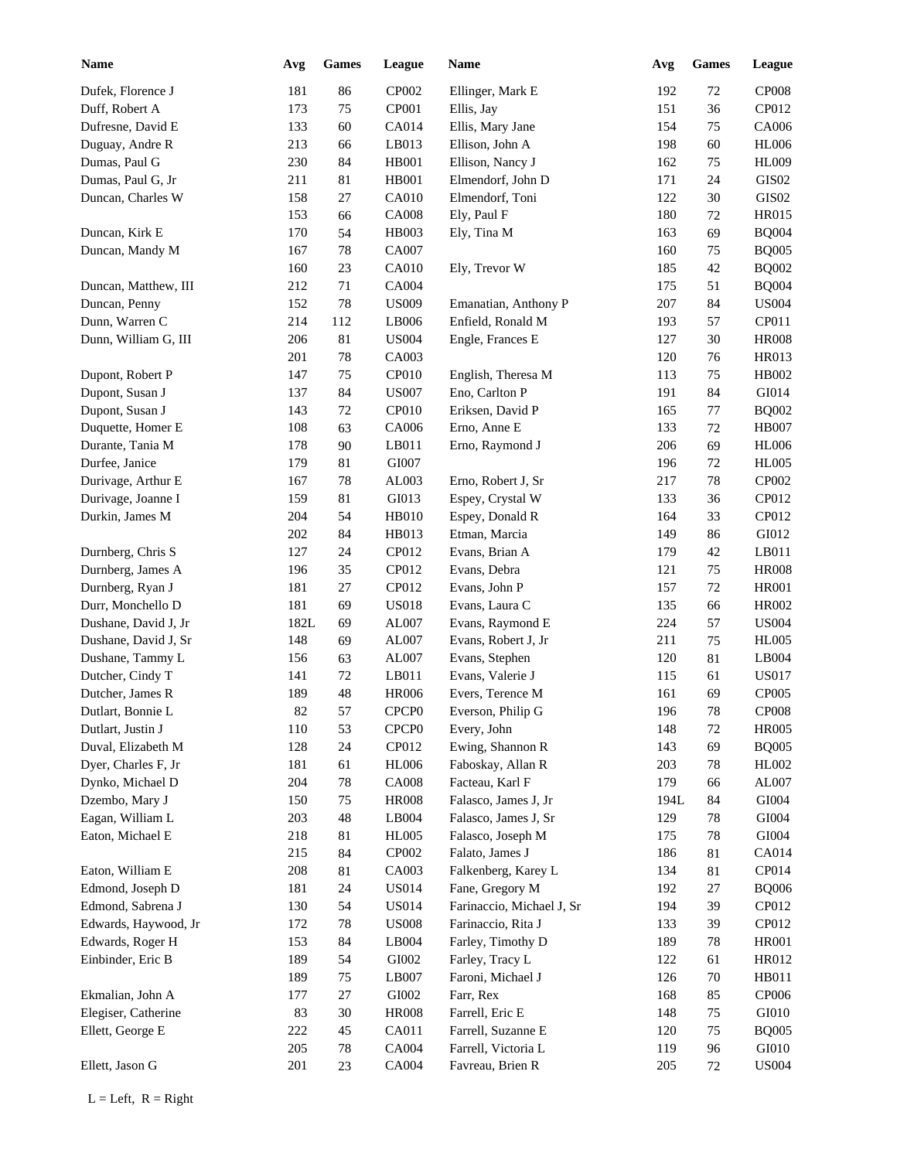| <b>Name</b>          | Avg  | <b>Games</b> | League            | Name                      | Avg  | Games  | League            |
|----------------------|------|--------------|-------------------|---------------------------|------|--------|-------------------|
| Dufek, Florence J    | 181  | 86           | CP002             | Ellinger, Mark E          | 192  | 72     | <b>CP008</b>      |
| Duff, Robert A       | 173  | 75           | CP001             | Ellis, Jay                | 151  | 36     | CP012             |
| Dufresne, David E    | 133  | 60           | CA014             | Ellis, Mary Jane          | 154  | 75     | CA006             |
| Duguay, Andre R      | 213  | 66           | LB013             | Ellison, John A           | 198  | 60     | <b>HL006</b>      |
| Dumas, Paul G        | 230  | 84           | HB001             | Ellison, Nancy J          | 162  | 75     | <b>HL009</b>      |
| Dumas, Paul G, Jr    | 211  | 81           | HB001             | Elmendorf, John D         | 171  | 24     | GIS <sub>02</sub> |
| Duncan, Charles W    | 158  | 27           | <b>CA010</b>      | Elmendorf, Toni           | 122  | 30     | GIS <sub>02</sub> |
|                      | 153  | 66           | <b>CA008</b>      | Ely, Paul F               | 180  | 72     | <b>HR015</b>      |
| Duncan, Kirk E       | 170  | 54           | HB003             | Ely, Tina M               | 163  | 69     | <b>BQ004</b>      |
| Duncan, Mandy M      | 167  | 78           | CA007             |                           | 160  | 75     | <b>BQ005</b>      |
|                      | 160  | 23           | <b>CA010</b>      | Ely, Trevor W             | 185  | 42     | <b>BQ002</b>      |
| Duncan, Matthew, III | 212  | 71           | <b>CA004</b>      |                           | 175  | 51     | <b>BQ004</b>      |
| Duncan, Penny        | 152  | 78           | <b>US009</b>      | Emanatian, Anthony P      | 207  | 84     | <b>US004</b>      |
| Dunn, Warren C       | 214  | 112          | LB006             | Enfield, Ronald M         | 193  | 57     | CP011             |
| Dunn, William G, III | 206  | 81           | <b>US004</b>      | Engle, Frances E          | 127  | 30     | <b>HR008</b>      |
|                      | 201  | 78           | CA003             |                           | 120  | 76     | HR013             |
| Dupont, Robert P     | 147  | 75           | CP010             | English, Theresa M        | 113  | 75     | HB002             |
| Dupont, Susan J      | 137  | 84           | <b>US007</b>      | Eno, Carlton P            | 191  | 84     | GI014             |
| Dupont, Susan J      | 143  | 72           | CP010             | Eriksen, David P          | 165  | 77     | <b>BQ002</b>      |
| Duquette, Homer E    | 108  | 63           | CA006             | Erno, Anne E              | 133  | 72     | <b>HB007</b>      |
| Durante, Tania M     | 178  | 90           | LB011             | Erno, Raymond J           | 206  | 69     | <b>HL006</b>      |
| Durfee, Janice       | 179  | 81           | GI007             |                           | 196  | 72     | <b>HL005</b>      |
| Durivage, Arthur E   | 167  | 78           | AL003             | Erno, Robert J, Sr        | 217  | 78     | CP002             |
| Durivage, Joanne I   | 159  | 81           | GI013             | Espey, Crystal W          | 133  | 36     | CP012             |
| Durkin, James M      | 204  | 54           | <b>HB010</b>      | Espey, Donald R           | 164  | 33     | CP012             |
|                      | 202  | 84           | HB013             | Etman, Marcia             | 149  | 86     | GI012             |
| Durnberg, Chris S    | 127  | 24           | CP012             | Evans, Brian A            | 179  | 42     | LB011             |
| Durnberg, James A    | 196  | 35           | CP012             | Evans, Debra              | 121  | 75     | <b>HR008</b>      |
| Durnberg, Ryan J     | 181  | 27           | CP012             | Evans, John P             | 157  | 72     | <b>HR001</b>      |
| Durr, Monchello D    | 181  | 69           | <b>US018</b>      | Evans, Laura C            | 135  | 66     | HR002             |
| Dushane, David J, Jr | 182L | 69           | AL007             | Evans, Raymond E          | 224  | 57     | <b>US004</b>      |
| Dushane, David J, Sr | 148  | 69           | AL007             | Evans, Robert J, Jr       | 211  | 75     | <b>HL005</b>      |
| Dushane, Tammy L     | 156  | 63           | AL007             | Evans, Stephen            | 120  | $81\,$ | LB004             |
| Dutcher, Cindy T     | 141  | $72\,$       | LB011             | Evans, Valerie J          | 115  | 61     | <b>US017</b>      |
| Dutcher, James R     | 189  | 48           | <b>HR006</b>      | Evers, Terence M          | 161  | 69     | <b>CP005</b>      |
| Dutlart, Bonnie L    | 82   | 57           | CPCP <sub>0</sub> | Everson, Philip G         | 196  | 78     | <b>CP008</b>      |
| Dutlart, Justin J    | 110  | 53           | CPCP <sub>0</sub> | Every, John               | 148  | 72     | <b>HR005</b>      |
| Duval, Elizabeth M   | 128  | 24           | CP012             | Ewing, Shannon R          | 143  | 69     | <b>BQ005</b>      |
| Dyer, Charles F, Jr  | 181  | 61           | <b>HL006</b>      | Faboskay, Allan R         | 203  | 78     | HL002             |
| Dynko, Michael D     | 204  | 78           | <b>CA008</b>      | Facteau, Karl F           | 179  | 66     | AL007             |
| Dzembo, Mary J       | 150  | 75           | <b>HR008</b>      | Falasco, James J, Jr      | 194L | 84     | GI004             |
| Eagan, William L     | 203  | $\sqrt{48}$  | LB004             | Falasco, James J, Sr      | 129  | 78     | GI004             |
| Eaton, Michael E     | 218  | 81           | <b>HL005</b>      | Falasco, Joseph M         | 175  | 78     | GI004             |
|                      | 215  | 84           | CP002             | Falato, James J           | 186  | 81     | CA014             |
| Eaton, William E     | 208  | 81           | CA003             | Falkenberg, Karey L       | 134  | 81     | CP014             |
| Edmond, Joseph D     | 181  | 24           | <b>US014</b>      | Fane, Gregory M           | 192  | 27     | <b>BQ006</b>      |
| Edmond, Sabrena J    | 130  | 54           | <b>US014</b>      | Farinaccio, Michael J, Sr | 194  | 39     | CP012             |
| Edwards, Haywood, Jr | 172  | $78\,$       | <b>US008</b>      | Farinaccio, Rita J        | 133  | 39     | CP012             |
| Edwards, Roger H     | 153  | 84           | LB004             | Farley, Timothy D         | 189  | 78     | <b>HR001</b>      |
| Einbinder, Eric B    | 189  | 54           | GI002             | Farley, Tracy L           | 122  | 61     | HR012             |
|                      | 189  | 75           | LB007             | Faroni, Michael J         | 126  | 70     | HB011             |
| Ekmalian, John A     | 177  | $27\,$       | GI002             | Farr, Rex                 | 168  | 85     | CP006             |
| Elegiser, Catherine  | 83   | $30\,$       | <b>HR008</b>      | Farrell, Eric E           | 148  | 75     | GI010             |
| Ellett, George E     | 222  | 45           | CA011             | Farrell, Suzanne E        | 120  | 75     | <b>BQ005</b>      |
|                      | 205  | $78\,$       | CA004             | Farrell, Victoria L       | 119  | 96     | GI010             |
|                      |      |              |                   |                           |      |        |                   |
| Ellett, Jason G      | 201  | 23           | CA004             | Favreau, Brien R          | 205  | 72     | <b>US004</b>      |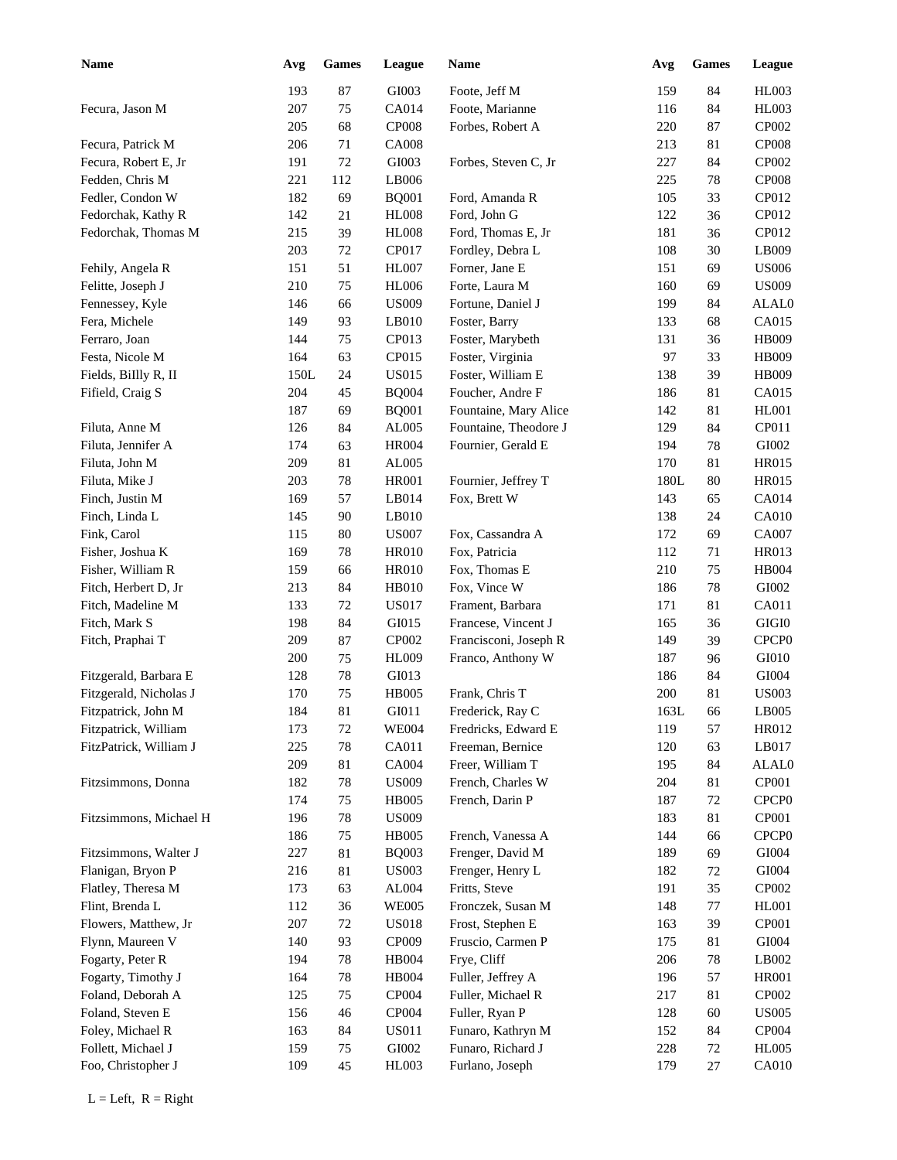| <b>Name</b>            | Avg  | <b>Games</b> | League       | <b>Name</b>           | Avg  | <b>Games</b> | League            |
|------------------------|------|--------------|--------------|-----------------------|------|--------------|-------------------|
|                        | 193  | 87           | GI003        | Foote, Jeff M         | 159  | 84           | HL003             |
| Fecura, Jason M        | 207  | 75           | CA014        | Foote, Marianne       | 116  | 84           | HL003             |
|                        | 205  | 68           | <b>CP008</b> | Forbes, Robert A      | 220  | 87           | CP002             |
| Fecura, Patrick M      | 206  | 71           | <b>CA008</b> |                       | 213  | 81           | <b>CP008</b>      |
| Fecura, Robert E, Jr   | 191  | 72           | GI003        | Forbes, Steven C, Jr  | 227  | 84           | CP002             |
| Fedden, Chris M        | 221  | 112          | LB006        |                       | 225  | $78\,$       | <b>CP008</b>      |
| Fedler, Condon W       | 182  | 69           | <b>BQ001</b> | Ford, Amanda R        | 105  | 33           | CP012             |
| Fedorchak, Kathy R     | 142  | 21           | <b>HL008</b> | Ford, John G          | 122  | 36           | CP012             |
| Fedorchak, Thomas M    | 215  | 39           | <b>HL008</b> | Ford, Thomas E, Jr    | 181  | 36           | CP012             |
|                        | 203  | 72           | CP017        | Fordley, Debra L      | 108  | 30           | LB009             |
| Fehily, Angela R       | 151  | 51           | <b>HL007</b> | Forner, Jane E        | 151  | 69           | <b>US006</b>      |
| Felitte, Joseph J      | 210  | 75           | <b>HL006</b> | Forte, Laura M        | 160  | 69           | <b>US009</b>      |
| Fennessey, Kyle        | 146  | 66           | <b>US009</b> | Fortune, Daniel J     | 199  | 84           | ALAL0             |
| Fera, Michele          | 149  | 93           | LB010        | Foster, Barry         | 133  | 68           | CA015             |
| Ferraro, Joan          | 144  | 75           | CP013        | Foster, Marybeth      | 131  | 36           | HB009             |
| Festa, Nicole M        | 164  | 63           | CP015        | Foster, Virginia      | 97   | 33           | HB009             |
| Fields, BiIlly R, II   | 150L | 24           | <b>US015</b> | Foster, William E     | 138  | 39           | HB009             |
| Fifield, Craig S       | 204  | 45           | <b>BQ004</b> | Foucher, Andre F      | 186  | 81           | CA015             |
|                        | 187  | 69           | <b>BQ001</b> | Fountaine, Mary Alice | 142  | 81           | <b>HL001</b>      |
| Filuta, Anne M         | 126  | 84           | AL005        | Fountaine, Theodore J | 129  | 84           | CP011             |
| Filuta, Jennifer A     | 174  | 63           | <b>HR004</b> | Fournier, Gerald E    | 194  | 78           | GI002             |
|                        | 209  |              |              |                       | 170  |              |                   |
| Filuta, John M         |      | 81           | AL005        |                       |      | 81           | <b>HR015</b>      |
| Filuta, Mike J         | 203  | 78           | <b>HR001</b> | Fournier, Jeffrey T   | 180L | 80           | <b>HR015</b>      |
| Finch, Justin M        | 169  | 57           | LB014        | Fox, Brett W          | 143  | 65           | CA014             |
| Finch, Linda L         | 145  | 90           | LB010        |                       | 138  | 24           | CA010             |
| Fink, Carol            | 115  | 80           | <b>US007</b> | Fox, Cassandra A      | 172  | 69           | CA007             |
| Fisher, Joshua K       | 169  | 78           | <b>HR010</b> | Fox, Patricia         | 112  | 71           | <b>HR013</b>      |
| Fisher, William R      | 159  | 66           | <b>HR010</b> | Fox, Thomas E         | 210  | 75           | <b>HB004</b>      |
| Fitch, Herbert D, Jr   | 213  | 84           | HB010        | Fox, Vince W          | 186  | $78\,$       | GI002             |
| Fitch, Madeline M      | 133  | 72           | <b>US017</b> | Frament, Barbara      | 171  | 81           | CA011             |
| Fitch, Mark S          | 198  | 84           | GI015        | Francese, Vincent J   | 165  | 36           | $\rm GIGI0$       |
| Fitch, Praphai T       | 209  | 87           | CP002        | Francisconi, Joseph R | 149  | 39           | CPCP <sub>0</sub> |
|                        | 200  | 75           | <b>HL009</b> | Franco, Anthony W     | 187  | 96           | GI010             |
| Fitzgerald, Barbara E  | 128  | 78           | GI013        |                       | 186  | 84           | GI004             |
| Fitzgerald, Nicholas J | 170  | 75           | <b>HB005</b> | Frank, Chris T        | 200  | $81\,$       | <b>US003</b>      |
| Fitzpatrick, John M    | 184  | 81           | GI011        | Frederick, Ray C      | 163L | 66           | LB005             |
| Fitzpatrick, William   | 173  | 72           | <b>WE004</b> | Fredricks, Edward E   | 119  | 57           | HR012             |
| FitzPatrick, William J | 225  | 78           | CA011        | Freeman, Bernice      | 120  | 63           | LB017             |
|                        | 209  | 81           | CA004        | Freer, William T      | 195  | 84           | ALAL0             |
| Fitzsimmons, Donna     | 182  | $78\,$       | <b>US009</b> | French, Charles W     | 204  | 81           | CP001             |
|                        | 174  | 75           | <b>HB005</b> | French, Darin P       | 187  | 72           | CPCP <sub>0</sub> |
| Fitzsimmons, Michael H | 196  | $78\,$       | <b>US009</b> |                       | 183  | 81           | CP001             |
|                        | 186  | $75\,$       | <b>HB005</b> | French, Vanessa A     | 144  | 66           | CPCP <sub>0</sub> |
| Fitzsimmons, Walter J  | 227  | 81           | <b>BQ003</b> | Frenger, David M      | 189  | 69           | GI004             |
| Flanigan, Bryon P      | 216  | 81           | <b>US003</b> | Frenger, Henry L      | 182  | 72           | GI004             |
| Flatley, Theresa M     | 173  | 63           | AL004        | Fritts, Steve         | 191  | 35           | CP002             |
| Flint, Brenda L        | 112  | 36           | <b>WE005</b> | Fronczek, Susan M     | 148  | 77           | HL001             |
| Flowers, Matthew, Jr   | 207  | 72           | <b>US018</b> | Frost, Stephen E      | 163  | 39           | CP001             |
| Flynn, Maureen V       | 140  | 93           | CP009        | Fruscio, Carmen P     | 175  | 81           | GI004             |
| Fogarty, Peter R       | 194  | 78           | HB004        | Frye, Cliff           | 206  | $78\,$       | LB002             |
| Fogarty, Timothy J     | 164  | $78\,$       | HB004        | Fuller, Jeffrey A     | 196  | 57           | <b>HR001</b>      |
| Foland, Deborah A      | 125  | 75           | CP004        | Fuller, Michael R     | 217  | 81           | CP002             |
| Foland, Steven E       | 156  | 46           | CP004        | Fuller, Ryan P        | 128  | 60           | <b>US005</b>      |
| Foley, Michael R       | 163  | 84           | <b>US011</b> | Funaro, Kathryn M     | 152  | 84           | CP004             |
| Follett, Michael J     | 159  | 75           | GI002        | Funaro, Richard J     | 228  | $72\,$       | HL005             |
| Foo, Christopher J     | 109  | 45           | HL003        | Furlano, Joseph       | 179  | $27\,$       | CA010             |
|                        |      |              |              |                       |      |              |                   |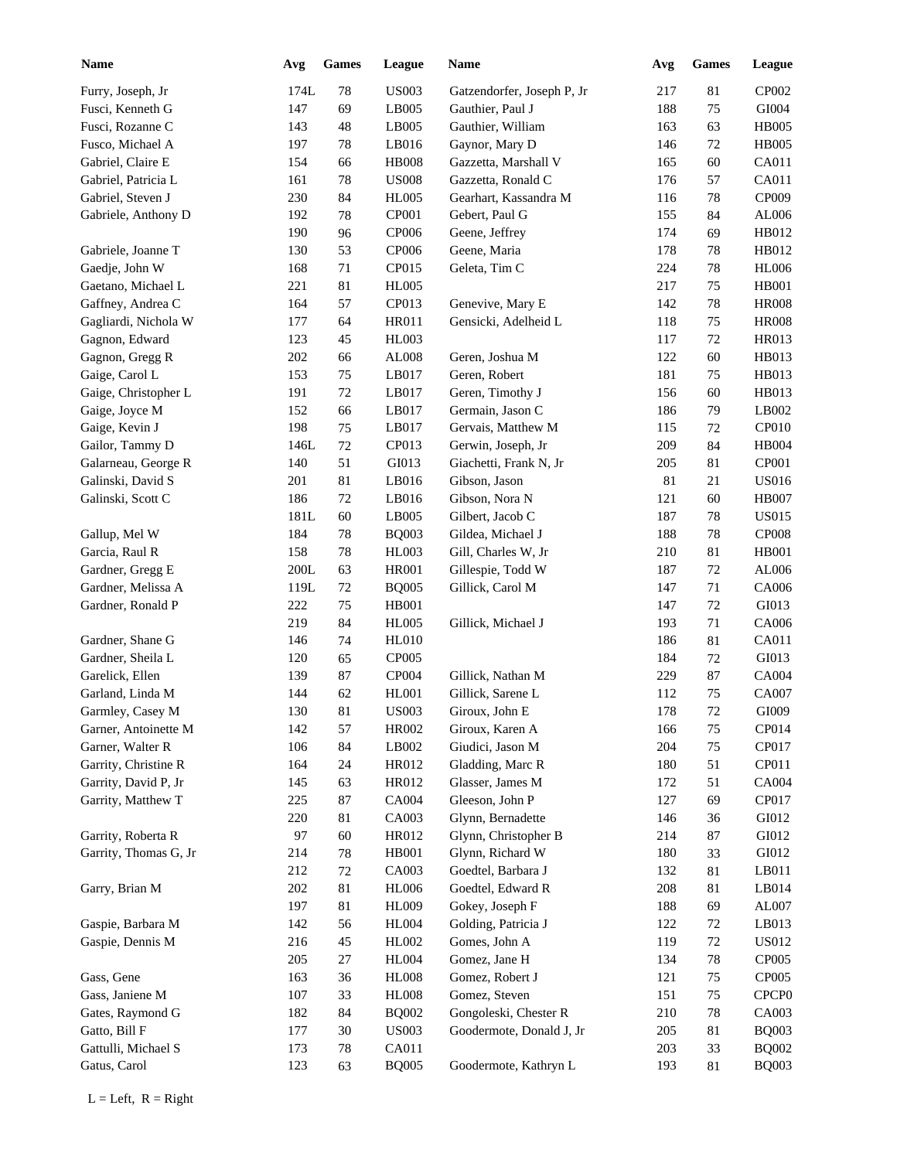| <b>Name</b>           | Avg  | <b>Games</b> | League       | <b>Name</b>                | Avg | <b>Games</b> | League            |
|-----------------------|------|--------------|--------------|----------------------------|-----|--------------|-------------------|
| Furry, Joseph, Jr     | 174L | 78           | <b>US003</b> | Gatzendorfer, Joseph P, Jr | 217 | 81           | CP002             |
| Fusci, Kenneth G      | 147  | 69           | LB005        | Gauthier, Paul J           | 188 | 75           | GI004             |
| Fusci, Rozanne C      | 143  | 48           | LB005        | Gauthier, William          | 163 | 63           | <b>HB005</b>      |
| Fusco, Michael A      | 197  | 78           | LB016        | Gaynor, Mary D             | 146 | 72           | <b>HB005</b>      |
| Gabriel, Claire E     | 154  | 66           | <b>HB008</b> | Gazzetta, Marshall V       | 165 | 60           | CA011             |
| Gabriel, Patricia L   | 161  | 78           | <b>US008</b> | Gazzetta, Ronald C         | 176 | 57           | CA011             |
| Gabriel, Steven J     | 230  | 84           | <b>HL005</b> | Gearhart, Kassandra M      | 116 | 78           | CP009             |
| Gabriele, Anthony D   | 192  | 78           | CP001        | Gebert, Paul G             | 155 | 84           | AL006             |
|                       | 190  | 96           | CP006        | Geene, Jeffrey             | 174 | 69           | HB012             |
| Gabriele, Joanne T    | 130  | 53           | CP006        | Geene, Maria               | 178 | 78           | HB012             |
| Gaedje, John W        | 168  | 71           | CP015        | Geleta, Tim C              | 224 | 78           | <b>HL006</b>      |
| Gaetano, Michael L    | 221  | 81           | <b>HL005</b> |                            | 217 | 75           | <b>HB001</b>      |
| Gaffney, Andrea C     | 164  | 57           | CP013        | Genevive, Mary E           | 142 | 78           | <b>HR008</b>      |
| Gagliardi, Nichola W  | 177  | 64           | <b>HR011</b> | Gensicki, Adelheid L       | 118 | 75           | <b>HR008</b>      |
| Gagnon, Edward        | 123  | 45           | HL003        |                            | 117 | 72           | HR013             |
| Gagnon, Gregg R       | 202  | 66           | AL008        | Geren, Joshua M            | 122 | 60           | HB013             |
| Gaige, Carol L        | 153  | 75           | LB017        | Geren, Robert              | 181 | 75           | HB013             |
| Gaige, Christopher L  | 191  | 72           | LB017        | Geren, Timothy J           | 156 | 60           | HB013             |
| Gaige, Joyce M        | 152  | 66           | LB017        | Germain, Jason C           | 186 | 79           | LB002             |
| Gaige, Kevin J        | 198  | 75           | LB017        | Gervais, Matthew M         | 115 | 72           | CP010             |
| Gailor, Tammy D       | 146L | $72\,$       | CP013        | Gerwin, Joseph, Jr         | 209 | 84           | HB004             |
| Galarneau, George R   | 140  | 51           | GI013        | Giachetti, Frank N, Jr     | 205 | 81           | CP001             |
| Galinski, David S     |      | 81           | LB016        |                            |     |              | <b>US016</b>      |
|                       | 201  |              |              | Gibson, Jason              | 81  | 21           |                   |
| Galinski, Scott C     | 186  | $72\,$       | LB016        | Gibson, Nora N             | 121 | 60           | <b>HB007</b>      |
|                       | 181L | 60           | LB005        | Gilbert, Jacob C           | 187 | 78           | <b>US015</b>      |
| Gallup, Mel W         | 184  | 78           | <b>BQ003</b> | Gildea, Michael J          | 188 | 78           | <b>CP008</b>      |
| Garcia, Raul R        | 158  | 78           | <b>HL003</b> | Gill, Charles W, Jr        | 210 | 81           | <b>HB001</b>      |
| Gardner, Gregg E      | 200L | 63           | <b>HR001</b> | Gillespie, Todd W          | 187 | $72\,$       | AL006             |
| Gardner, Melissa A    | 119L | 72           | <b>BQ005</b> | Gillick, Carol M           | 147 | 71           | CA006             |
| Gardner, Ronald P     | 222  | 75           | <b>HB001</b> |                            | 147 | 72           | GI013             |
|                       | 219  | 84           | <b>HL005</b> | Gillick, Michael J         | 193 | 71           | CA006             |
| Gardner, Shane G      | 146  | 74           | <b>HL010</b> |                            | 186 | 81           | CA011             |
| Gardner, Sheila L     | 120  | 65           | CP005        |                            | 184 | 72           | GI013             |
| Garelick, Ellen       | 139  | 87           | CP004        | Gillick, Nathan M          | 229 | 87           | CA004             |
| Garland, Linda M      | 144  | 62           | <b>HL001</b> | Gillick, Sarene L          | 112 | 75           | <b>CA007</b>      |
| Garmley, Casey M      | 130  | 81           | <b>US003</b> | Giroux, John E             | 178 | $72\,$       | GI009             |
| Garner, Antoinette M  | 142  | 57           | HR002        | Giroux, Karen A            | 166 | 75           | CP014             |
| Garner, Walter R      | 106  | 84           | LB002        | Giudici, Jason M           | 204 | $75\,$       | CP017             |
| Garrity, Christine R  | 164  | 24           | HR012        | Gladding, Marc R           | 180 | 51           | CP011             |
| Garrity, David P, Jr  | 145  | 63           | HR012        | Glasser, James M           | 172 | 51           | CA004             |
| Garrity, Matthew T    | 225  | $87\,$       | CA004        | Gleeson, John P            | 127 | 69           | CP017             |
|                       | 220  | 81           | CA003        | Glynn, Bernadette          | 146 | 36           | GI012             |
| Garrity, Roberta R    | 97   | 60           | HR012        | Glynn, Christopher B       | 214 | $87\,$       | GI012             |
| Garrity, Thomas G, Jr | 214  | $78\,$       | HB001        | Glynn, Richard W           | 180 | 33           | GI012             |
|                       | 212  | 72           | CA003        | Goedtel, Barbara J         | 132 | 81           | LB011             |
| Garry, Brian M        | 202  | 81           | <b>HL006</b> | Goedtel, Edward R          | 208 | 81           | LB014             |
|                       | 197  | 81           | <b>HL009</b> | Gokey, Joseph F            | 188 | 69           | AL007             |
| Gaspie, Barbara M     | 142  | 56           | <b>HL004</b> | Golding, Patricia J        | 122 | 72           | LB013             |
| Gaspie, Dennis M      | 216  | 45           | HL002        | Gomes, John A              | 119 | 72           | <b>US012</b>      |
|                       | 205  | 27           | <b>HL004</b> | Gomez, Jane H              | 134 | 78           | CP005             |
| Gass, Gene            | 163  | 36           | <b>HL008</b> | Gomez, Robert J            | 121 | $75\,$       | CP005             |
| Gass, Janiene M       | 107  | 33           | <b>HL008</b> | Gomez, Steven              | 151 | 75           | CPCP <sub>0</sub> |
| Gates, Raymond G      | 182  | 84           | <b>BQ002</b> | Gongoleski, Chester R      | 210 | 78           | CA003             |
| Gatto, Bill F         | 177  | $30\,$       | <b>US003</b> | Goodermote, Donald J, Jr   | 205 | 81           | <b>BQ003</b>      |
| Gattulli, Michael S   | 173  | $78\,$       | CA011        |                            | 203 | 33           | <b>BQ002</b>      |
|                       |      |              |              |                            |     |              |                   |
| Gatus, Carol          | 123  | 63           | <b>BQ005</b> | Goodermote, Kathryn L      | 193 | 81           | <b>BQ003</b>      |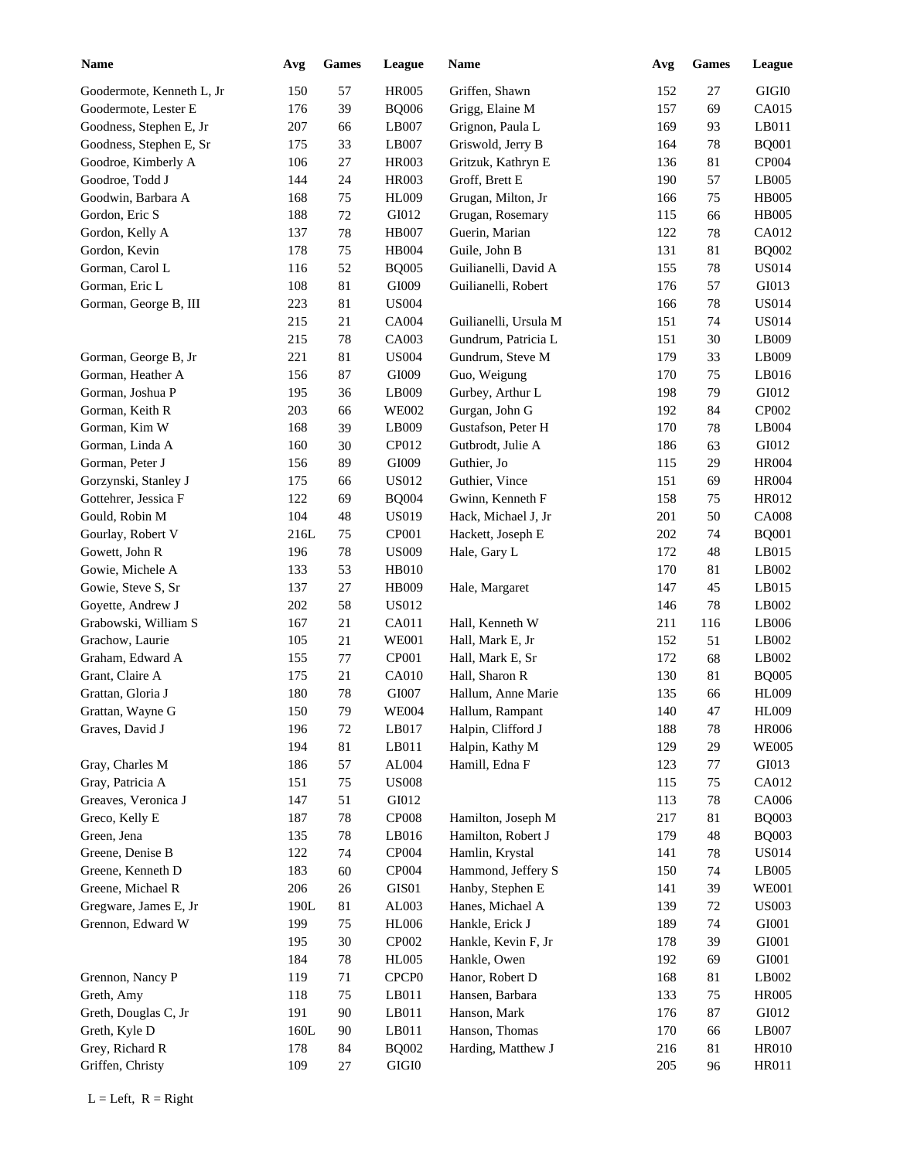| <b>Name</b>               | Avg  | ${\bf Games}$ | League            | Name                  | Avg | <b>Games</b> | League       |
|---------------------------|------|---------------|-------------------|-----------------------|-----|--------------|--------------|
| Goodermote, Kenneth L, Jr | 150  | 57            | <b>HR005</b>      | Griffen, Shawn        | 152 | 27           | GIGI0        |
| Goodermote, Lester E      | 176  | 39            | <b>BQ006</b>      | Grigg, Elaine M       | 157 | 69           | CA015        |
| Goodness, Stephen E, Jr   | 207  | 66            | LB007             | Grignon, Paula L      | 169 | 93           | LB011        |
| Goodness, Stephen E, Sr   | 175  | 33            | LB007             | Griswold, Jerry B     | 164 | 78           | <b>BQ001</b> |
| Goodroe, Kimberly A       | 106  | $27\,$        | HR003             | Gritzuk, Kathryn E    | 136 | 81           | CP004        |
| Goodroe, Todd J           | 144  | 24            | HR003             | Groff, Brett E        | 190 | 57           | LB005        |
| Goodwin, Barbara A        | 168  | $75\,$        | HL009             | Grugan, Milton, Jr    | 166 | 75           | <b>HB005</b> |
| Gordon, Eric S            | 188  | $72\,$        | GI012             | Grugan, Rosemary      | 115 | 66           | <b>HB005</b> |
| Gordon, Kelly A           | 137  | $78\,$        | <b>HB007</b>      | Guerin, Marian        | 122 | 78           | CA012        |
| Gordon, Kevin             | 178  | 75            | HB004             | Guile, John B         | 131 | 81           | <b>BQ002</b> |
| Gorman, Carol L           | 116  | 52            | <b>BQ005</b>      | Guilianelli, David A  | 155 | 78           | <b>US014</b> |
| Gorman, Eric L            | 108  | 81            | GI009             | Guilianelli, Robert   | 176 | 57           | GI013        |
| Gorman, George B, III     | 223  | 81            | <b>US004</b>      |                       | 166 | 78           | <b>US014</b> |
|                           | 215  | 21            | CA004             | Guilianelli, Ursula M | 151 | 74           | <b>US014</b> |
|                           | 215  | 78            | CA003             | Gundrum, Patricia L   | 151 | 30           | LB009        |
| Gorman, George B, Jr      | 221  | 81            | <b>US004</b>      | Gundrum, Steve M      | 179 | 33           | LB009        |
| Gorman, Heather A         | 156  | 87            | GI009             | Guo, Weigung          | 170 | 75           | LB016        |
| Gorman, Joshua P          | 195  | 36            | LB009             | Gurbey, Arthur L      | 198 | 79           | GI012        |
| Gorman, Keith R           | 203  | 66            | <b>WE002</b>      | Gurgan, John G        | 192 | 84           | CP002        |
| Gorman, Kim W             | 168  | 39            | LB009             | Gustafson, Peter H    | 170 | 78           | LB004        |
| Gorman, Linda A           | 160  | 30            | CP012             | Gutbrodt, Julie A     | 186 | 63           | GI012        |
| Gorman, Peter J           | 156  | 89            | GI009             | Guthier, Jo           | 115 | 29           | <b>HR004</b> |
| Gorzynski, Stanley J      | 175  | 66            | <b>US012</b>      | Guthier, Vince        | 151 | 69           | <b>HR004</b> |
| Gottehrer, Jessica F      | 122  | 69            | <b>BQ004</b>      | Gwinn, Kenneth F      | 158 | 75           | HR012        |
| Gould, Robin M            | 104  | 48            | <b>US019</b>      | Hack, Michael J, Jr   | 201 | 50           | <b>CA008</b> |
| Gourlay, Robert V         | 216L | 75            | CP001             | Hackett, Joseph E     | 202 | 74           | <b>BQ001</b> |
| Gowett, John R            | 196  | 78            | <b>US009</b>      | Hale, Gary L          | 172 | 48           | LB015        |
| Gowie, Michele A          | 133  | 53            | HB010             |                       | 170 | 81           | LB002        |
| Gowie, Steve S, Sr        | 137  | $27\,$        | <b>HB009</b>      | Hale, Margaret        | 147 | 45           | LB015        |
| Goyette, Andrew J         | 202  | 58            | US012             |                       | 146 | 78           | LB002        |
| Grabowski, William S      | 167  | 21            | CA011             | Hall, Kenneth W       | 211 | 116          | LB006        |
| Grachow, Laurie           | 105  | 21            | <b>WE001</b>      | Hall, Mark E, Jr      | 152 | 51           | LB002        |
| Graham, Edward A          | 155  | 77            | CP001             | Hall, Mark E, Sr      | 172 | 68           | LB002        |
| Grant, Claire A           | 175  | $21\,$        | <b>CA010</b>      | Hall, Sharon R        | 130 | 81           | <b>BQ005</b> |
| Grattan, Gloria J         | 180  | 78            | GI007             | Hallum, Anne Marie    | 135 | 66           | <b>HL009</b> |
| Grattan, Wayne G          | 150  | 79            | <b>WE004</b>      | Hallum, Rampant       | 140 | 47           | <b>HL009</b> |
| Graves, David J           | 196  | $72\,$        | LB017             | Halpin, Clifford J    | 188 | 78           | <b>HR006</b> |
|                           | 194  | $81\,$        | LB011             | Halpin, Kathy M       | 129 | 29           | <b>WE005</b> |
| Gray, Charles M           | 186  | 57            | AL004             | Hamill, Edna F        | 123 | 77           | GI013        |
| Gray, Patricia A          | 151  | 75            | <b>US008</b>      |                       | 115 | 75           | CA012        |
| Greaves, Veronica J       | 147  | 51            | GI012             |                       | 113 | 78           | CA006        |
| Greco, Kelly E            | 187  | $78\,$        | CP008             | Hamilton, Joseph M    | 217 | 81           | <b>BQ003</b> |
| Green, Jena               | 135  | 78            | LB016             | Hamilton, Robert J    | 179 | 48           | <b>BQ003</b> |
| Greene, Denise B          | 122  | 74            | CP004             | Hamlin, Krystal       | 141 | 78           | <b>US014</b> |
| Greene, Kenneth D         | 183  | 60            | CP004             | Hammond, Jeffery S    | 150 | 74           | LB005        |
| Greene, Michael R         | 206  | 26            | GIS01             | Hanby, Stephen E      | 141 | 39           | <b>WE001</b> |
| Gregware, James E, Jr     | 190L | $81\,$        | AL003             | Hanes, Michael A      | 139 | 72           | <b>US003</b> |
| Grennon, Edward W         | 199  | 75            | <b>HL006</b>      | Hankle, Erick J       | 189 | 74           | GI001        |
|                           | 195  | $30\,$        | CP002             | Hankle, Kevin F, Jr   | 178 | 39           | GI001        |
|                           |      |               |                   |                       |     |              | GI001        |
|                           | 184  | 78            | <b>HL005</b>      | Hankle, Owen          | 192 | 69           |              |
| Grennon, Nancy P          | 119  | 71            | CPCP <sub>0</sub> | Hanor, Robert D       | 168 | 81           | LB002        |
| Greth, Amy                | 118  | 75            | LB011             | Hansen, Barbara       | 133 | 75           | <b>HR005</b> |
| Greth, Douglas C, Jr      | 191  | $90\,$        | LB011             | Hanson, Mark          | 176 | 87           | GI012        |
| Greth, Kyle D             | 160L | 90            | LB011             | Hanson, Thomas        | 170 | 66           | LB007        |
| Grey, Richard R           | 178  | 84            | <b>BQ002</b>      | Harding, Matthew J    | 216 | 81           | <b>HR010</b> |
| Griffen, Christy          | 109  | 27            | GIGI0             |                       | 205 | 96           | <b>HR011</b> |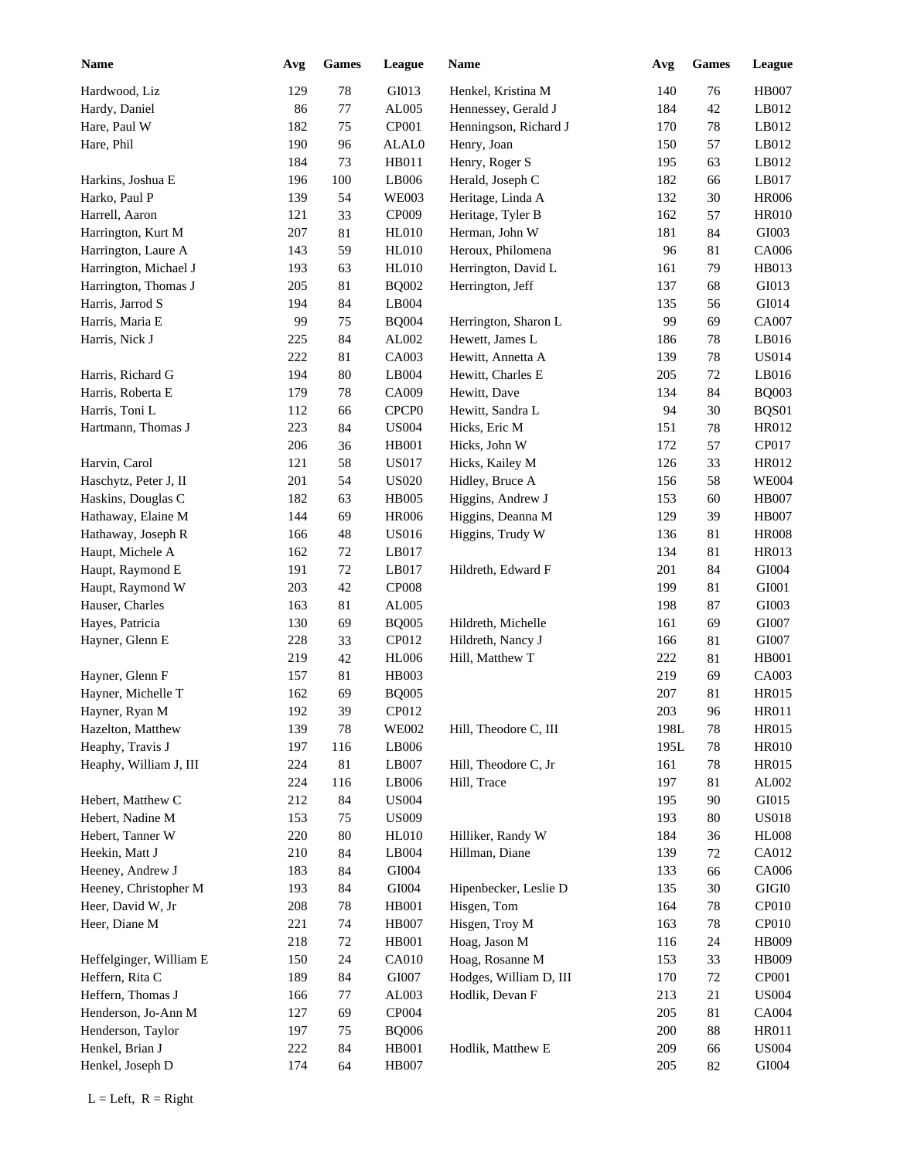| <b>Name</b>             | Avg | <b>Games</b> | League                 | Name                   | Avg  | <b>Games</b> | <b>League</b>         |
|-------------------------|-----|--------------|------------------------|------------------------|------|--------------|-----------------------|
| Hardwood, Liz           | 129 | 78           | GI013                  | Henkel, Kristina M     | 140  | 76           | <b>HB007</b>          |
| Hardy, Daniel           | 86  | $77\,$       | AL005                  | Hennessey, Gerald J    | 184  | 42           | LB012                 |
| Hare, Paul W            | 182 | 75           | CP001                  | Henningson, Richard J  | 170  | 78           | LB012                 |
| Hare, Phil              | 190 | 96           | ALAL0                  | Henry, Joan            | 150  | 57           | LB012                 |
|                         | 184 | 73           | HB011                  | Henry, Roger S         | 195  | 63           | LB012                 |
| Harkins, Joshua E       | 196 | 100          | LB006                  | Herald, Joseph C       | 182  | 66           | LB017                 |
| Harko, Paul P           | 139 | 54           | <b>WE003</b>           | Heritage, Linda A      | 132  | 30           | <b>HR006</b>          |
| Harrell, Aaron          | 121 | 33           | CP009                  | Heritage, Tyler B      | 162  | 57           | <b>HR010</b>          |
| Harrington, Kurt M      | 207 | 81           | <b>HL010</b>           | Herman, John W         | 181  | 84           | GI003                 |
| Harrington, Laure A     | 143 | 59           | <b>HL010</b>           | Heroux, Philomena      | 96   | 81           | CA006                 |
| Harrington, Michael J   | 193 | 63           | <b>HL010</b>           | Herrington, David L    | 161  | 79           | HB013                 |
| Harrington, Thomas J    | 205 | 81           | <b>BQ002</b>           | Herrington, Jeff       | 137  | 68           | GI013                 |
| Harris, Jarrod S        | 194 | 84           | LB004                  |                        | 135  | 56           | GI014                 |
| Harris, Maria E         | 99  | 75           | <b>BQ004</b>           | Herrington, Sharon L   | 99   | 69           | CA007                 |
| Harris, Nick J          | 225 | 84           | ${\rm AL}002$          | Hewett, James L        | 186  | 78           | LB016                 |
|                         | 222 | 81           | CA003                  | Hewitt, Annetta A      | 139  | 78           | <b>US014</b>          |
| Harris, Richard G       | 194 | 80           | $\operatorname{LB}004$ | Hewitt, Charles E      | 205  | 72           | LB016                 |
| Harris, Roberta E       | 179 | 78           | CA009                  | Hewitt, Dave           | 134  | 84           | <b>BQ003</b>          |
| Harris, Toni L          | 112 | 66           | CPCP <sub>0</sub>      | Hewitt, Sandra L       | 94   | 30           | BQS01                 |
| Hartmann, Thomas J      | 223 | 84           | <b>US004</b>           | Hicks, Eric M          | 151  | 78           | HR012                 |
|                         | 206 | 36           | <b>HB001</b>           | Hicks, John W          | 172  | 57           | CP017                 |
| Harvin, Carol           | 121 | 58           | <b>US017</b>           | Hicks, Kailey M        | 126  | 33           | HR012                 |
| Haschytz, Peter J, II   | 201 | 54           | <b>US020</b>           | Hidley, Bruce A        | 156  | 58           | <b>WE004</b>          |
| Haskins, Douglas C      | 182 | 63           | <b>HB005</b>           | Higgins, Andrew J      | 153  | 60           | <b>HB007</b>          |
| Hathaway, Elaine M      | 144 | 69           | <b>HR006</b>           | Higgins, Deanna M      | 129  | 39           | <b>HB007</b>          |
| Hathaway, Joseph R      | 166 | 48           | <b>US016</b>           | Higgins, Trudy W       | 136  | 81           | <b>HR008</b>          |
| Haupt, Michele A        | 162 | 72           | LB017                  |                        | 134  | 81           | HR013                 |
| Haupt, Raymond E        | 191 | $72\,$       | LB017                  | Hildreth, Edward F     | 201  | 84           | GI004                 |
| Haupt, Raymond W        | 203 | 42           | <b>CP008</b>           |                        | 199  | $81\,$       | GI001                 |
| Hauser, Charles         | 163 | 81           | AL005                  |                        | 198  | 87           | GI003                 |
| Hayes, Patricia         | 130 | 69           | <b>BQ005</b>           | Hildreth, Michelle     | 161  | 69           | GI007                 |
| Hayner, Glenn E         | 228 | 33           | CP012                  | Hildreth, Nancy J      | 166  | $81\,$       | GI007                 |
|                         | 219 | 42           | <b>HL006</b>           | Hill, Matthew T        | 222  | 81           | <b>HB001</b>          |
| Hayner, Glenn F         | 157 | 81           | HB003                  |                        | 219  | 69           | CA003                 |
| Hayner, Michelle T      | 162 | 69           | <b>BQ005</b>           |                        | 207  | 81           | <b>HR015</b>          |
| Hayner, Ryan M          | 192 | 39           | CP012                  |                        | 203  | 96           | HR011                 |
| Hazelton, Matthew       | 139 | 78           | <b>WE002</b>           | Hill, Theodore C, III  | 198L | 78           | HR015                 |
| Heaphy, Travis J        | 197 | 116          | LB006                  |                        | 195L | 78           | <b>HR010</b>          |
| Heaphy, William J, III  | 224 | $81\,$       | $\operatorname{LB}007$ | Hill, Theodore C, Jr   | 161  | 78           | HR015                 |
|                         | 224 | 116          | LB006                  | Hill, Trace            | 197  | 81           | ${\rm AL}002$         |
| Hebert, Matthew C       | 212 | $\bf 84$     | <b>US004</b>           |                        | 195  | 90           | GI015                 |
| Hebert, Nadine M        | 153 | 75           | <b>US009</b>           |                        | 193  | 80           | <b>US018</b>          |
| Hebert, Tanner W        | 220 | $80\,$       | <b>HL010</b>           | Hilliker, Randy W      | 184  | 36           | ${\rm H} {\rm L} 008$ |
| Heekin, Matt J          | 210 | $\bf 84$     | LB004                  | Hillman, Diane         | 139  | 72           | CA012                 |
| Heeney, Andrew J        | 183 | $\bf 84$     | GI004                  |                        | 133  | 66           | CA006                 |
| Heeney, Christopher M   | 193 | $\bf 84$     | ${\rm GIO}04$          | Hipenbecker, Leslie D  | 135  | 30           | $\rm GIGI0$           |
| Heer, David W, Jr       | 208 | 78           | HB001                  | Hisgen, Tom            | 164  | 78           | CP010                 |
| Heer, Diane M           | 221 | 74           | <b>HB007</b>           | Hisgen, Troy M         | 163  | 78           | CP010                 |
|                         | 218 | $72\,$       | HB001                  | Hoag, Jason M          | 116  | 24           | HB009                 |
| Heffelginger, William E | 150 | 24           | CA010                  | Hoag, Rosanne M        | 153  | 33           | HB009                 |
| Heffern, Rita C         | 189 | $\bf 84$     | GI007                  | Hodges, William D, III | 170  | $72\,$       | CP001                 |
| Heffern, Thomas J       | 166 | $77\,$       | AL003                  | Hodlik, Devan F        | 213  | 21           | <b>US004</b>          |
| Henderson, Jo-Ann M     | 127 | 69           | CP004                  |                        | 205  | 81           | CA004                 |
| Henderson, Taylor       | 197 | 75           | <b>BQ006</b>           |                        | 200  | 88           | <b>HR011</b>          |
| Henkel, Brian J         | 222 | $\bf 84$     | HB001                  | Hodlik, Matthew E      | 209  | 66           | <b>US004</b>          |
| Henkel, Joseph D        | 174 | 64           | HB007                  |                        | 205  | 82           | ${\rm GIO}04$         |
|                         |     |              |                        |                        |      |              |                       |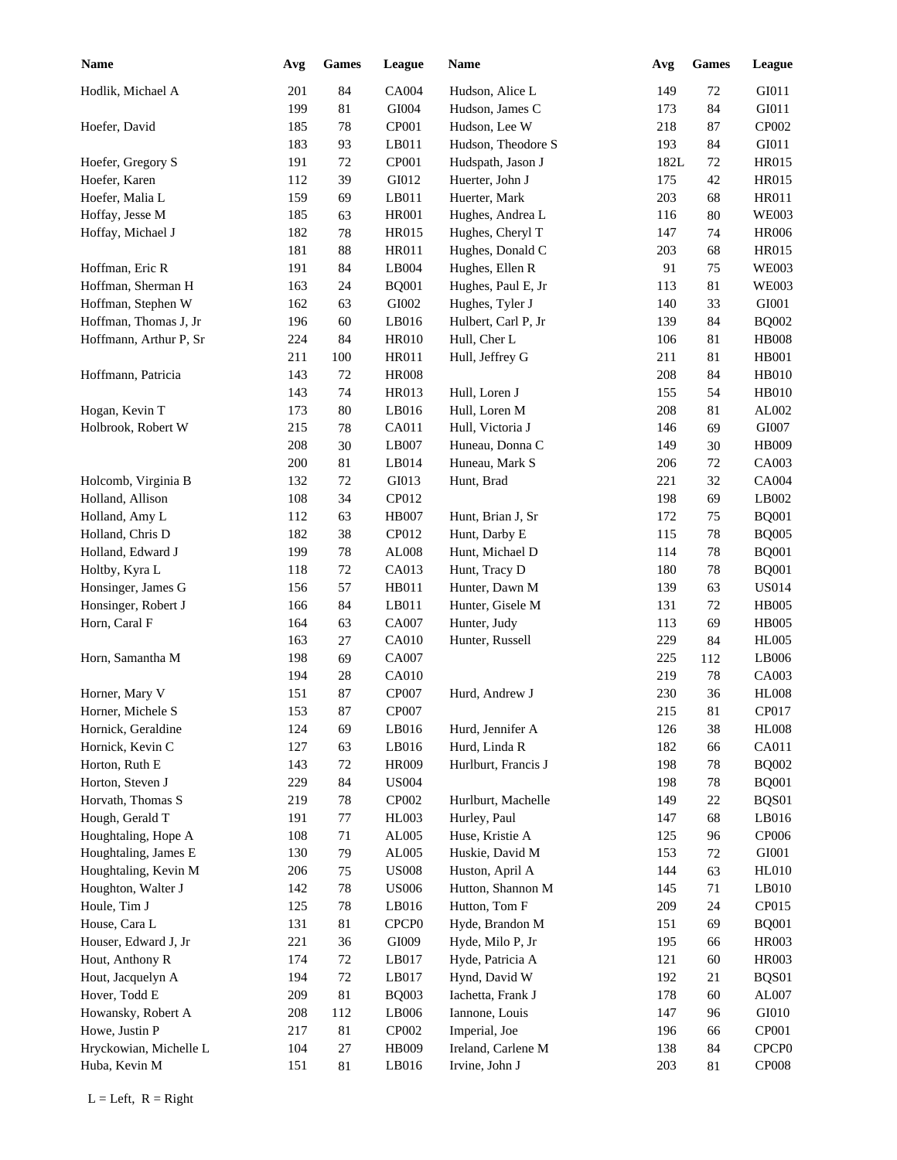| <b>Name</b>            | Avg | <b>Games</b> | League            | Name                | Avg  | <b>Games</b> | League            |
|------------------------|-----|--------------|-------------------|---------------------|------|--------------|-------------------|
| Hodlik, Michael A      | 201 | 84           | <b>CA004</b>      | Hudson, Alice L     | 149  | 72           | GI011             |
|                        | 199 | 81           | GI004             | Hudson, James C     | 173  | 84           | GI011             |
| Hoefer, David          | 185 | $78\,$       | CP001             | Hudson, Lee W       | 218  | 87           | CP002             |
|                        | 183 | 93           | LB011             | Hudson, Theodore S  | 193  | 84           | GI011             |
| Hoefer, Gregory S      | 191 | $72\,$       | CP001             | Hudspath, Jason J   | 182L | 72           | <b>HR015</b>      |
| Hoefer, Karen          | 112 | 39           | GI012             | Huerter, John J     | 175  | 42           | <b>HR015</b>      |
| Hoefer, Malia L        | 159 | 69           | LB011             | Huerter, Mark       | 203  | 68           | HR011             |
| Hoffay, Jesse M        | 185 | 63           | <b>HR001</b>      | Hughes, Andrea L    | 116  | 80           | <b>WE003</b>      |
| Hoffay, Michael J      | 182 | $78\,$       | <b>HR015</b>      | Hughes, Cheryl T    | 147  | 74           | <b>HR006</b>      |
|                        | 181 | 88           | HR011             | Hughes, Donald C    | 203  | 68           | <b>HR015</b>      |
| Hoffman, Eric R        | 191 | 84           | LB004             | Hughes, Ellen R     | 91   | 75           | <b>WE003</b>      |
| Hoffman, Sherman H     | 163 | 24           | <b>BQ001</b>      | Hughes, Paul E, Jr  | 113  | 81           | <b>WE003</b>      |
| Hoffman, Stephen W     | 162 | 63           | GI002             | Hughes, Tyler J     | 140  | 33           | GI001             |
| Hoffman, Thomas J, Jr  | 196 | 60           | LB016             | Hulbert, Carl P, Jr | 139  | 84           | <b>BQ002</b>      |
| Hoffmann, Arthur P, Sr | 224 | 84           | <b>HR010</b>      | Hull, Cher L        | 106  | 81           | <b>HB008</b>      |
|                        | 211 | 100          | HR011             | Hull, Jeffrey G     | 211  | 81           | <b>HB001</b>      |
| Hoffmann, Patricia     | 143 | 72           | <b>HR008</b>      |                     | 208  | 84           | HB010             |
|                        | 143 | 74           | HR013             | Hull, Loren J       | 155  | 54           | HB010             |
| Hogan, Kevin T         | 173 | 80           | LB016             | Hull, Loren M       | 208  | 81           | AL002             |
| Holbrook, Robert W     | 215 | 78           | CA011             | Hull, Victoria J    | 146  | 69           | GI007             |
|                        | 208 | 30           | LB007             | Huneau, Donna C     | 149  | 30           | HB009             |
|                        | 200 | 81           | LB014             | Huneau, Mark S      | 206  | 72           | CA003             |
| Holcomb, Virginia B    | 132 | 72           | GI013             | Hunt, Brad          | 221  | 32           | CA004             |
| Holland, Allison       | 108 | 34           | CP012             |                     | 198  | 69           | LB002             |
| Holland, Amy L         | 112 | 63           | <b>HB007</b>      | Hunt, Brian J, Sr   | 172  | 75           | <b>BQ001</b>      |
| Holland, Chris D       | 182 | 38           | CP012             | Hunt, Darby E       | 115  | 78           | <b>BQ005</b>      |
| Holland, Edward J      | 199 | $78\,$       | AL008             | Hunt, Michael D     | 114  | 78           | <b>BQ001</b>      |
| Holtby, Kyra L         | 118 | 72           | CA013             | Hunt, Tracy D       | 180  | 78           | <b>BQ001</b>      |
| Honsinger, James G     | 156 | 57           | HB011             | Hunter, Dawn M      | 139  | 63           | <b>US014</b>      |
| Honsinger, Robert J    | 166 | 84           | LB011             | Hunter, Gisele M    | 131  | 72           | <b>HB005</b>      |
| Horn, Caral F          | 164 | 63           | CA007             | Hunter, Judy        | 113  | 69           | <b>HB005</b>      |
|                        | 163 | 27           | <b>CA010</b>      | Hunter, Russell     | 229  | 84           | <b>HL005</b>      |
| Horn, Samantha M       | 198 | 69           | CA007             |                     | 225  | 112          | LB006             |
|                        | 194 | $28\,$       | CA010             |                     | 219  | $78\,$       | CA003             |
| Horner, Mary V         | 151 | 87           | CP007             | Hurd, Andrew J      | 230  | 36           | <b>HL008</b>      |
| Horner, Michele S      | 153 | 87           | CP007             |                     | 215  | $81\,$       | CP017             |
| Hornick, Geraldine     | 124 | 69           | LB016             | Hurd, Jennifer A    | 126  | 38           | <b>HL008</b>      |
| Hornick, Kevin C       | 127 | 63           | LB016             | Hurd, Linda R       | 182  | 66           | CA011             |
| Horton, Ruth E         | 143 | 72           | <b>HR009</b>      | Hurlburt, Francis J | 198  | 78           | <b>BQ002</b>      |
| Horton, Steven J       | 229 | $\bf 84$     | <b>US004</b>      |                     | 198  | $78\,$       | <b>BQ001</b>      |
| Horvath, Thomas S      | 219 | 78           | CP002             | Hurlburt, Machelle  | 149  | 22           | BQS01             |
| Hough, Gerald T        | 191 | 77           | HL003             | Hurley, Paul        | 147  | 68           | LB016             |
| Houghtaling, Hope A    | 108 | 71           | AL005             | Huse, Kristie A     | 125  | 96           | CP006             |
| Houghtaling, James E   | 130 | 79           | AL005             | Huskie, David M     | 153  | 72           | ${\rm GIO}01$     |
| Houghtaling, Kevin M   | 206 | 75           | <b>US008</b>      | Huston, April A     | 144  | 63           | HL010             |
| Houghton, Walter J     | 142 | 78           | <b>US006</b>      | Hutton, Shannon M   | 145  | 71           | $L$ B010          |
| Houle, Tim J           | 125 | 78           | LB016             | Hutton, Tom F       | 209  | 24           | CP015             |
| House, Cara L          | 131 | 81           | CPCP <sub>0</sub> | Hyde, Brandon M     | 151  | 69           | <b>BQ001</b>      |
| Houser, Edward J, Jr   | 221 | 36           | GI009             | Hyde, Milo P, Jr    | 195  | 66           | HR003             |
| Hout, Anthony R        | 174 | 72           | LB017             | Hyde, Patricia A    | 121  | 60           | HR003             |
| Hout, Jacquelyn A      | 194 | 72           | LB017             | Hynd, David W       | 192  | 21           | BQS01             |
| Hover, Todd E          | 209 | 81           | <b>BQ003</b>      | Iachetta, Frank J   | 178  | 60           | AL007             |
| Howansky, Robert A     | 208 | 112          | LB006             | Iannone, Louis      | 147  | 96           | GI010             |
| Howe, Justin P         |     |              |                   | Imperial, Joe       |      |              | CP001             |
|                        | 217 | 81           | CP002             |                     | 196  | 66           | CPCP <sub>0</sub> |
| Hryckowian, Michelle L | 104 | $27\,$       | HB009             | Ireland, Carlene M  | 138  | 84           |                   |
| Huba, Kevin M          | 151 | 81           | LB016             | Irvine, John J      | 203  | 81           | CP008             |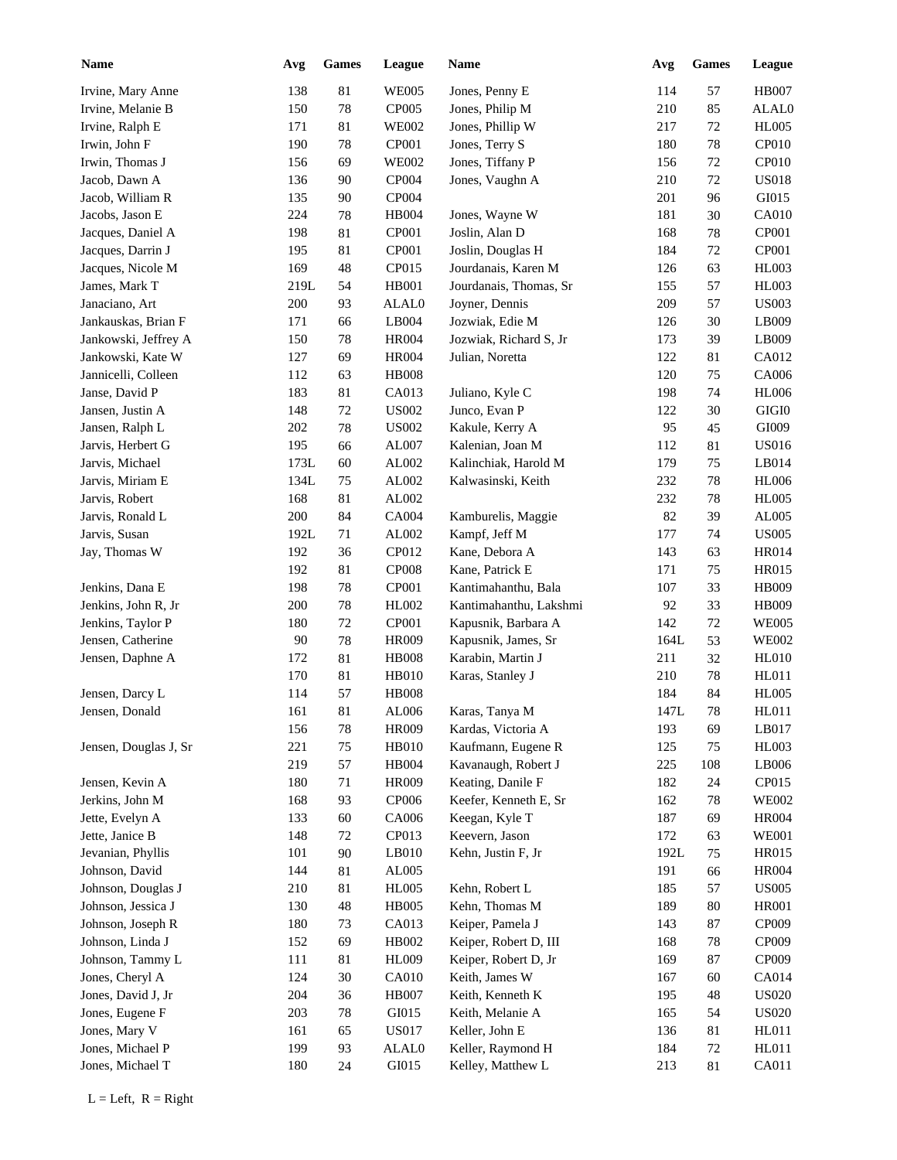| Name                  | Avg  | <b>Games</b> | League       | Name                   | Avg  | <b>Games</b> | League       |
|-----------------------|------|--------------|--------------|------------------------|------|--------------|--------------|
| Irvine, Mary Anne     | 138  | 81           | <b>WE005</b> | Jones, Penny E         | 114  | 57           | <b>HB007</b> |
| Irvine, Melanie B     | 150  | $78\,$       | CP005        | Jones, Philip M        | 210  | 85           | ALAL0        |
| Irvine, Ralph E       | 171  | 81           | <b>WE002</b> | Jones, Phillip W       | 217  | 72           | <b>HL005</b> |
| Irwin, John F         | 190  | 78           | CP001        | Jones, Terry S         | 180  | 78           | CP010        |
| Irwin, Thomas J       | 156  | 69           | <b>WE002</b> | Jones, Tiffany P       | 156  | 72           | CP010        |
| Jacob, Dawn A         | 136  | 90           | CP004        | Jones, Vaughn A        | 210  | 72           | <b>US018</b> |
| Jacob, William R      | 135  | 90           | CP004        |                        | 201  | 96           | GI015        |
| Jacobs, Jason E       | 224  | 78           | <b>HB004</b> | Jones, Wayne W         | 181  | 30           | <b>CA010</b> |
| Jacques, Daniel A     | 198  | 81           | CP001        | Joslin, Alan D         | 168  | $78\,$       | CP001        |
| Jacques, Darrin J     | 195  | 81           | CP001        | Joslin, Douglas H      | 184  | 72           | CP001        |
| Jacques, Nicole M     | 169  | 48           | CP015        | Jourdanais, Karen M    | 126  | 63           | HL003        |
| James, Mark T         | 219L | 54           | <b>HB001</b> | Jourdanais, Thomas, Sr | 155  | 57           | HL003        |
| Janaciano, Art        | 200  | 93           | ALAL0        | Joyner, Dennis         | 209  | 57           | <b>US003</b> |
| Jankauskas, Brian F   | 171  | 66           | LB004        | Jozwiak, Edie M        | 126  | 30           | LB009        |
| Jankowski, Jeffrey A  | 150  | 78           | <b>HR004</b> | Jozwiak, Richard S, Jr | 173  | 39           | LB009        |
| Jankowski, Kate W     | 127  | 69           | <b>HR004</b> | Julian, Noretta        | 122  | 81           | CA012        |
| Jannicelli, Colleen   | 112  | 63           | <b>HB008</b> |                        | 120  | 75           | CA006        |
| Janse, David P        | 183  | 81           | CA013        | Juliano, Kyle C        | 198  | 74           | <b>HL006</b> |
| Jansen, Justin A      | 148  | 72           | <b>US002</b> | Junco, Evan P          | 122  | 30           | $\rm GIGI0$  |
| Jansen, Ralph L       | 202  | 78           | <b>US002</b> | Kakule, Kerry A        | 95   | 45           | GI009        |
| Jarvis, Herbert G     | 195  | 66           | AL007        | Kalenian, Joan M       | 112  | 81           | <b>US016</b> |
| Jarvis, Michael       | 173L | 60           | AL002        | Kalinchiak, Harold M   | 179  | 75           | LB014        |
| Jarvis, Miriam E      | 134L | 75           | AL002        | Kalwasinski, Keith     | 232  | 78           | <b>HL006</b> |
| Jarvis, Robert        | 168  | 81           | AL002        |                        | 232  | 78           | <b>HL005</b> |
| Jarvis, Ronald L      | 200  | 84           | <b>CA004</b> | Kamburelis, Maggie     | 82   | 39           | AL005        |
| Jarvis, Susan         | 192L | 71           | AL002        | Kampf, Jeff M          | 177  | 74           | <b>US005</b> |
| Jay, Thomas W         | 192  | 36           | CP012        | Kane, Debora A         | 143  | 63           | <b>HR014</b> |
|                       | 192  | 81           | <b>CP008</b> | Kane, Patrick E        | 171  | 75           | <b>HR015</b> |
| Jenkins, Dana E       | 198  | 78           | CP001        | Kantimahanthu, Bala    | 107  | 33           | <b>HB009</b> |
| Jenkins, John R, Jr   | 200  | 78           | HL002        | Kantimahanthu, Lakshmi | 92   | 33           | <b>HB009</b> |
| Jenkins, Taylor P     | 180  | $72\,$       | CP001        | Kapusnik, Barbara A    | 142  | 72           | <b>WE005</b> |
| Jensen, Catherine     | 90   | 78           | <b>HR009</b> | Kapusnik, James, Sr    | 164L | 53           | <b>WE002</b> |
| Jensen, Daphne A      | 172  | 81           | <b>HB008</b> | Karabin, Martin J      | 211  | 32           | <b>HL010</b> |
|                       | 170  | 81           | <b>HB010</b> | Karas, Stanley J       | 210  | $78\,$       | HL011        |
| Jensen, Darcy L       | 114  | 57           | <b>HB008</b> |                        | 184  | 84           | <b>HL005</b> |
| Jensen, Donald        | 161  | $81\,$       | AL006        | Karas, Tanya M         | 147L | $78\,$       | HL011        |
|                       | 156  | 78           | HR009        | Kardas, Victoria A     | 193  | 69           | LB017        |
| Jensen, Douglas J, Sr | 221  | $75\,$       | HB010        | Kaufmann, Eugene R     | 125  | 75           | HL003        |
|                       | 219  | 57           | HB004        | Kavanaugh, Robert J    | 225  | 108          | LB006        |
| Jensen, Kevin A       | 180  | 71           | HR009        | Keating, Danile F      | 182  | 24           | CP015        |
| Jerkins, John M       | 168  | 93           | CP006        | Keefer, Kenneth E, Sr  | 162  | $78\,$       | <b>WE002</b> |
| Jette, Evelyn A       | 133  | 60           | CA006        | Keegan, Kyle T         | 187  | 69           | <b>HR004</b> |
| Jette, Janice B       | 148  | 72           | CP013        | Keevern, Jason         | 172  | 63           | <b>WE001</b> |
| Jevanian, Phyllis     | 101  | $90\,$       | LB010        | Kehn, Justin F, Jr     | 192L | 75           | HR015        |
| Johnson, David        | 144  | 81           | AL005        |                        | 191  | 66           | <b>HR004</b> |
| Johnson, Douglas J    | 210  | 81           | <b>HL005</b> | Kehn, Robert L         | 185  | 57           | <b>US005</b> |
| Johnson, Jessica J    | 130  | $\sqrt{48}$  | <b>HB005</b> | Kehn, Thomas M         | 189  | $80\,$       | <b>HR001</b> |
| Johnson, Joseph R     | 180  | 73           | CA013        | Keiper, Pamela J       | 143  | 87           | CP009        |
| Johnson, Linda J      |      |              |              | Keiper, Robert D, III  |      |              | CP009        |
|                       | 152  | 69           | HB002        |                        | 168  | $78\,$       |              |
| Johnson, Tammy L      | 111  | 81           | <b>HL009</b> | Keiper, Robert D, Jr   | 169  | $87\,$       | CP009        |
| Jones, Cheryl A       | 124  | $30\,$       | <b>CA010</b> | Keith, James W         | 167  | 60           | CA014        |
| Jones, David J, Jr    | 204  | 36           | <b>HB007</b> | Keith, Kenneth K       | 195  | 48           | <b>US020</b> |
| Jones, Eugene F       | 203  | 78           | GI015        | Keith, Melanie A       | 165  | 54           | <b>US020</b> |
| Jones, Mary V         | 161  | 65           | <b>US017</b> | Keller, John E         | 136  | 81           | HL011        |
| Jones, Michael P      | 199  | 93           | ALAL0        | Keller, Raymond H      | 184  | 72           | HL011        |
| Jones, Michael T      | 180  | 24           | GI015        | Kelley, Matthew L      | 213  | 81           | CA011        |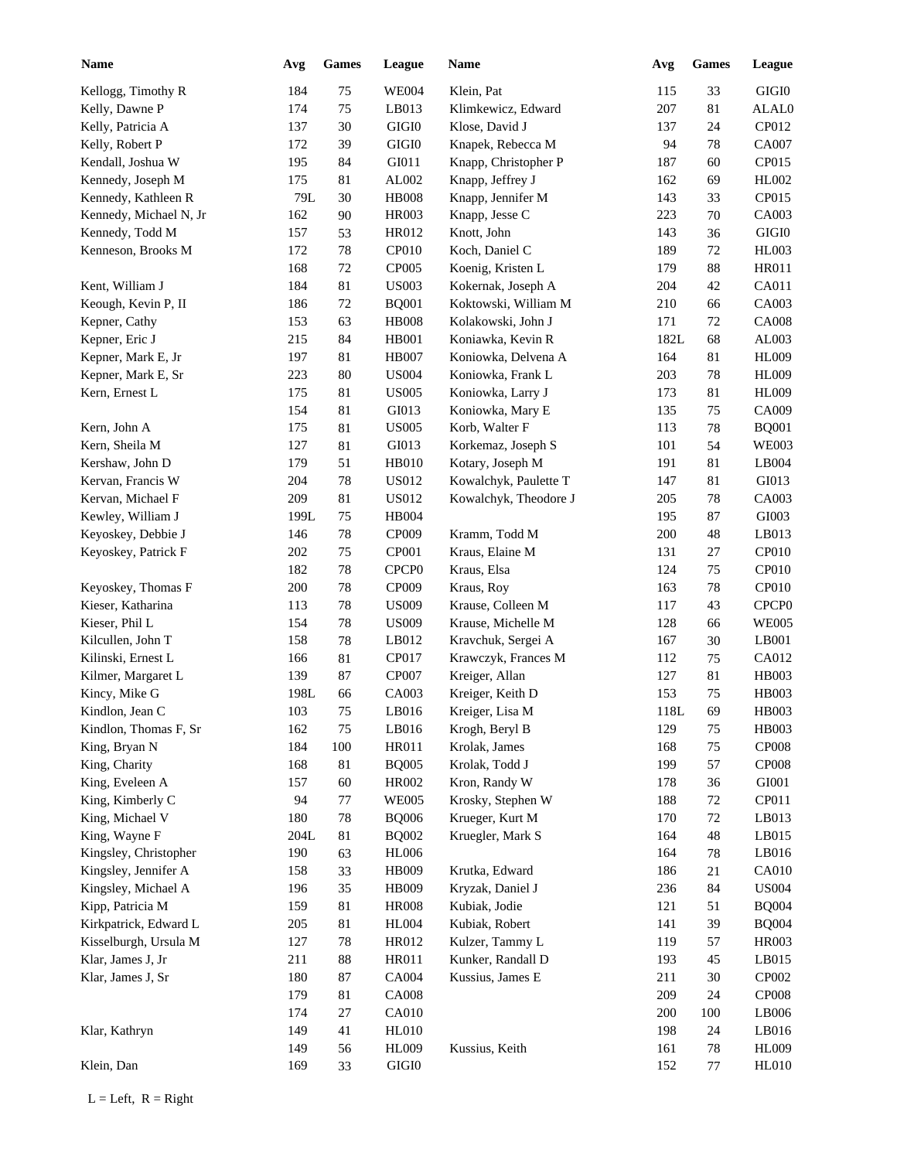| <b>Name</b>            | Avg        | <b>Games</b> | League                | Name                  | Avg  | <b>Games</b> | League                |
|------------------------|------------|--------------|-----------------------|-----------------------|------|--------------|-----------------------|
| Kellogg, Timothy R     | 184        | 75           | <b>WE004</b>          | Klein, Pat            | 115  | 33           | GIGI <sub>0</sub>     |
| Kelly, Dawne P         | 174        | 75           | LB013                 | Klimkewicz, Edward    | 207  | 81           | ALAL0                 |
| Kelly, Patricia A      | 137        | $30\,$       | $\rm GIGI0$           | Klose, David J        | 137  | 24           | CP012                 |
| Kelly, Robert P        | 172        | 39           | $\rm GIGI0$           | Knapek, Rebecca M     | 94   | 78           | CA007                 |
| Kendall, Joshua W      | 195        | 84           | GI011                 | Knapp, Christopher P  | 187  | 60           | CP015                 |
| Kennedy, Joseph M      | 175        | 81           | AL002                 | Knapp, Jeffrey J      | 162  | 69           | HL002                 |
| Kennedy, Kathleen R    | 79L        | 30           | <b>HB008</b>          | Knapp, Jennifer M     | 143  | 33           | CP015                 |
| Kennedy, Michael N, Jr | 162        | 90           | <b>HR003</b>          | Knapp, Jesse C        | 223  | 70           | CA003                 |
| Kennedy, Todd M        | 157        | 53           | HR012                 | Knott, John           | 143  | 36           | $\rm GIGI0$           |
| Kenneson, Brooks M     | 172        | $78\,$       | CP010                 | Koch, Daniel C        | 189  | 72           | <b>HL003</b>          |
|                        | 168        | 72           | CP005                 | Koenig, Kristen L     | 179  | 88           | <b>HR011</b>          |
| Kent, William J        | 184        | $81\,$       | <b>US003</b>          | Kokernak, Joseph A    | 204  | 42           | CA011                 |
| Keough, Kevin P, II    | 186        | $72\,$       | <b>BQ001</b>          | Koktowski, William M  | 210  | 66           | CA003                 |
| Kepner, Cathy          | 153        | 63           | <b>HB008</b>          | Kolakowski, John J    | 171  | 72           | <b>CA008</b>          |
| Kepner, Eric J         | 215        | 84           | <b>HB001</b>          | Koniawka, Kevin R     | 182L | 68           | AL003                 |
| Kepner, Mark E, Jr     | 197        | 81           | <b>HB007</b>          | Koniowka, Delvena A   | 164  | 81           | <b>HL009</b>          |
| Kepner, Mark E, Sr     | 223        | 80           | <b>US004</b>          | Koniowka, Frank L     | 203  | 78           | <b>HL009</b>          |
| Kern, Ernest L         | 175        | 81           | <b>US005</b>          | Koniowka, Larry J     | 173  | 81           | <b>HL009</b>          |
|                        | 154        | 81           | GI013                 | Koniowka, Mary E      | 135  | 75           | CA009                 |
| Kern, John A           | 175        | 81           | <b>US005</b>          | Korb, Walter F        | 113  | 78           | <b>BQ001</b>          |
| Kern, Sheila M         | 127        | 81           | GI013                 | Korkemaz, Joseph S    | 101  | 54           | <b>WE003</b>          |
| Kershaw, John D        | 179        | 51           | <b>HB010</b>          | Kotary, Joseph M      | 191  | 81           | LB004                 |
| Kervan, Francis W      | 204        | 78           | <b>US012</b>          | Kowalchyk, Paulette T | 147  | 81           | GI013                 |
| Kervan, Michael F      | 209        | 81           | <b>US012</b>          | Kowalchyk, Theodore J | 205  | 78           | CA003                 |
| Kewley, William J      | 199L       | 75           | HB004                 |                       | 195  | 87           | GI003                 |
| Keyoskey, Debbie J     | 146        | $78\,$       | CP009                 | Kramm, Todd M         | 200  | 48           | LB013                 |
| Keyoskey, Patrick F    | 202        | 75           | CP001                 | Kraus, Elaine M       | 131  | 27           | CP010                 |
|                        | 182        | $78\,$       | CPCP <sub>0</sub>     | Kraus, Elsa           | 124  | 75           | CP010                 |
| Keyoskey, Thomas F     | 200        | $78\,$       | CP009                 | Kraus, Roy            | 163  | 78           | CP010                 |
| Kieser, Katharina      | 113        | $78\,$       | <b>US009</b>          | Krause, Colleen M     | 117  | 43           | CPCP <sub>0</sub>     |
| Kieser, Phil L         | 154        | $78\,$       | <b>US009</b>          | Krause, Michelle M    | 128  | 66           | <b>WE005</b>          |
| Kilcullen, John T      | 158        | $78\,$       | LB012                 | Kravchuk, Sergei A    | 167  | 30           | LB001                 |
| Kilinski, Ernest L     | 166        | $81\,$       | CP017                 | Krawczyk, Frances M   | 112  | 75           | CA012                 |
| Kilmer, Margaret L     | 139        | 87           | CP007                 | Kreiger, Allan        | 127  | 81           | HB003                 |
| Kincy, Mike G          | 198L       | 66           | CA003                 | Kreiger, Keith D      | 153  | 75           | <b>HB003</b>          |
| Kindlon, Jean C        | 103        | $75\,$       | LB016                 | Kreiger, Lisa M       | 118L | 69           | HB003                 |
| Kindlon, Thomas F, Sr  | 162        | 75           | LB016                 | Krogh, Beryl B        | 129  | 75           | HB003                 |
| King, Bryan N          | 184        | $100\,$      | HR011                 | Krolak, James         | 168  | 75           | <b>CP008</b>          |
| King, Charity          | 168        | 81           | <b>BQ005</b>          | Krolak, Todd J        | 199  | 57           | CP008                 |
| King, Eveleen A        | 157        | 60           | HR002                 | Kron, Randy W         | 178  | 36           | GI001                 |
| King, Kimberly C       | 94         | $77\,$       | <b>WE005</b>          | Krosky, Stephen W     | 188  | 72           | CP011                 |
| King, Michael V        | 180        | $78\,$       | <b>BQ006</b>          | Krueger, Kurt M       | 170  | 72           | LB013                 |
| King, Wayne F          | 204L       | $81\,$       | <b>BQ002</b>          | Kruegler, Mark S      | 164  | $\sqrt{48}$  | LB015                 |
| Kingsley, Christopher  | 190        | 63           | <b>HL006</b>          |                       | 164  | 78           | LB016                 |
| Kingsley, Jennifer A   | 158        | 33           | HB009                 | Krutka, Edward        | 186  | 21           | <b>CA010</b>          |
| Kingsley, Michael A    | 196        | 35           | HB009                 | Kryzak, Daniel J      | 236  | 84           | <b>US004</b>          |
| Kipp, Patricia M       | 159        | 81           | <b>HR008</b>          | Kubiak, Jodie         | 121  | 51           | <b>BQ004</b>          |
| Kirkpatrick, Edward L  | 205        | 81           | <b>HL004</b>          | Kubiak, Robert        | 141  | 39           | <b>BQ004</b>          |
| Kisselburgh, Ursula M  | 127        | $78\,$       | HR012                 | Kulzer, Tammy L       | 119  | 57           | HR003                 |
| Klar, James J, Jr      | 211        | $88\,$       | HR011                 | Kunker, Randall D     | 193  | 45           | LB015                 |
| Klar, James J, Sr      | 180        | $87\,$       | CA004                 | Kussius, James E      | 211  | $30\,$       | CP002                 |
|                        | 179        | 81           | <b>CA008</b>          |                       | 209  | 24           | CP008                 |
|                        | 174        | $27\,$       | CA010                 |                       | 200  |              | LB006                 |
|                        |            |              |                       |                       |      | 100          |                       |
| Klar, Kathryn          | 149<br>149 | 41           | <b>HL010</b><br>HL009 | Kussius, Keith        | 198  | 24           | LB016<br><b>HL009</b> |
|                        |            | 56           |                       |                       | 161  | 78           |                       |
| Klein, Dan             | 169        | 33           | $\rm GIGI0$           |                       | 152  | 77           | <b>HL010</b>          |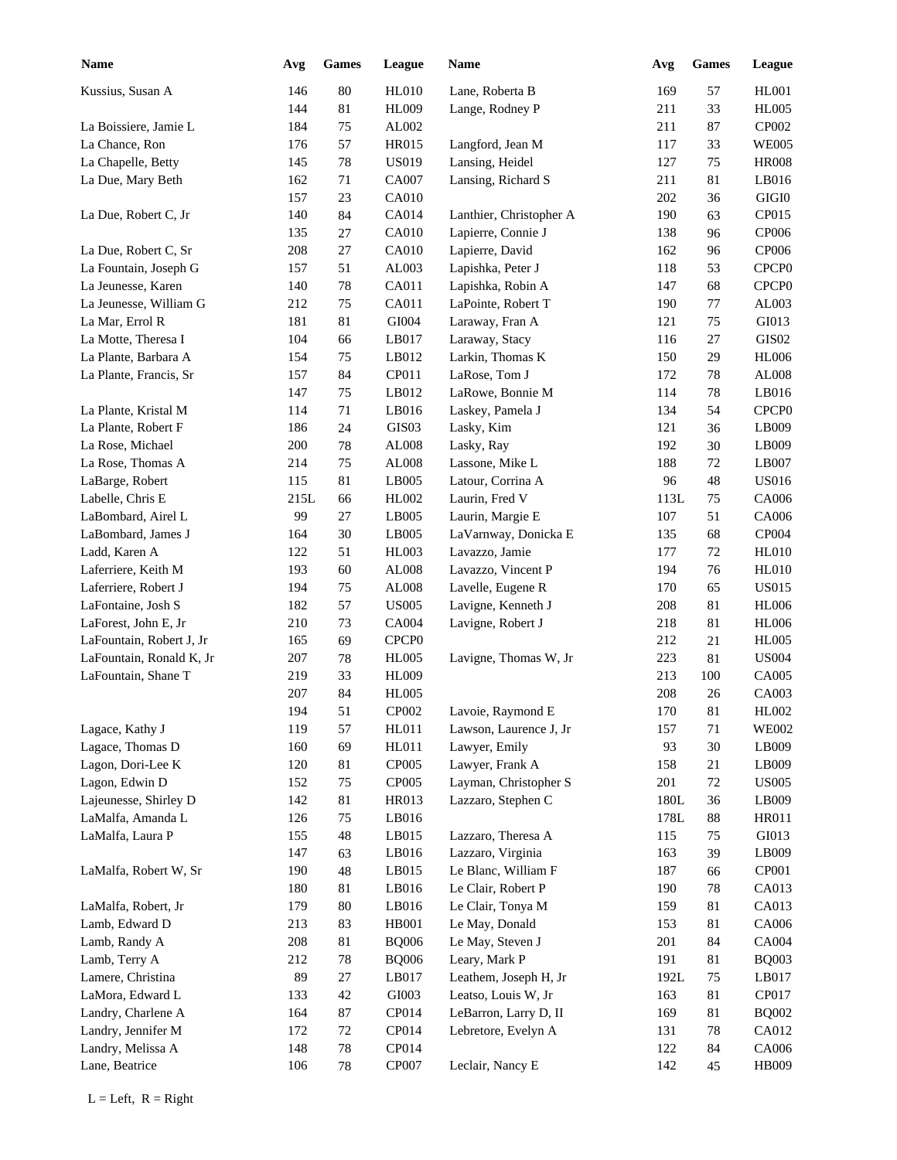| <b>Name</b>              | Avg  | <b>Games</b> | League            | Name                    | Avg     | <b>Games</b> | <b>League</b>     |
|--------------------------|------|--------------|-------------------|-------------------------|---------|--------------|-------------------|
| Kussius, Susan A         | 146  | 80           | <b>HL010</b>      | Lane, Roberta B         | 169     | 57           | <b>HL001</b>      |
|                          | 144  | 81           | HL009             | Lange, Rodney P         | 211     | 33           | <b>HL005</b>      |
| La Boissiere, Jamie L    | 184  | 75           | AL002             |                         | 211     | 87           | CP002             |
| La Chance, Ron           | 176  | 57           | HR015             | Langford, Jean M        | 117     | 33           | <b>WE005</b>      |
| La Chapelle, Betty       | 145  | 78           | <b>US019</b>      | Lansing, Heidel         | 127     | 75           | <b>HR008</b>      |
| La Due, Mary Beth        | 162  | 71           | CA007             | Lansing, Richard S      | 211     | 81           | LB016             |
|                          | 157  | 23           | <b>CA010</b>      |                         | 202     | 36           | $\rm GIGI0$       |
| La Due, Robert C, Jr     | 140  | 84           | CA014             | Lanthier, Christopher A | 190     | 63           | CP015             |
|                          | 135  | 27           | CA010             | Lapierre, Connie J      | 138     | 96           | CP006             |
| La Due, Robert C, Sr     | 208  | $27\,$       | CA010             | Lapierre, David         | 162     | 96           | CP006             |
| La Fountain, Joseph G    | 157  | 51           | AL003             | Lapishka, Peter J       | 118     | 53           | CPCP <sub>0</sub> |
| La Jeunesse, Karen       | 140  | $78\,$       | CA011             | Lapishka, Robin A       | 147     | 68           | CPCP <sub>0</sub> |
| La Jeunesse, William G   | 212  | $75\,$       | CA011             | LaPointe, Robert T      | 190     | 77           | AL003             |
| La Mar, Errol R          | 181  | 81           | GI004             | Laraway, Fran A         | 121     | 75           | GI013             |
| La Motte, Theresa I      | 104  | 66           | LB017             | Laraway, Stacy          | 116     | 27           | GIS02             |
| La Plante, Barbara A     | 154  | 75           | LB012             | Larkin, Thomas K        | 150     | 29           | <b>HL006</b>      |
| La Plante, Francis, Sr   | 157  | 84           | CP011             | LaRose, Tom J           | 172     | 78           | AL008             |
|                          | 147  | 75           | LB012             | LaRowe, Bonnie M        | 114     | 78           | LB016             |
| La Plante, Kristal M     | 114  | 71           | LB016             | Laskey, Pamela J        | 134     | 54           | CPCP <sub>0</sub> |
| La Plante, Robert F      | 186  | 24           | GIS03             | Lasky, Kim              | 121     | 36           | LB009             |
| La Rose, Michael         | 200  | 78           | AL008             | Lasky, Ray              | 192     | 30           | LB009             |
| La Rose, Thomas A        | 214  | 75           | ${\rm AL008}$     | Lassone, Mike L         | 188     | 72           | LB007             |
| LaBarge, Robert          | 115  | 81           | LB005             | Latour, Corrina A       | 96      | 48           | <b>US016</b>      |
| Labelle, Chris E         | 215L | 66           | HL002             | Laurin, Fred V          | 113L    | 75           | CA006             |
| LaBombard, Airel L       | 99   | 27           | LB005             | Laurin, Margie E        | 107     | 51           | CA006             |
| LaBombard, James J       | 164  | 30           | LB005             | LaVarnway, Donicka E    | 135     | 68           | CP004             |
| Ladd, Karen A            | 122  | 51           | HL003             | Lavazzo, Jamie          | 177     | 72           | <b>HL010</b>      |
| Laferriere, Keith M      | 193  | 60           | AL008             | Lavazzo, Vincent P      | 194     | 76           | <b>HL010</b>      |
| Laferriere, Robert J     | 194  | 75           | AL008             | Lavelle, Eugene R       | 170     | 65           | <b>US015</b>      |
| LaFontaine, Josh S       | 182  | 57           | <b>US005</b>      | Lavigne, Kenneth J      | 208     | 81           | <b>HL006</b>      |
| LaForest, John E, Jr     | 210  | 73           | CA004             | Lavigne, Robert J       | 218     | 81           | <b>HL006</b>      |
| LaFountain, Robert J, Jr | 165  | 69           | CPCP <sub>0</sub> |                         | 212     | 21           | <b>HL005</b>      |
| LaFountain, Ronald K, Jr | 207  | 78           | <b>HL005</b>      | Lavigne, Thomas W, Jr   | 223     | 81           | <b>US004</b>      |
| LaFountain, Shane T      | 219  | 33           | <b>HL009</b>      |                         | 213     | 100          | <b>CA005</b>      |
|                          | 207  | 84           | <b>HL005</b>      |                         | 208     | 26           | CA003             |
|                          | 194  | 51           | CP002             | Lavoie, Raymond E       | $170\,$ | 81           | HL002             |
| Lagace, Kathy J          | 119  | 57           | <b>HL011</b>      | Lawson, Laurence J, Jr  | 157     | 71           | <b>WE002</b>      |
| Lagace, Thomas D         | 160  | 69           | HL011             | Lawyer, Emily           | 93      | 30           | LB009             |
| Lagon, Dori-Lee K        | 120  | 81           | <b>CP005</b>      | Lawyer, Frank A         | 158     | 21           | LB009             |
| Lagon, Edwin D           | 152  | 75           | CP005             | Layman, Christopher S   | 201     | 72           | <b>US005</b>      |
| Lajeunesse, Shirley D    | 142  | $81\,$       | HR013             | Lazzaro, Stephen C      | 180L    | 36           | LB009             |
| LaMalfa, Amanda L        | 126  | 75           | LB016             |                         | 178L    | 88           | HR011             |
| LaMalfa, Laura P         | 155  | $\sqrt{48}$  | LB015             | Lazzaro, Theresa A      | 115     | 75           | GI013             |
|                          | 147  | 63           | LB016             | Lazzaro, Virginia       | 163     | 39           | LB009             |
| LaMalfa, Robert W, Sr    | 190  | $\sqrt{48}$  | LB015             | Le Blanc, William F     | 187     | 66           | CP001             |
|                          | 180  | $81\,$       | LB016             | Le Clair, Robert P      | 190     | 78           | CA013             |
| LaMalfa, Robert, Jr      | 179  | $80\,$       | LB016             | Le Clair, Tonya M       | 159     | 81           | CA013             |
| Lamb, Edward D           | 213  | 83           | HB001             | Le May, Donald          | 153     | 81           | CA006             |
| Lamb, Randy A            | 208  | $81\,$       | <b>BQ006</b>      | Le May, Steven J        | 201     | 84           | CA004             |
| Lamb, Terry A            | 212  | $78\,$       | <b>BQ006</b>      | Leary, Mark P           | 191     | $81\,$       | <b>BQ003</b>      |
| Lamere, Christina        | 89   | $27\,$       | LB017             | Leathem, Joseph H, Jr   | 192L    | $75\,$       | LB017             |
| LaMora, Edward L         | 133  | $42\,$       | $\rm GI003$       | Leatso, Louis W, Jr     | 163     | $81\,$       | CP017             |
| Landry, Charlene A       | 164  | $87\,$       | CP014             | LeBarron, Larry D, II   | 169     | $81\,$       | <b>BQ002</b>      |
| Landry, Jennifer M       | 172  | 72           | CP014             | Lebretore, Evelyn A     | 131     | 78           | CA012             |
| Landry, Melissa A        | 148  | $78\,$       | CP014             |                         | 122     | 84           | CA006             |
|                          |      |              |                   |                         |         |              |                   |
| Lane, Beatrice           | 106  | 78           | CP007             | Leclair, Nancy E        | 142     | 45           | HB009             |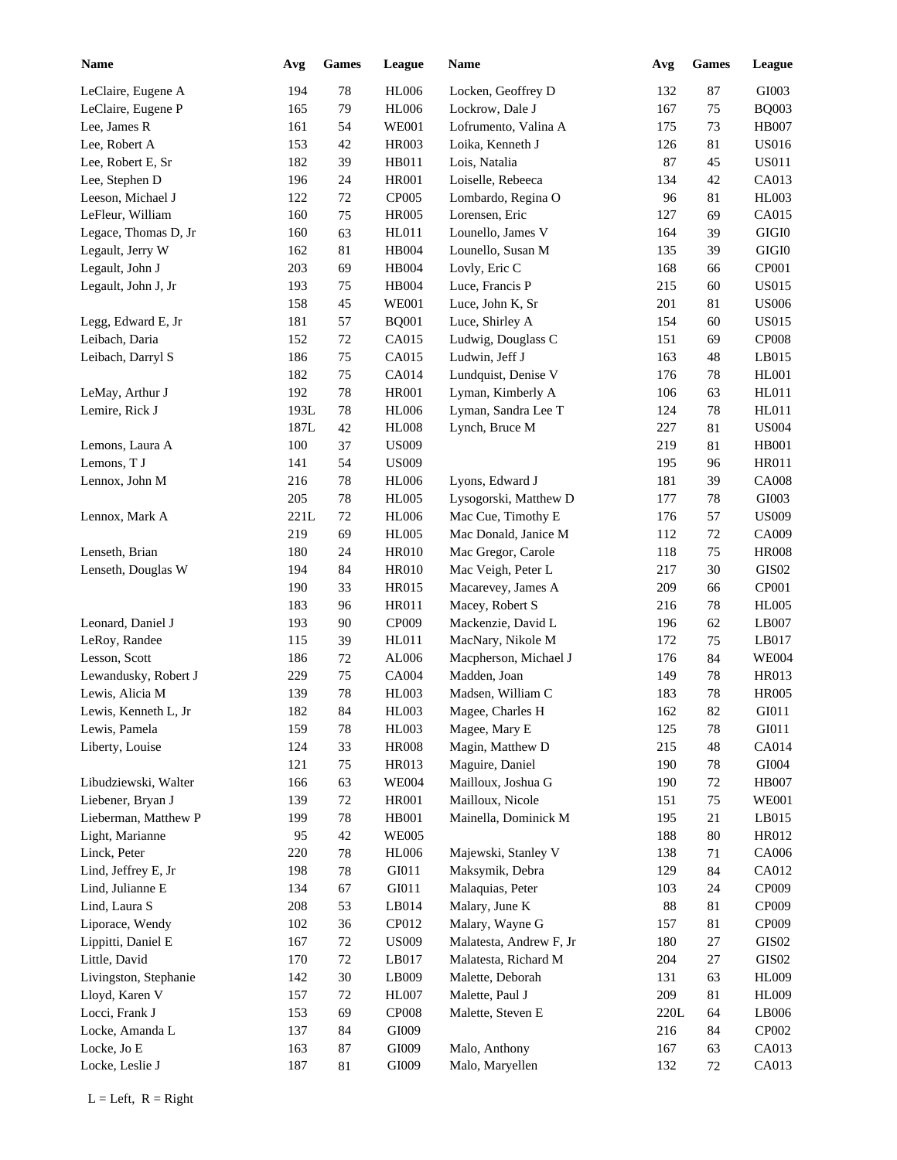| <b>Name</b>           | Avg  | <b>Games</b> | League       | Name                    | Avg    | <b>Games</b> | League            |
|-----------------------|------|--------------|--------------|-------------------------|--------|--------------|-------------------|
| LeClaire, Eugene A    | 194  | 78           | <b>HL006</b> | Locken, Geoffrey D      | 132    | $87\,$       | GI003             |
| LeClaire, Eugene P    | 165  | 79           | <b>HL006</b> | Lockrow, Dale J         | 167    | 75           | <b>BQ003</b>      |
| Lee, James R          | 161  | 54           | <b>WE001</b> | Lofrumento, Valina A    | 175    | 73           | <b>HB007</b>      |
| Lee, Robert A         | 153  | 42           | <b>HR003</b> | Loika, Kenneth J        | 126    | 81           | <b>US016</b>      |
| Lee, Robert E, Sr     | 182  | 39           | HB011        | Lois, Natalia           | 87     | 45           | <b>US011</b>      |
| Lee, Stephen D        | 196  | 24           | <b>HR001</b> | Loiselle, Rebeeca       | 134    | 42           | CA013             |
| Leeson, Michael J     | 122  | $72\,$       | CP005        | Lombardo, Regina O      | 96     | 81           | <b>HL003</b>      |
| LeFleur, William      | 160  | 75           | <b>HR005</b> | Lorensen, Eric          | 127    | 69           | CA015             |
| Legace, Thomas D, Jr  | 160  | 63           | HL011        | Lounello, James V       | 164    | 39           | $\rm GIGI0$       |
| Legault, Jerry W      | 162  | 81           | HB004        | Lounello, Susan M       | 135    | 39           | $\rm GIGI0$       |
| Legault, John J       | 203  | 69           | HB004        | Lovly, Eric C           | 168    | 66           | CP001             |
| Legault, John J, Jr   | 193  | 75           | HB004        | Luce, Francis P         | 215    | 60           | <b>US015</b>      |
|                       | 158  | 45           | <b>WE001</b> | Luce, John K, Sr        | 201    | 81           | <b>US006</b>      |
| Legg, Edward E, Jr    | 181  | 57           | <b>BQ001</b> | Luce, Shirley A         | 154    | 60           | <b>US015</b>      |
| Leibach, Daria        | 152  | 72           | CA015        | Ludwig, Douglass C      | 151    | 69           | <b>CP008</b>      |
| Leibach, Darryl S     | 186  | 75           | CA015        | Ludwin, Jeff J          | 163    | 48           | LB015             |
|                       | 182  | 75           | CA014        | Lundquist, Denise V     | 176    | 78           | <b>HL001</b>      |
| LeMay, Arthur J       | 192  | 78           | <b>HR001</b> | Lyman, Kimberly A       | 106    | 63           | HL011             |
| Lemire, Rick J        | 193L | 78           | <b>HL006</b> | Lyman, Sandra Lee T     | 124    | 78           | HL011             |
|                       | 187L | 42           | $\rm{H}L008$ | Lynch, Bruce M          | 227    | 81           | <b>US004</b>      |
| Lemons, Laura A       | 100  | 37           | <b>US009</b> |                         | 219    | 81           | <b>HB001</b>      |
| Lemons, T J           | 141  | 54           | <b>US009</b> |                         | 195    | 96           | HR011             |
| Lennox, John M        | 216  | 78           | <b>HL006</b> | Lyons, Edward J         | 181    | 39           | <b>CA008</b>      |
|                       | 205  | $78\,$       | <b>HL005</b> | Lysogorski, Matthew D   | 177    | 78           | GI003             |
| Lennox, Mark A        | 221L | $72\,$       | <b>HL006</b> | Mac Cue, Timothy E      | 176    | 57           | <b>US009</b>      |
|                       | 219  | 69           | <b>HL005</b> | Mac Donald, Janice M    | 112    | 72           | CA009             |
| Lenseth, Brian        | 180  | 24           | <b>HR010</b> | Mac Gregor, Carole      | 118    | 75           | <b>HR008</b>      |
| Lenseth, Douglas W    | 194  | 84           | <b>HR010</b> | Mac Veigh, Peter L      | 217    | 30           | GIS02             |
|                       | 190  | 33           | HR015        | Macarevey, James A      | 209    | 66           | CP001             |
|                       | 183  | 96           | HR011        | Macey, Robert S         | 216    | 78           | <b>HL005</b>      |
| Leonard, Daniel J     | 193  | 90           | CP009        | Mackenzie, David L      | 196    | 62           | LB007             |
| LeRoy, Randee         | 115  | 39           | HL011        | MacNary, Nikole M       | 172    | 75           | LB017             |
| Lesson, Scott         | 186  | $72\,$       | AL006        | Macpherson, Michael J   | 176    | 84           | <b>WE004</b>      |
| Lewandusky, Robert J  | 229  | $75\,$       | CA004        | Madden, Joan            | 149    | 78           | HR013             |
| Lewis, Alicia M       | 139  | 78           | HL003        | Madsen, William C       | 183    | 78           | <b>HR005</b>      |
| Lewis, Kenneth L, Jr  | 182  | $\bf 84$     | <b>HL003</b> | Magee, Charles H        | 162    | 82           | GI011             |
| Lewis, Pamela         | 159  | $78\,$       | HL003        | Magee, Mary E           | 125    | 78           | ${\rm G} I 0 1 1$ |
| Liberty, Louise       | 124  | 33           | <b>HR008</b> | Magin, Matthew D        | 215    | 48           | CA014             |
|                       | 121  | $75\,$       | HR013        | Maguire, Daniel         | 190    | 78           | ${\rm GIO}04$     |
| Libudziewski, Walter  | 166  | 63           | <b>WE004</b> | Mailloux, Joshua G      | 190    | 72           | <b>HB007</b>      |
| Liebener, Bryan J     | 139  | $72\,$       | <b>HR001</b> | Mailloux, Nicole        | 151    | $75\,$       | <b>WE001</b>      |
| Lieberman, Matthew P  | 199  | $78\,$       | HB001        | Mainella, Dominick M    | 195    | $21\,$       | LB015             |
| Light, Marianne       | 95   | $42\,$       | <b>WE005</b> |                         | 188    | 80           | HR012             |
| Linck, Peter          | 220  | $78\,$       | <b>HL006</b> | Majewski, Stanley V     | 138    | 71           | CA006             |
| Lind, Jeffrey E, Jr   | 198  | $78\,$       | GI011        | Maksymik, Debra         | 129    | 84           | CA012             |
| Lind, Julianne E      | 134  | 67           | GI011        | Malaquias, Peter        | 103    | 24           | CP009             |
| Lind, Laura S         | 208  | 53           | LB014        | Malary, June K          | $88\,$ | $81\,$       | CP009             |
| Liporace, Wendy       | 102  | 36           | CP012        | Malary, Wayne G         | 157    | 81           | CP009             |
| Lippitti, Daniel E    | 167  | $72\,$       | <b>US009</b> | Malatesta, Andrew F, Jr | 180    | $27\,$       | GIS02             |
| Little, David         | 170  | $72\,$       | LB017        | Malatesta, Richard M    | 204    | $27\,$       | GIS02             |
|                       | 142  | $30\,$       | LB009        | Malette, Deborah        | 131    | 63           | <b>HL009</b>      |
| Livingston, Stephanie |      |              |              |                         |        |              |                   |
| Lloyd, Karen V        | 157  | $72\,$       | <b>HL007</b> | Malette, Paul J         | 209    | 81           | <b>HL009</b>      |
| Locci, Frank J        | 153  | 69           | CP008        | Malette, Steven E       | 220L   | 64           | LB006             |
| Locke, Amanda L       | 137  | 84           | GI009        |                         | 216    | 84           | CP002             |
| Locke, Jo E           | 163  | $87\,$       | GI009        | Malo, Anthony           | 167    | 63           | CA013             |
| Locke, Leslie J       | 187  | 81           | GI009        | Malo, Maryellen         | 132    | 72           | CA013             |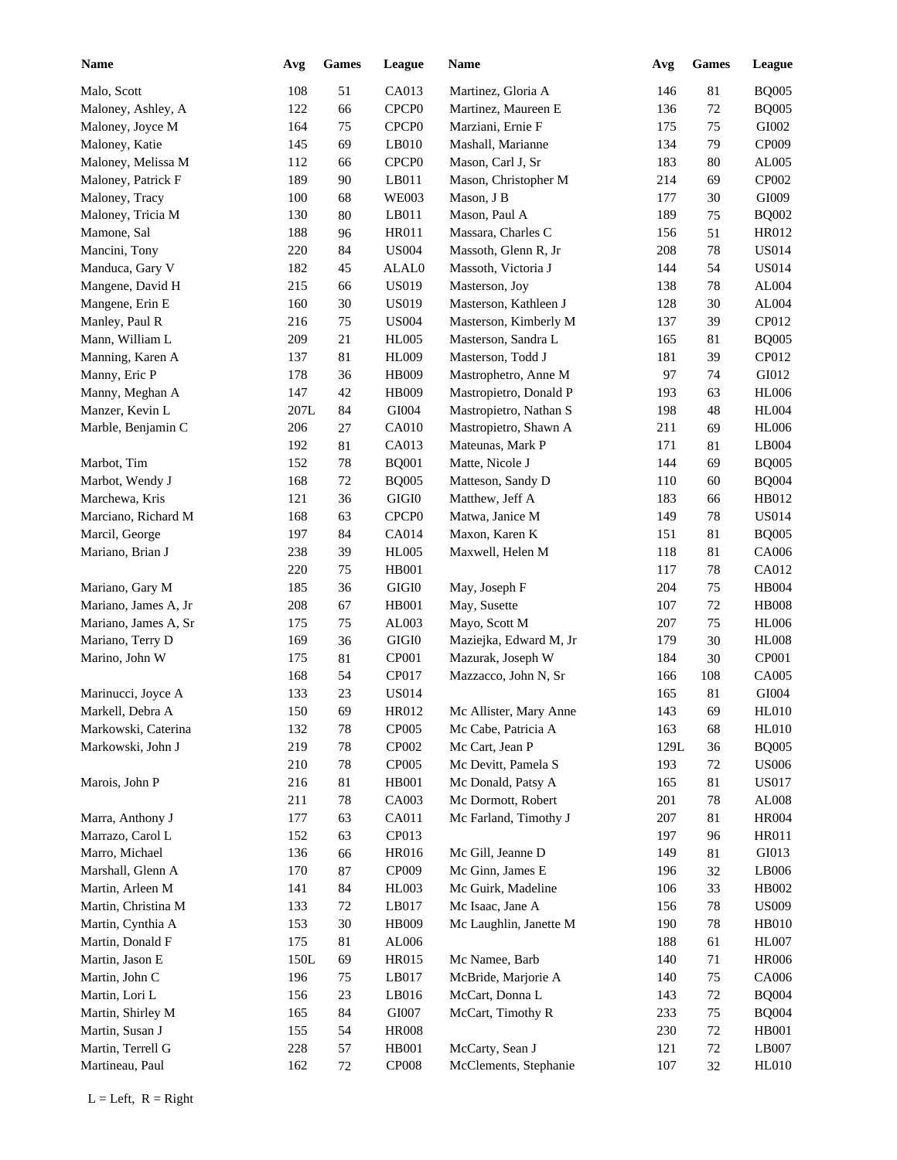| Name                 | Avg  | <b>Games</b> | League            | <b>Name</b>            | Avg  | <b>Games</b> | League        |
|----------------------|------|--------------|-------------------|------------------------|------|--------------|---------------|
| Malo, Scott          | 108  | 51           | CA013             | Martinez, Gloria A     | 146  | 81           | <b>BQ005</b>  |
| Maloney, Ashley, A   | 122  | 66           | CPCP <sub>0</sub> | Martinez, Maureen E    | 136  | 72           | <b>BQ005</b>  |
| Maloney, Joyce M     | 164  | 75           | CPCP <sub>0</sub> | Marziani, Ernie F      | 175  | 75           | GI002         |
| Maloney, Katie       | 145  | 69           | LB010             | Mashall, Marianne      | 134  | 79           | CP009         |
| Maloney, Melissa M   | 112  | 66           | CPCP <sub>0</sub> | Mason, Carl J, Sr      | 183  | 80           | AL005         |
| Maloney, Patrick F   | 189  | 90           | LB011             | Mason, Christopher M   | 214  | 69           | CP002         |
| Maloney, Tracy       | 100  | 68           | <b>WE003</b>      | Mason, J B             | 177  | 30           | GI009         |
| Maloney, Tricia M    | 130  | 80           | LB011             | Mason, Paul A          | 189  | 75           | <b>BQ002</b>  |
| Mamone, Sal          | 188  | 96           | HR011             | Massara, Charles C     | 156  | 51           | HR012         |
| Mancini, Tony        | 220  | 84           | <b>US004</b>      | Massoth, Glenn R, Jr   | 208  | 78           | <b>US014</b>  |
| Manduca, Gary V      | 182  | 45           | ALAL0             | Massoth, Victoria J    | 144  | 54           | <b>US014</b>  |
| Mangene, David H     | 215  | 66           | <b>US019</b>      | Masterson, Joy         | 138  | 78           | AL004         |
| Mangene, Erin E      | 160  | $30\,$       | <b>US019</b>      | Masterson, Kathleen J  | 128  | 30           | AL004         |
| Manley, Paul R       | 216  | 75           | <b>US004</b>      | Masterson, Kimberly M  | 137  | 39           | CP012         |
| Mann, William L      | 209  | 21           | <b>HL005</b>      | Masterson, Sandra L    | 165  | 81           | <b>BQ005</b>  |
| Manning, Karen A     | 137  | 81           | <b>HL009</b>      | Masterson, Todd J      | 181  | 39           | CP012         |
| Manny, Eric P        | 178  | 36           | <b>HB009</b>      | Mastrophetro, Anne M   | 97   | 74           | GI012         |
| Manny, Meghan A      | 147  | 42           | <b>HB009</b>      | Mastropietro, Donald P | 193  | 63           | <b>HL006</b>  |
| Manzer, Kevin L      | 207L | 84           | GI004             | Mastropietro, Nathan S | 198  | 48           | <b>HL004</b>  |
| Marble, Benjamin C   | 206  | 27           | <b>CA010</b>      | Mastropietro, Shawn A  | 211  | 69           | <b>HL006</b>  |
|                      | 192  | 81           | CA013             | Mateunas, Mark P       | 171  | 81           | LB004         |
| Marbot, Tim          | 152  | 78           | <b>BQ001</b>      | Matte, Nicole J        | 144  | 69           | <b>BQ005</b>  |
| Marbot, Wendy J      | 168  | 72           | <b>BQ005</b>      | Matteson, Sandy D      | 110  | 60           | <b>BQ004</b>  |
| Marchewa, Kris       | 121  | 36           | $\rm GIGI0$       | Matthew, Jeff A        | 183  | 66           | HB012         |
| Marciano, Richard M  | 168  | 63           | CPCP <sub>0</sub> | Matwa, Janice M        | 149  | 78           | <b>US014</b>  |
| Marcil, George       | 197  | 84           | CA014             | Maxon, Karen K         | 151  | 81           | <b>BQ005</b>  |
| Mariano, Brian J     | 238  | 39           | <b>HL005</b>      | Maxwell, Helen M       | 118  | 81           | CA006         |
|                      | 220  | 75           | <b>HB001</b>      |                        | 117  | $78\,$       | CA012         |
| Mariano, Gary M      | 185  | 36           | GIGI0             | May, Joseph F          | 204  | 75           | <b>HB004</b>  |
| Mariano, James A, Jr | 208  | 67           | <b>HB001</b>      | May, Susette           | 107  | 72           | <b>HB008</b>  |
| Mariano, James A, Sr | 175  | 75           | AL003             | Mayo, Scott M          | 207  | 75           | <b>HL006</b>  |
| Mariano, Terry D     | 169  | 36           | $\rm GIGI0$       | Maziejka, Edward M, Jr | 179  | 30           | <b>HL008</b>  |
| Marino, John W       | 175  | 81           | CP001             | Mazurak, Joseph W      | 184  | 30           | CP001         |
|                      | 168  | 54           | CP017             | Mazzacco, John N, Sr   | 166  | 108          | CA005         |
| Marinucci, Joyce A   | 133  | 23           | <b>US014</b>      |                        | 165  | 81           | GI004         |
| Markell, Debra A     | 150  | 69           | HR012             | Mc Allister, Mary Anne | 143  | 69           | HL010         |
| Markowski, Caterina  | 132  | $78\,$       | CP005             | Mc Cabe, Patricia A    | 163  | 68           | <b>HL010</b>  |
| Markowski, John J    | 219  | $78\,$       | CP002             | Mc Cart, Jean P        | 129L | 36           | <b>BQ005</b>  |
|                      | 210  | 78           | CP005             | Mc Devitt, Pamela S    | 193  | 72           | <b>US006</b>  |
| Marois, John P       | 216  | 81           | HB001             | Mc Donald, Patsy A     | 165  | 81           | <b>US017</b>  |
|                      | 211  | 78           | CA003             | Mc Dormott, Robert     | 201  | 78           | ${\rm AL008}$ |
| Marra, Anthony J     | 177  | 63           | CA011             | Mc Farland, Timothy J  | 207  | 81           | <b>HR004</b>  |
| Marrazo, Carol L     | 152  | 63           | CP013             |                        | 197  | 96           | HR011         |
| Marro, Michael       | 136  | 66           | <b>HR016</b>      | Mc Gill, Jeanne D      | 149  | 81           | GI013         |
| Marshall, Glenn A    | 170  | 87           | CP009             | Mc Ginn, James E       | 196  | 32           | LB006         |
| Martin, Arleen M     | 141  | 84           | HL003             | Mc Guirk, Madeline     | 106  | 33           | HB002         |
| Martin, Christina M  | 133  | 72           | LB017             | Mc Isaac, Jane A       | 156  | 78           | <b>US009</b>  |
| Martin, Cynthia A    | 153  | $30\,$       | HB009             | Mc Laughlin, Janette M | 190  | 78           | <b>HB010</b>  |
| Martin, Donald F     | 175  | 81           | AL006             |                        | 188  |              | <b>HL007</b>  |
|                      |      |              |                   |                        |      | 61           | <b>HR006</b>  |
| Martin, Jason E      | 150L | 69           | HR015             | Mc Namee, Barb         | 140  | 71           |               |
| Martin, John C       | 196  | 75           | LB017             | McBride, Marjorie A    | 140  | 75           | CA006         |
| Martin, Lori L       | 156  | 23           | LB016             | McCart, Donna L        | 143  | 72           | <b>BQ004</b>  |
| Martin, Shirley M    | 165  | 84           | GI007             | McCart, Timothy R      | 233  | 75           | <b>BQ004</b>  |
| Martin, Susan J      | 155  | 54           | <b>HR008</b>      |                        | 230  | 72           | HB001         |
| Martin, Terrell G    | 228  | 57           | HB001             | McCarty, Sean J        | 121  | 72           | LB007         |
| Martineau, Paul      | 162  | 72           | CP008             | McClements, Stephanie  | 107  | 32           | <b>HL010</b>  |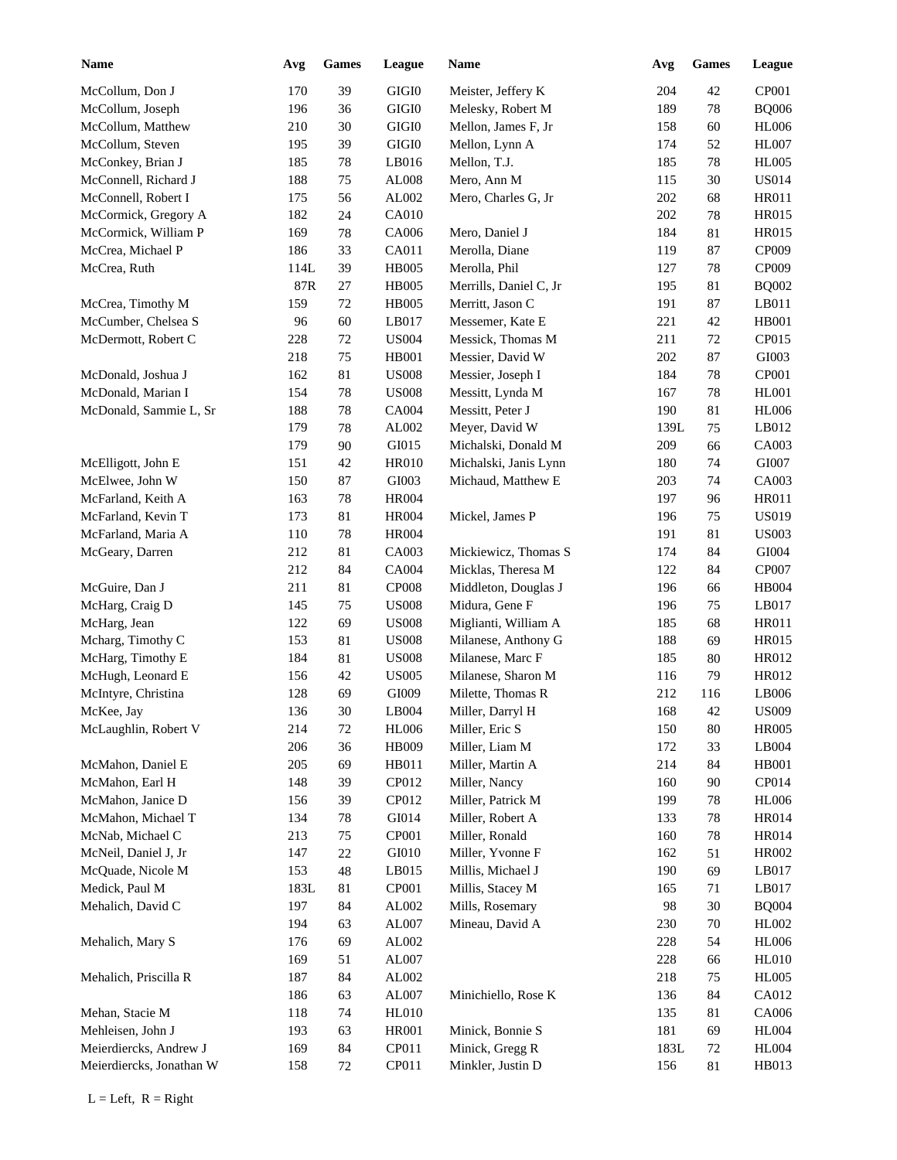| <b>Name</b>              | Avg  | <b>Games</b> | League                | Name                   | Avg  | <b>Games</b> | League                 |
|--------------------------|------|--------------|-----------------------|------------------------|------|--------------|------------------------|
| McCollum, Don J          | 170  | 39           | GIGI <sub>0</sub>     | Meister, Jeffery K     | 204  | 42           | CP001                  |
| McCollum, Joseph         | 196  | 36           | $\rm GIGI0$           | Melesky, Robert M      | 189  | 78           | <b>BQ006</b>           |
| McCollum, Matthew        | 210  | $30\,$       | $\rm GIGI0$           | Mellon, James F, Jr    | 158  | 60           | <b>HL006</b>           |
| McCollum, Steven         | 195  | 39           | $\rm GIGI0$           | Mellon, Lynn A         | 174  | 52           | <b>HL007</b>           |
| McConkey, Brian J        | 185  | 78           | LB016                 | Mellon, T.J.           | 185  | 78           | <b>HL005</b>           |
| McConnell, Richard J     | 188  | 75           | AL008                 | Mero, Ann M            | 115  | 30           | <b>US014</b>           |
| McConnell, Robert I      | 175  | 56           | AL002                 | Mero, Charles G, Jr    | 202  | 68           | HR011                  |
| McCormick, Gregory A     | 182  | 24           | CA010                 |                        | 202  | 78           | HR015                  |
| McCormick, William P     | 169  | 78           | CA006                 | Mero, Daniel J         | 184  | 81           | HR015                  |
| McCrea, Michael P        | 186  | 33           | CA011                 | Merolla, Diane         | 119  | 87           | CP009                  |
| McCrea, Ruth             | 114L | 39           | <b>HB005</b>          | Merolla, Phil          | 127  | 78           | CP009                  |
|                          | 87R  | $27\,$       | <b>HB005</b>          | Merrills, Daniel C, Jr | 195  | 81           | <b>BQ002</b>           |
| McCrea, Timothy M        | 159  | 72           | <b>HB005</b>          | Merritt, Jason C       | 191  | 87           | LB011                  |
| McCumber, Chelsea S      | 96   | 60           | LB017                 | Messemer, Kate E       | 221  | 42           | <b>HB001</b>           |
| McDermott, Robert C      | 228  | 72           | <b>US004</b>          | Messick, Thomas M      | 211  | 72           | CP015                  |
|                          | 218  | 75           | <b>HB001</b>          | Messier, David W       | 202  | 87           | GI003                  |
| McDonald, Joshua J       | 162  | 81           | <b>US008</b>          | Messier, Joseph I      | 184  | 78           | CP001                  |
| McDonald, Marian I       | 154  | 78           | <b>US008</b>          | Messitt, Lynda M       | 167  | 78           | <b>HL001</b>           |
| McDonald, Sammie L, Sr   | 188  | 78           | <b>CA004</b>          | Messitt, Peter J       | 190  | 81           | <b>HL006</b>           |
|                          | 179  | 78           | AL002                 | Meyer, David W         | 139L | 75           | LB012                  |
|                          | 179  | 90           | GI015                 | Michalski, Donald M    | 209  | 66           | CA003                  |
| McElligott, John E       | 151  | 42           | <b>HR010</b>          | Michalski, Janis Lynn  | 180  | 74           | GI007                  |
| McElwee, John W          | 150  | 87           | GI003                 | Michaud, Matthew E     | 203  | 74           | CA003                  |
| McFarland, Keith A       | 163  | 78           | <b>HR004</b>          |                        | 197  | 96           | HR011                  |
| McFarland, Kevin T       | 173  | 81           | <b>HR004</b>          | Mickel, James P        | 196  | 75           | <b>US019</b>           |
| McFarland, Maria A       | 110  | $78\,$       | <b>HR004</b>          |                        | 191  | 81           | <b>US003</b>           |
|                          | 212  | 81           |                       |                        | 174  |              | GI004                  |
| McGeary, Darren          |      |              | CA003<br><b>CA004</b> | Mickiewicz, Thomas S   |      | 84           | CP007                  |
|                          | 212  | 84           | <b>CP008</b>          | Micklas, Theresa M     | 122  | 84           |                        |
| McGuire, Dan J           | 211  | 81           |                       | Middleton, Douglas J   | 196  | 66           | HB004                  |
| McHarg, Craig D          | 145  | 75           | <b>US008</b>          | Midura, Gene F         | 196  | 75           | LB017                  |
| McHarg, Jean             | 122  | 69           | <b>US008</b>          | Miglianti, William A   | 185  | 68           | HR011                  |
| Mcharg, Timothy C        | 153  | 81           | <b>US008</b>          | Milanese, Anthony G    | 188  | 69           | <b>HR015</b>           |
| McHarg, Timothy E        | 184  | 81           | <b>US008</b>          | Milanese, Marc F       | 185  | 80           | HR012                  |
| McHugh, Leonard E        | 156  | 42           | <b>US005</b>          | Milanese, Sharon M     | 116  | 79           | HR012                  |
| McIntyre, Christina      | 128  | 69           | GI009                 | Milette, Thomas R      | 212  | 116          | LB006                  |
| McKee, Jay               | 136  | $30\,$       | LB004                 | Miller, Darryl H       | 168  | 42           | <b>US009</b>           |
| McLaughlin, Robert V     | 214  | $72\,$       | <b>HL006</b>          | Miller, Eric S         | 150  | 80           | <b>HR005</b>           |
|                          | 206  | 36           | HB009                 | Miller, Liam M         | 172  | 33           | $\operatorname{LB}004$ |
| McMahon, Daniel E        | 205  | 69           | HB011                 | Miller, Martin A       | 214  | 84           | HB001                  |
| McMahon, Earl H          | 148  | 39           | CP012                 | Miller, Nancy          | 160  | 90           | CP014                  |
| McMahon, Janice D        | 156  | 39           | CP012                 | Miller, Patrick M      | 199  | 78           | <b>HL006</b>           |
| McMahon, Michael T       | 134  | $78\,$       | GI014                 | Miller, Robert A       | 133  | 78           | <b>HR014</b>           |
| McNab, Michael C         | 213  | 75           | CP001                 | Miller, Ronald         | 160  | 78           | <b>HR014</b>           |
| McNeil, Daniel J, Jr     | 147  | $22\,$       | GI010                 | Miller, Yvonne F       | 162  | 51           | HR002                  |
| McQuade, Nicole M        | 153  | 48           | LB015                 | Millis, Michael J      | 190  | 69           | LB017                  |
| Medick, Paul M           | 183L | 81           | CP001                 | Millis, Stacey M       | 165  | 71           | LB017                  |
| Mehalich, David C        | 197  | 84           | AL002                 | Mills, Rosemary        | 98   | 30           | <b>BQ004</b>           |
|                          | 194  | 63           | AL007                 | Mineau, David A        | 230  | 70           | HL002                  |
| Mehalich, Mary S         | 176  | 69           | AL002                 |                        | 228  | 54           | <b>HL006</b>           |
|                          | 169  | 51           | AL007                 |                        | 228  | 66           | <b>HL010</b>           |
| Mehalich, Priscilla R    | 187  | 84           | AL002                 |                        | 218  | 75           | <b>HL005</b>           |
|                          | 186  | 63           | AL007                 | Minichiello, Rose K    | 136  | 84           | CA012                  |
| Mehan, Stacie M          | 118  | 74           | <b>HL010</b>          |                        | 135  | 81           | CA006                  |
| Mehleisen, John J        | 193  | 63           | <b>HR001</b>          | Minick, Bonnie S       | 181  | 69           | <b>HL004</b>           |
| Meierdiercks, Andrew J   | 169  | 84           | CP011                 | Minick, Gregg R        | 183L | $72\,$       | <b>HL004</b>           |
| Meierdiercks, Jonathan W | 158  | $72\,$       | CP011                 | Minkler, Justin D      | 156  | 81           | HB013                  |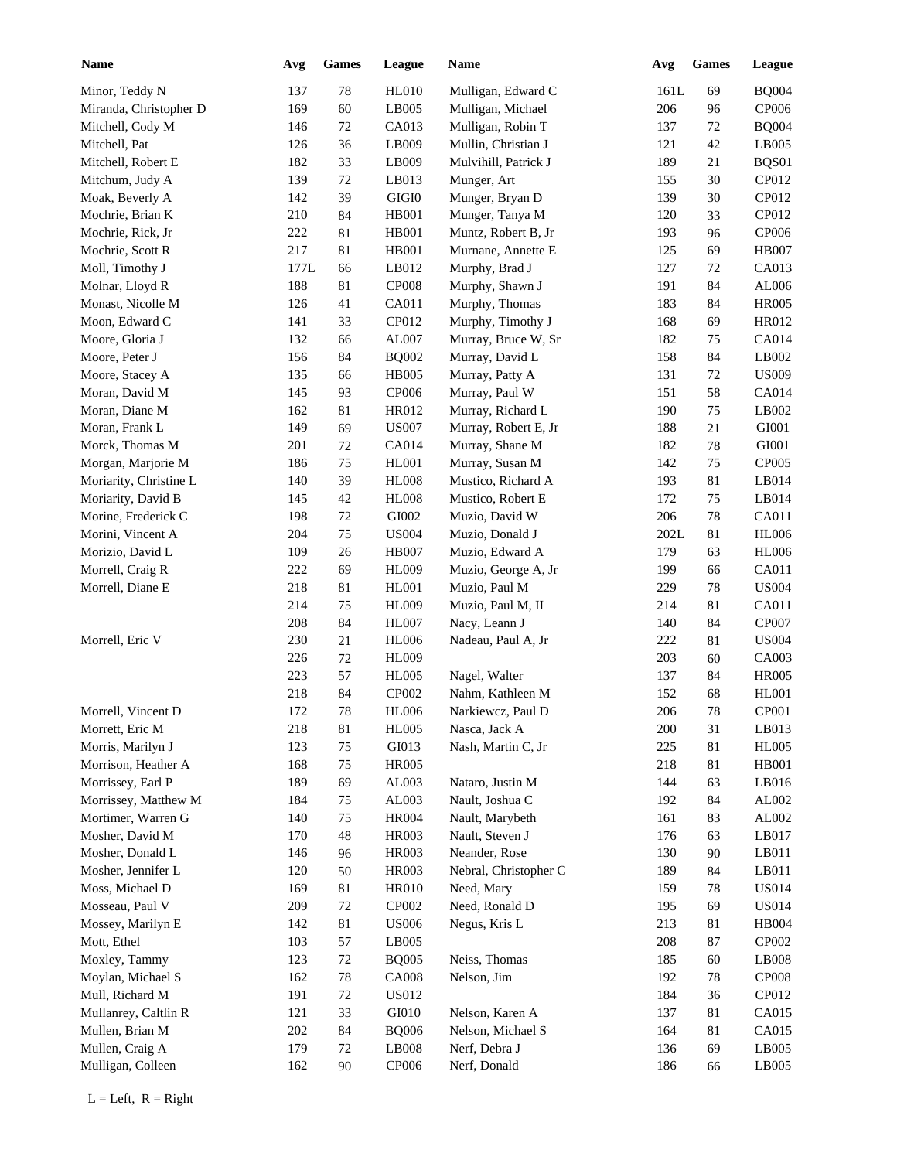| <b>Name</b>            | Avg  | <b>Games</b> | League       | Name                  | Avg  | <b>Games</b> | League                 |
|------------------------|------|--------------|--------------|-----------------------|------|--------------|------------------------|
| Minor, Teddy N         | 137  | $78\,$       | <b>HL010</b> | Mulligan, Edward C    | 161L | 69           | <b>BQ004</b>           |
| Miranda, Christopher D | 169  | 60           | LB005        | Mulligan, Michael     | 206  | 96           | CP006                  |
| Mitchell, Cody M       | 146  | 72           | CA013        | Mulligan, Robin T     | 137  | 72           | <b>BQ004</b>           |
| Mitchell, Pat          | 126  | 36           | LB009        | Mullin, Christian J   | 121  | 42           | LB005                  |
| Mitchell, Robert E     | 182  | 33           | LB009        | Mulvihill, Patrick J  | 189  | 21           | BQS01                  |
| Mitchum, Judy A        | 139  | 72           | LB013        | Munger, Art           | 155  | 30           | CP012                  |
| Moak, Beverly A        | 142  | 39           | $\rm GIGI0$  | Munger, Bryan D       | 139  | 30           | CP012                  |
| Mochrie, Brian K       | 210  | 84           | HB001        | Munger, Tanya M       | 120  | 33           | CP012                  |
| Mochrie, Rick, Jr      | 222  | 81           | HB001        | Muntz, Robert B, Jr   | 193  | 96           | CP006                  |
| Mochrie, Scott R       | 217  | 81           | HB001        | Murnane, Annette E    | 125  | 69           | <b>HB007</b>           |
| Moll, Timothy J        | 177L | 66           | LB012        | Murphy, Brad J        | 127  | 72           | CA013                  |
| Molnar, Lloyd R        | 188  | 81           | <b>CP008</b> | Murphy, Shawn J       | 191  | 84           | AL006                  |
| Monast, Nicolle M      | 126  | 41           | CA011        | Murphy, Thomas        | 183  | 84           | <b>HR005</b>           |
| Moon, Edward C         | 141  | 33           | CP012        | Murphy, Timothy J     | 168  | 69           | HR012                  |
| Moore, Gloria J        | 132  | 66           | AL007        | Murray, Bruce W, Sr   | 182  | 75           | CA014                  |
| Moore, Peter J         | 156  | 84           | <b>BQ002</b> | Murray, David L       | 158  | 84           | LB002                  |
| Moore, Stacey A        | 135  | 66           | <b>HB005</b> | Murray, Patty A       | 131  | 72           | <b>US009</b>           |
| Moran, David M         | 145  | 93           | CP006        | Murray, Paul W        | 151  | 58           | CA014                  |
| Moran, Diane M         | 162  | 81           | HR012        | Murray, Richard L     | 190  | 75           | LB002                  |
| Moran, Frank L         | 149  | 69           | <b>US007</b> | Murray, Robert E, Jr  | 188  | 21           | GI001                  |
| Morck, Thomas M        | 201  | 72           | CA014        | Murray, Shane M       | 182  | 78           | GI001                  |
| Morgan, Marjorie M     | 186  | 75           | HL001        | Murray, Susan M       | 142  | 75           | CP005                  |
| Moriarity, Christine L | 140  | 39           | $\rm{H}L008$ | Mustico, Richard A    | 193  | 81           | LB014                  |
| Moriarity, David B     | 145  | 42           | <b>HL008</b> | Mustico, Robert E     | 172  | 75           | LB014                  |
| Morine, Frederick C    | 198  | 72           | GI002        | Muzio, David W        | 206  | $78\,$       | CA011                  |
| Morini, Vincent A      | 204  | 75           | <b>US004</b> | Muzio, Donald J       | 202L | 81           | <b>HL006</b>           |
| Morizio, David L       | 109  | 26           | <b>HB007</b> | Muzio, Edward A       | 179  | 63           | <b>HL006</b>           |
| Morrell, Craig R       | 222  | 69           | <b>HL009</b> | Muzio, George A, Jr   | 199  | 66           | CA011                  |
| Morrell, Diane E       | 218  | 81           | <b>HL001</b> | Muzio, Paul M         | 229  | 78           | <b>US004</b>           |
|                        | 214  | 75           | <b>HL009</b> | Muzio, Paul M, II     | 214  | 81           | CA011                  |
|                        | 208  | 84           | <b>HL007</b> | Nacy, Leann J         | 140  | 84           | CP007                  |
| Morrell, Eric V        | 230  | 21           | <b>HL006</b> | Nadeau, Paul A, Jr    | 222  | 81           | <b>US004</b>           |
|                        | 226  | 72           | <b>HL009</b> |                       | 203  | 60           | CA003                  |
|                        | 223  | 57           | <b>HL005</b> | Nagel, Walter         | 137  | 84           | <b>HR005</b>           |
|                        | 218  | 84           | CP002        | Nahm, Kathleen M      | 152  | 68           | HL001                  |
| Morrell, Vincent D     | 172  | $78\,$       | <b>HL006</b> | Narkiewcz, Paul D     | 206  | $78\,$       | CP001                  |
| Morrett, Eric M        | 218  | 81           | <b>HL005</b> | Nasca, Jack A         | 200  | 31           | LB013                  |
| Morris, Marilyn J      | 123  | 75           | GI013        | Nash, Martin C, Jr    | 225  | 81           | <b>HL005</b>           |
| Morrison, Heather A    | 168  | 75           | <b>HR005</b> |                       | 218  | 81           | <b>HB001</b>           |
| Morrissey, Earl P      | 189  | 69           | AL003        | Nataro, Justin M      | 144  | 63           | LB016                  |
| Morrissey, Matthew M   | 184  | 75           | AL003        | Nault, Joshua C       | 192  | 84           | AL002                  |
| Mortimer, Warren G     | 140  | 75           | <b>HR004</b> | Nault, Marybeth       | 161  | 83           | AL002                  |
| Mosher, David M        | 170  | 48           | HR003        | Nault, Steven J       | 176  | 63           | LB017                  |
| Mosher, Donald L       | 146  | 96           | HR003        | Neander, Rose         | 130  | 90           | LB011                  |
| Mosher, Jennifer L     | 120  | 50           | HR003        | Nebral, Christopher C | 189  | 84           | LB011                  |
| Moss, Michael D        | 169  | 81           | <b>HR010</b> | Need, Mary            | 159  | 78           | <b>US014</b>           |
| Mosseau, Paul V        | 209  | 72           | CP002        | Need, Ronald D        | 195  | 69           | <b>US014</b>           |
| Mossey, Marilyn E      | 142  |              | <b>US006</b> | Negus, Kris L         | 213  |              | HB004                  |
| Mott, Ethel            |      | 81           |              |                       |      | 81           | CP002                  |
|                        | 103  | 57           | LB005        |                       | 208  | 87           |                        |
| Moxley, Tammy          | 123  | $72\,$       | <b>BQ005</b> | Neiss, Thomas         | 185  | 60           | $\operatorname{LB008}$ |
| Moylan, Michael S      | 162  | $78\,$       | <b>CA008</b> | Nelson, Jim           | 192  | $78\,$       | <b>CP008</b>           |
| Mull, Richard M        | 191  | $72\,$       | <b>US012</b> |                       | 184  | 36           | CP012                  |
| Mullanrey, Caltlin R   | 121  | 33           | GI010        | Nelson, Karen A       | 137  | 81           | CA015                  |
| Mullen, Brian M        | 202  | $\bf 84$     | <b>BQ006</b> | Nelson, Michael S     | 164  | 81           | CA015                  |
| Mullen, Craig A        | 179  | $72\,$       | LB008        | Nerf, Debra J         | 136  | 69           | LB005                  |
| Mulligan, Colleen      | 162  | 90           | CP006        | Nerf, Donald          | 186  | 66           | LB005                  |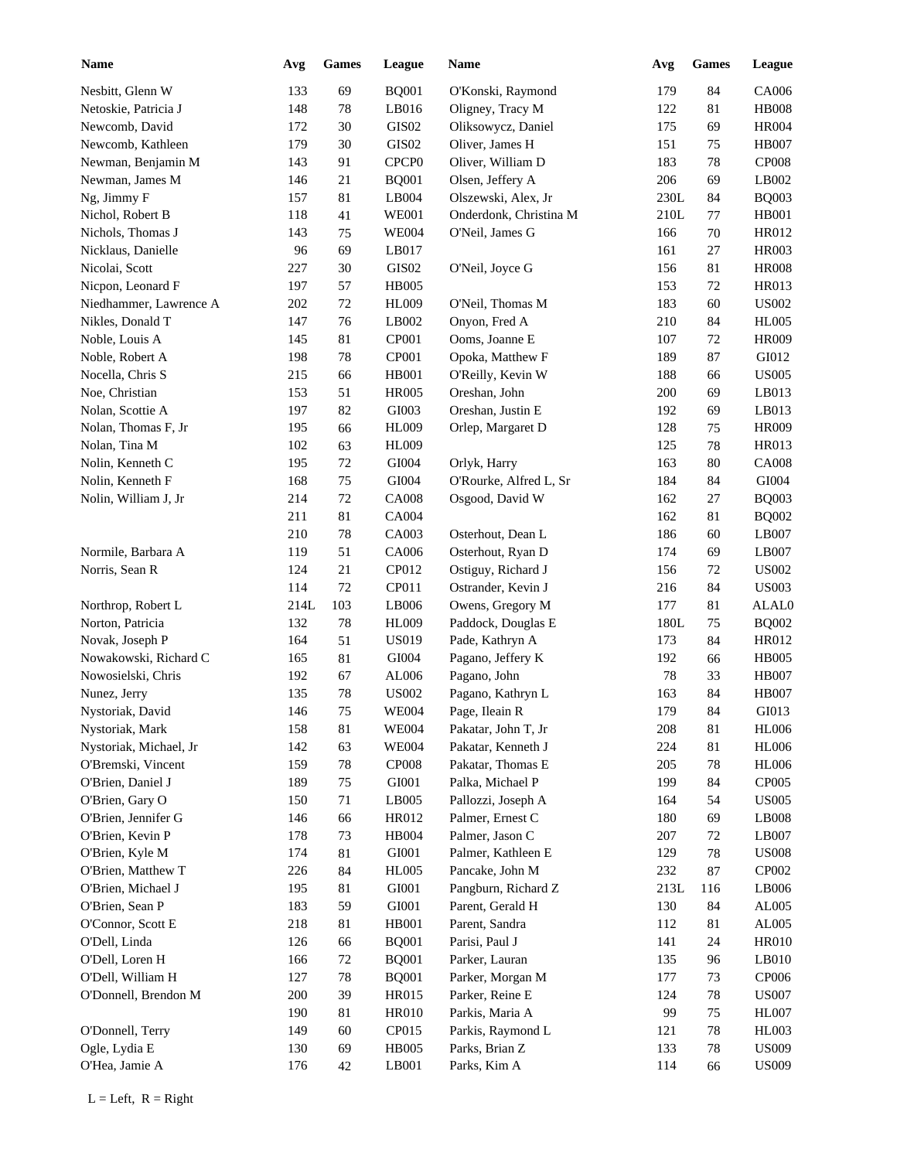| <b>Name</b>            | Avg  | <b>Games</b> | League            | Name                   | Avg  | <b>Games</b> | League                       |
|------------------------|------|--------------|-------------------|------------------------|------|--------------|------------------------------|
| Nesbitt, Glenn W       | 133  | 69           | <b>BQ001</b>      | O'Konski, Raymond      | 179  | 84           | CA006                        |
| Netoskie, Patricia J   | 148  | 78           | LB016             | Oligney, Tracy M       | 122  | 81           | <b>HB008</b>                 |
| Newcomb, David         | 172  | 30           | GIS <sub>02</sub> | Oliksowycz, Daniel     | 175  | 69           | <b>HR004</b>                 |
| Newcomb, Kathleen      | 179  | 30           | GIS <sub>02</sub> | Oliver, James H        | 151  | 75           | <b>HB007</b>                 |
| Newman, Benjamin M     | 143  | 91           | CPCP <sub>0</sub> | Oliver, William D      | 183  | 78           | <b>CP008</b>                 |
| Newman, James M        | 146  | 21           | <b>BQ001</b>      | Olsen, Jeffery A       | 206  | 69           | LB002                        |
| Ng, Jimmy F            | 157  | 81           | LB004             | Olszewski, Alex, Jr    | 230L | 84           | <b>BQ003</b>                 |
| Nichol, Robert B       | 118  | 41           | <b>WE001</b>      | Onderdonk, Christina M | 210L | 77           | <b>HB001</b>                 |
| Nichols, Thomas J      | 143  | 75           | <b>WE004</b>      | O'Neil, James G        | 166  | 70           | HR012                        |
| Nicklaus, Danielle     | 96   | 69           | LB017             |                        | 161  | 27           | <b>HR003</b>                 |
| Nicolai, Scott         | 227  | 30           | GIS <sub>02</sub> | O'Neil, Joyce G        | 156  | 81           | <b>HR008</b>                 |
| Nicpon, Leonard F      | 197  | 57           | <b>HB005</b>      |                        | 153  | 72           | <b>HR013</b>                 |
| Niedhammer, Lawrence A | 202  | $72\,$       | <b>HL009</b>      | O'Neil, Thomas M       | 183  | 60           | <b>US002</b>                 |
| Nikles, Donald T       | 147  | 76           | LB002             | Onyon, Fred A          | 210  | 84           | <b>HL005</b>                 |
| Noble, Louis A         | 145  | 81           | CP001             | Ooms, Joanne E         | 107  | 72           | <b>HR009</b>                 |
| Noble, Robert A        | 198  | 78           | CP001             | Opoka, Matthew F       | 189  | 87           | GI012                        |
| Nocella, Chris S       | 215  | 66           | <b>HB001</b>      | O'Reilly, Kevin W      | 188  | 66           | <b>US005</b>                 |
| Noe, Christian         | 153  | 51           | <b>HR005</b>      | Oreshan, John          | 200  | 69           | LB013                        |
| Nolan, Scottie A       | 197  | 82           | GI003             | Oreshan, Justin E      | 192  | 69           | LB013                        |
| Nolan, Thomas F, Jr    | 195  | 66           | <b>HL009</b>      | Orlep, Margaret D      | 128  | 75           | <b>HR009</b>                 |
| Nolan, Tina M          | 102  | 63           | HL009             |                        | 125  | 78           | <b>HR013</b>                 |
| Nolin, Kenneth C       | 195  | 72           | GI004             | Orlyk, Harry           | 163  | 80           | <b>CA008</b>                 |
| Nolin, Kenneth F       | 168  | 75           | GI004             | O'Rourke, Alfred L, Sr | 184  | 84           | ${\rm GIO}04$                |
| Nolin, William J, Jr   | 214  | 72           | <b>CA008</b>      | Osgood, David W        | 162  | 27           | <b>BQ003</b>                 |
|                        | 211  | 81           | CA004             |                        | 162  | 81           | <b>BQ002</b>                 |
|                        | 210  | 78           | CA003             | Osterhout, Dean L      | 186  | 60           | LB007                        |
| Normile, Barbara A     | 119  | 51           | CA006             | Osterhout, Ryan D      | 174  | 69           | LB007                        |
| Norris, Sean R         | 124  | 21           | CP012             | Ostiguy, Richard J     | 156  | $72\,$       | <b>US002</b>                 |
|                        | 114  | 72           | CP011             | Ostrander, Kevin J     | 216  | 84           | <b>US003</b>                 |
|                        | 214L | 103          | LB006             | Owens, Gregory M       | 177  | 81           | ALAL0                        |
| Northrop, Robert L     |      |              |                   |                        |      |              |                              |
| Norton, Patricia       | 132  | 78           | <b>HL009</b>      | Paddock, Douglas E     | 180L | 75           | <b>BQ002</b>                 |
| Novak, Joseph P        | 164  | 51           | <b>US019</b>      | Pade, Kathryn A        | 173  | 84           | HR012                        |
| Nowakowski, Richard C  | 165  | 81           | GI004             | Pagano, Jeffery K      | 192  | 66           | <b>HB005</b>                 |
| Nowosielski, Chris     | 192  | 67           | AL006             | Pagano, John           | 78   | 33           | <b>HB007</b><br><b>HB007</b> |
| Nunez, Jerry           | 135  | 78           | <b>US002</b>      | Pagano, Kathryn L      | 163  | 84           |                              |
| Nystoriak, David       | 146  | $75\,$       | <b>WE004</b>      | Page, Ileain R         | 179  | 84           | GI013                        |
| Nystoriak, Mark        | 158  | $81\,$       | <b>WE004</b>      | Pakatar, John T, Jr    | 208  | 81           | <b>HL006</b>                 |
| Nystoriak, Michael, Jr | 142  | 63           | <b>WE004</b>      | Pakatar, Kenneth J     | 224  | 81           | <b>HL006</b>                 |
| O'Bremski, Vincent     | 159  | 78           | CP008             | Pakatar, Thomas E      | 205  | 78           | <b>HL006</b>                 |
| O'Brien, Daniel J      | 189  | 75           | GI001             | Palka, Michael P       | 199  | 84           | CP005                        |
| O'Brien, Gary O        | 150  | 71           | LB005             | Pallozzi, Joseph A     | 164  | 54           | <b>US005</b>                 |
| O'Brien, Jennifer G    | 146  | 66           | HR012             | Palmer, Ernest C       | 180  | 69           | LB008                        |
| O'Brien, Kevin P       | 178  | 73           | HB004             | Palmer, Jason C        | 207  | 72           | LB007                        |
| O'Brien, Kyle M        | 174  | 81           | GI001             | Palmer, Kathleen E     | 129  | 78           | <b>US008</b>                 |
| O'Brien, Matthew T     | 226  | 84           | <b>HL005</b>      | Pancake, John M        | 232  | 87           | CP002                        |
| O'Brien, Michael J     | 195  | 81           | GI001             | Pangburn, Richard Z    | 213L | 116          | LB006                        |
| O'Brien, Sean P        | 183  | 59           | GI001             | Parent, Gerald H       | 130  | 84           | AL005                        |
| O'Connor, Scott E      | 218  | 81           | <b>HB001</b>      | Parent, Sandra         | 112  | 81           | AL005                        |
| O'Dell, Linda          | 126  | 66           | <b>BQ001</b>      | Parisi, Paul J         | 141  | 24           | <b>HR010</b>                 |
| O'Dell, Loren H        | 166  | $72\,$       | <b>BQ001</b>      | Parker, Lauran         | 135  | 96           | LB010                        |
| O'Dell, William H      | 127  | $78\,$       | <b>BQ001</b>      | Parker, Morgan M       | 177  | 73           | CP006                        |
| O'Donnell, Brendon M   | 200  | 39           | HR015             | Parker, Reine E        | 124  | 78           | <b>US007</b>                 |
|                        | 190  | 81           | <b>HR010</b>      | Parkis, Maria A        | 99   | 75           | <b>HL007</b>                 |
| O'Donnell, Terry       | 149  | 60           | CP015             | Parkis, Raymond L      | 121  | 78           | HL003                        |
| Ogle, Lydia E          | 130  | 69           | <b>HB005</b>      | Parks, Brian Z         | 133  | $78\,$       | <b>US009</b>                 |
| O'Hea, Jamie A         | 176  | 42           | LB001             | Parks, Kim A           | 114  | 66           | <b>US009</b>                 |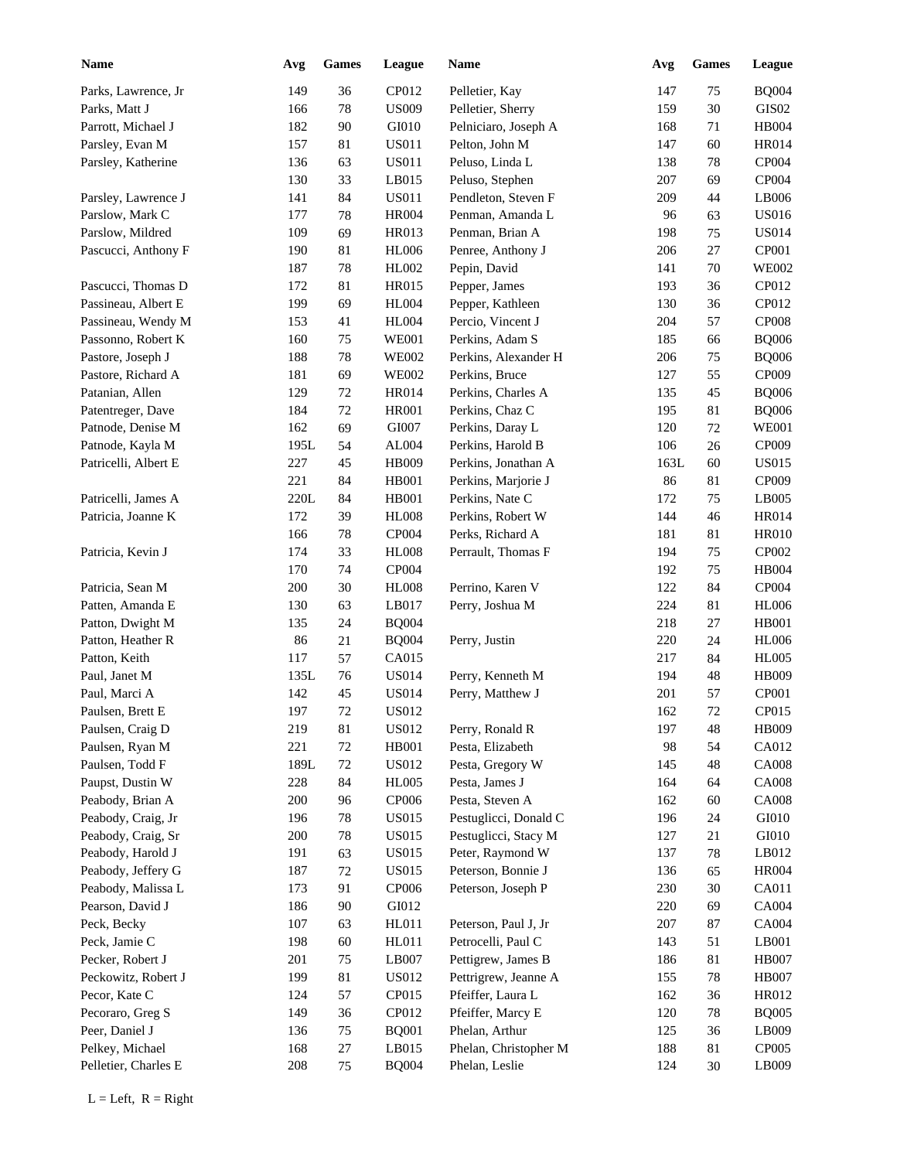| <b>Name</b>          | Avg  | <b>Games</b> | League       | <b>Name</b>           | Avg  | <b>Games</b> | League            |
|----------------------|------|--------------|--------------|-----------------------|------|--------------|-------------------|
| Parks, Lawrence, Jr  | 149  | 36           | CP012        | Pelletier, Kay        | 147  | 75           | <b>BQ004</b>      |
| Parks, Matt J        | 166  | $78\,$       | <b>US009</b> | Pelletier, Sherry     | 159  | 30           | GIS <sub>02</sub> |
| Parrott, Michael J   | 182  | 90           | GI010        | Pelniciaro, Joseph A  | 168  | 71           | <b>HB004</b>      |
| Parsley, Evan M      | 157  | 81           | <b>US011</b> | Pelton, John M        | 147  | 60           | <b>HR014</b>      |
| Parsley, Katherine   | 136  | 63           | <b>US011</b> | Peluso, Linda L       | 138  | 78           | CP004             |
|                      | 130  | 33           | LB015        | Peluso, Stephen       | 207  | 69           | CP004             |
| Parsley, Lawrence J  | 141  | 84           | <b>US011</b> | Pendleton, Steven F   | 209  | 44           | LB006             |
| Parslow, Mark C      | 177  | 78           | <b>HR004</b> | Penman, Amanda L      | 96   | 63           | <b>US016</b>      |
| Parslow, Mildred     | 109  | 69           | HR013        | Penman, Brian A       | 198  | 75           | <b>US014</b>      |
| Pascucci, Anthony F  | 190  | 81           | <b>HL006</b> | Penree, Anthony J     | 206  | 27           | CP001             |
|                      | 187  | 78           | HL002        | Pepin, David          | 141  | 70           | <b>WE002</b>      |
| Pascucci, Thomas D   | 172  | $81\,$       | HR015        | Pepper, James         | 193  | 36           | CP012             |
| Passineau, Albert E  | 199  | 69           | <b>HL004</b> | Pepper, Kathleen      | 130  | 36           | CP012             |
| Passineau, Wendy M   | 153  | 41           | $\rm HL004$  | Percio, Vincent J     | 204  | 57           | <b>CP008</b>      |
| Passonno, Robert K   | 160  | 75           | <b>WE001</b> | Perkins, Adam S       | 185  | 66           | <b>BQ006</b>      |
| Pastore, Joseph J    | 188  | 78           | <b>WE002</b> | Perkins, Alexander H  | 206  | 75           | <b>BQ006</b>      |
| Pastore, Richard A   | 181  | 69           | <b>WE002</b> | Perkins, Bruce        | 127  | 55           | CP009             |
| Patanian, Allen      | 129  | 72           | <b>HR014</b> | Perkins, Charles A    | 135  | 45           | <b>BQ006</b>      |
| Patentreger, Dave    | 184  | 72           | <b>HR001</b> | Perkins, Chaz C       | 195  | 81           | <b>BQ006</b>      |
| Patnode, Denise M    | 162  | 69           | GI007        | Perkins, Daray L      | 120  | 72           | <b>WE001</b>      |
| Patnode, Kayla M     | 195L | 54           | AL004        | Perkins, Harold B     | 106  | 26           | CP009             |
| Patricelli, Albert E | 227  | 45           | HB009        | Perkins, Jonathan A   | 163L | 60           | <b>US015</b>      |
|                      | 221  | 84           | <b>HB001</b> | Perkins, Marjorie J   | 86   | 81           | CP009             |
| Patricelli, James A  | 220L | 84           | <b>HB001</b> | Perkins, Nate C       | 172  | 75           | LB005             |
| Patricia, Joanne K   | 172  | 39           | <b>HL008</b> | Perkins, Robert W     | 144  | 46           | <b>HR014</b>      |
|                      | 166  | 78           | CP004        | Perks, Richard A      | 181  | $81\,$       | <b>HR010</b>      |
| Patricia, Kevin J    | 174  | 33           | <b>HL008</b> | Perrault, Thomas F    | 194  | 75           | CP002             |
|                      | 170  | 74           | CP004        |                       | 192  | 75           | HB004             |
| Patricia, Sean M     | 200  | 30           | <b>HL008</b> | Perrino, Karen V      | 122  | 84           | <b>CP004</b>      |
| Patten, Amanda E     | 130  | 63           | LB017        | Perry, Joshua M       | 224  | 81           | <b>HL006</b>      |
| Patton, Dwight M     | 135  | 24           | <b>BQ004</b> |                       | 218  | 27           | <b>HB001</b>      |
| Patton, Heather R    | 86   | 21           | <b>BQ004</b> | Perry, Justin         | 220  | 24           | <b>HL006</b>      |
| Patton, Keith        | 117  | 57           | CA015        |                       | 217  | 84           | <b>HL005</b>      |
| Paul, Janet M        | 135L | 76           | <b>US014</b> | Perry, Kenneth M      | 194  | 48           | <b>HB009</b>      |
| Paul, Marci A        | 142  | 45           | <b>US014</b> | Perry, Matthew J      | 201  | 57           | CP001             |
| Paulsen, Brett E     | 197  | $72\,$       | <b>US012</b> |                       | 162  | $72\,$       | CP015             |
| Paulsen, Craig D     | 219  | $81\,$       | <b>US012</b> | Perry, Ronald R       | 197  | 48           | HB009             |
| Paulsen, Ryan M      | 221  | $72\,$       | HB001        | Pesta, Elizabeth      | 98   | 54           | CA012             |
| Paulsen, Todd F      | 189L | $72\,$       | <b>US012</b> | Pesta, Gregory W      | 145  | 48           | <b>CA008</b>      |
| Paupst, Dustin W     | 228  | 84           | <b>HL005</b> | Pesta, James J        | 164  | 64           | <b>CA008</b>      |
| Peabody, Brian A     | 200  | 96           | CP006        | Pesta, Steven A       | 162  | 60           | <b>CA008</b>      |
| Peabody, Craig, Jr   | 196  | 78           | <b>US015</b> | Pestuglicci, Donald C | 196  | 24           | ${\rm G}I010$     |
| Peabody, Craig, Sr   | 200  | $78\,$       | <b>US015</b> | Pestuglicci, Stacy M  | 127  | 21           | ${\rm G}I010$     |
| Peabody, Harold J    | 191  | 63           | <b>US015</b> | Peter, Raymond W      | 137  | 78           | LB012             |
| Peabody, Jeffery G   | 187  | $72\,$       | <b>US015</b> | Peterson, Bonnie J    | 136  | 65           | <b>HR004</b>      |
| Peabody, Malissa L   | 173  | 91           | CP006        | Peterson, Joseph P    | 230  | 30           | CA011             |
| Pearson, David J     | 186  | $90\,$       | GI012        |                       | 220  | 69           | CA004             |
| Peck, Becky          | 107  | 63           | HL011        | Peterson, Paul J, Jr  | 207  | 87           | CA004             |
| Peck, Jamie C        | 198  | 60           | HL011        | Petrocelli, Paul C    | 143  | 51           | $L$ B001          |
| Pecker, Robert J     | 201  | 75           | LB007        | Pettigrew, James B    | 186  | 81           | <b>HB007</b>      |
| Peckowitz, Robert J  | 199  | $81\,$       | <b>US012</b> | Pettrigrew, Jeanne A  | 155  | 78           | <b>HB007</b>      |
| Pecor, Kate C        | 124  | 57           | CP015        | Pfeiffer, Laura L     | 162  | 36           | HR012             |
| Pecoraro, Greg S     | 149  | 36           | CP012        | Pfeiffer, Marcy E     | 120  | 78           | <b>BQ005</b>      |
| Peer, Daniel J       | 136  | 75           | <b>BQ001</b> | Phelan, Arthur        | 125  | 36           | LB009             |
| Pelkey, Michael      | 168  | $27\,$       | LB015        | Phelan, Christopher M | 188  | 81           | CP005             |
| Pelletier, Charles E | 208  | 75           | <b>BQ004</b> | Phelan, Leslie        | 124  | 30           | LB009             |
|                      |      |              |              |                       |      |              |                   |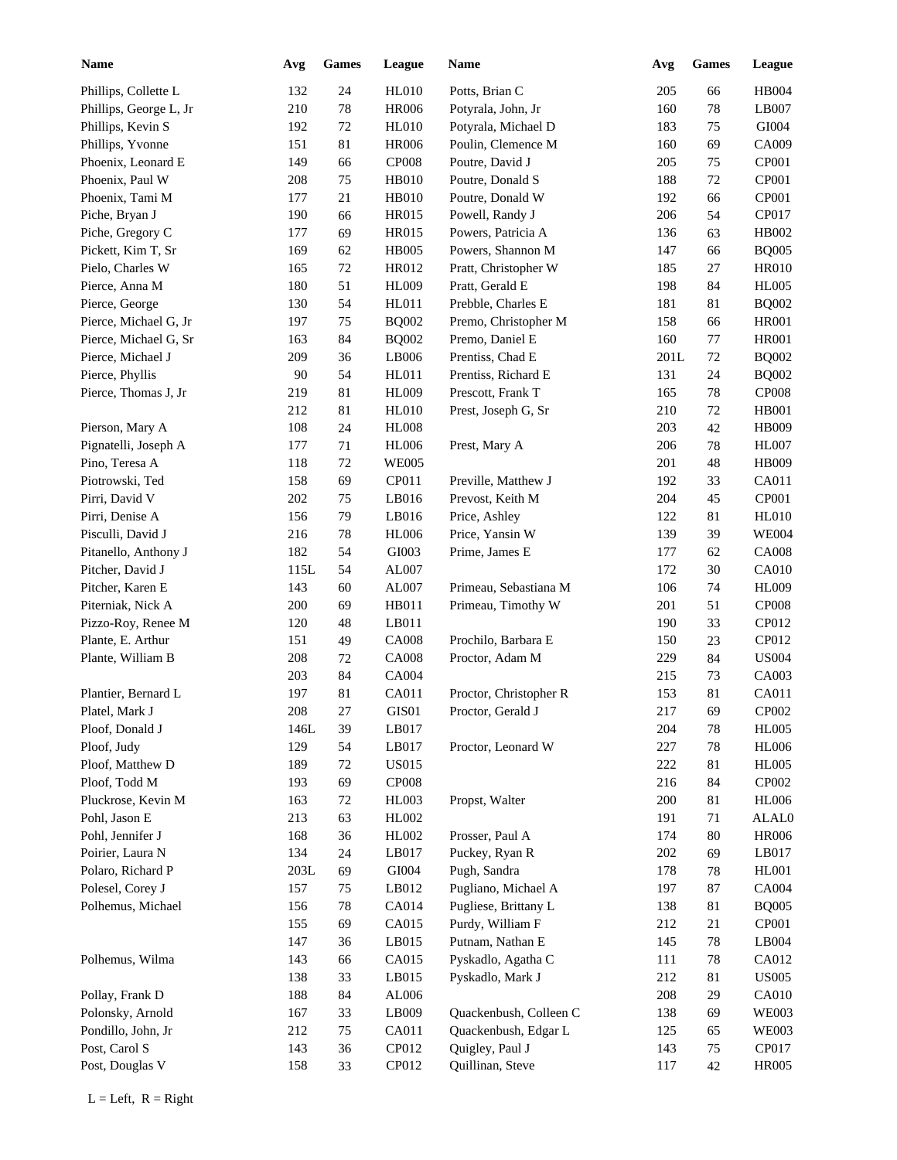| <b>Name</b>            | Avg  | <b>Games</b> | League        | Name                   | Avg  | Games  | League       |
|------------------------|------|--------------|---------------|------------------------|------|--------|--------------|
| Phillips, Collette L   | 132  | 24           | <b>HL010</b>  | Potts, Brian C         | 205  | 66     | HB004        |
| Phillips, George L, Jr | 210  | $78\,$       | <b>HR006</b>  | Potyrala, John, Jr     | 160  | 78     | LB007        |
| Phillips, Kevin S      | 192  | 72           | <b>HL010</b>  | Potyrala, Michael D    | 183  | 75     | GI004        |
| Phillips, Yvonne       | 151  | 81           | <b>HR006</b>  | Poulin, Clemence M     | 160  | 69     | CA009        |
| Phoenix, Leonard E     | 149  | 66           | CP008         | Poutre, David J        | 205  | 75     | CP001        |
| Phoenix, Paul W        | 208  | 75           | <b>HB010</b>  | Poutre, Donald S       | 188  | 72     | CP001        |
| Phoenix, Tami M        | 177  | 21           | <b>HB010</b>  | Poutre, Donald W       | 192  | 66     | CP001        |
| Piche, Bryan J         | 190  | 66           | <b>HR015</b>  | Powell, Randy J        | 206  | 54     | CP017        |
| Piche, Gregory C       | 177  | 69           | <b>HR015</b>  | Powers, Patricia A     | 136  | 63     | HB002        |
| Pickett, Kim T, Sr     | 169  | 62           | <b>HB005</b>  | Powers, Shannon M      | 147  | 66     | <b>BQ005</b> |
| Pielo, Charles W       | 165  | 72           | HR012         | Pratt, Christopher W   | 185  | 27     | <b>HR010</b> |
| Pierce, Anna M         | 180  | 51           | <b>HL009</b>  | Pratt, Gerald E        | 198  | 84     | <b>HL005</b> |
| Pierce, George         | 130  | 54           | HL011         | Prebble, Charles E     | 181  | 81     | <b>BQ002</b> |
| Pierce, Michael G, Jr  | 197  | 75           | <b>BQ002</b>  | Premo, Christopher M   | 158  | 66     | <b>HR001</b> |
| Pierce, Michael G, Sr  | 163  | 84           | <b>BQ002</b>  | Premo, Daniel E        | 160  | 77     | <b>HR001</b> |
| Pierce, Michael J      | 209  | 36           | LB006         | Prentiss, Chad E       | 201L | 72     | <b>BQ002</b> |
| Pierce, Phyllis        | 90   | 54           | HL011         | Prentiss, Richard E    | 131  | 24     | <b>BQ002</b> |
| Pierce, Thomas J, Jr   | 219  | 81           | <b>HL009</b>  | Prescott, Frank T      | 165  | $78\,$ | CP008        |
|                        | 212  | 81           | <b>HL010</b>  | Prest, Joseph G, Sr    | 210  | 72     | <b>HB001</b> |
| Pierson, Mary A        | 108  | 24           | <b>HL008</b>  |                        | 203  | 42     | <b>HB009</b> |
| Pignatelli, Joseph A   | 177  | 71           | <b>HL006</b>  | Prest, Mary A          | 206  | 78     | <b>HL007</b> |
| Pino, Teresa A         | 118  | 72           | <b>WE005</b>  |                        | 201  | 48     | <b>HB009</b> |
| Piotrowski, Ted        | 158  | 69           | CP011         | Preville, Matthew J    | 192  | 33     | CA011        |
| Pirri, David V         | 202  | 75           | LB016         | Prevost, Keith M       | 204  | 45     | CP001        |
| Pirri, Denise A        | 156  | 79           | LB016         | Price, Ashley          | 122  | 81     | <b>HL010</b> |
| Pisculli, David J      | 216  | $78\,$       | <b>HL006</b>  | Price, Yansin W        | 139  | 39     | <b>WE004</b> |
| Pitanello, Anthony J   | 182  | 54           | GI003         | Prime, James E         | 177  | 62     | <b>CA008</b> |
| Pitcher, David J       | 115L | 54           | AL007         |                        | 172  | 30     | <b>CA010</b> |
| Pitcher, Karen E       | 143  | 60           | AL007         | Primeau, Sebastiana M  | 106  | 74     | <b>HL009</b> |
| Piterniak, Nick A      | 200  | 69           | HB011         | Primeau, Timothy W     | 201  | 51     | <b>CP008</b> |
| Pizzo-Roy, Renee M     | 120  | 48           | LB011         |                        | 190  | 33     | CP012        |
| Plante, E. Arthur      | 151  | 49           | <b>CA008</b>  | Prochilo, Barbara E    | 150  | 23     | CP012        |
| Plante, William B      | 208  | 72           | <b>CA008</b>  | Proctor, Adam M        | 229  | 84     | <b>US004</b> |
|                        | 203  | 84           | CA004         |                        | 215  | 73     | CA003        |
| Plantier, Bernard L    | 197  | 81           | CA011         | Proctor, Christopher R | 153  | 81     | CA011        |
| Platel, Mark J         | 208  | 27           | GIS01         | Proctor, Gerald J      | 217  | 69     | CP002        |
| Ploof, Donald J        | 146L | 39           | LB017         |                        | 204  | 78     | <b>HL005</b> |
| Ploof, Judy            | 129  | 54           | LB017         | Proctor, Leonard W     | 227  | 78     | <b>HL006</b> |
| Ploof, Matthew D       | 189  | 72           | <b>US015</b>  |                        | 222  | 81     | <b>HL005</b> |
| Ploof, Todd M          | 193  | 69           | CP008         |                        | 216  | 84     | CP002        |
| Pluckrose, Kevin M     | 163  | 72           | HL003         | Propst, Walter         | 200  | 81     | <b>HL006</b> |
| Pohl, Jason E          | 213  | 63           | HL002         |                        | 191  | 71     | ALAL0        |
| Pohl, Jennifer J       | 168  | 36           | HL002         | Prosser, Paul A        | 174  | $80\,$ | <b>HR006</b> |
| Poirier, Laura N       | 134  | 24           | LB017         | Puckey, Ryan R         | 202  | 69     | LB017        |
| Polaro, Richard P      | 203L | 69           | ${\rm GIO}04$ | Pugh, Sandra           | 178  | $78\,$ | HL001        |
| Polesel, Corey J       | 157  | 75           | LB012         | Pugliano, Michael A    | 197  | $87\,$ | <b>CA004</b> |
| Polhemus, Michael      | 156  | 78           | CA014         | Pugliese, Brittany L   | 138  | 81     | <b>BQ005</b> |
|                        | 155  | 69           | CA015         | Purdy, William F       | 212  | 21     | CP001        |
|                        | 147  | 36           | LB015         | Putnam, Nathan E       | 145  | $78\,$ | LB004        |
| Polhemus, Wilma        | 143  | 66           | CA015         | Pyskadlo, Agatha C     | 111  | $78\,$ | CA012        |
|                        | 138  | 33           | LB015         | Pyskadlo, Mark J       | 212  | 81     | <b>US005</b> |
|                        |      |              |               |                        |      |        | <b>CA010</b> |
| Pollay, Frank D        | 188  | 84           | AL006         | Quackenbush, Colleen C | 208  | 29     | <b>WE003</b> |
| Polonsky, Arnold       | 167  | 33           | LB009         |                        | 138  | 69     |              |
| Pondillo, John, Jr     | 212  | 75           | CA011         | Quackenbush, Edgar L   | 125  | 65     | <b>WE003</b> |
| Post, Carol S          | 143  | 36           | CP012         | Quigley, Paul J        | 143  | 75     | CP017        |
| Post, Douglas V        | 158  | 33           | CP012         | Quillinan, Steve       | 117  | 42     | <b>HR005</b> |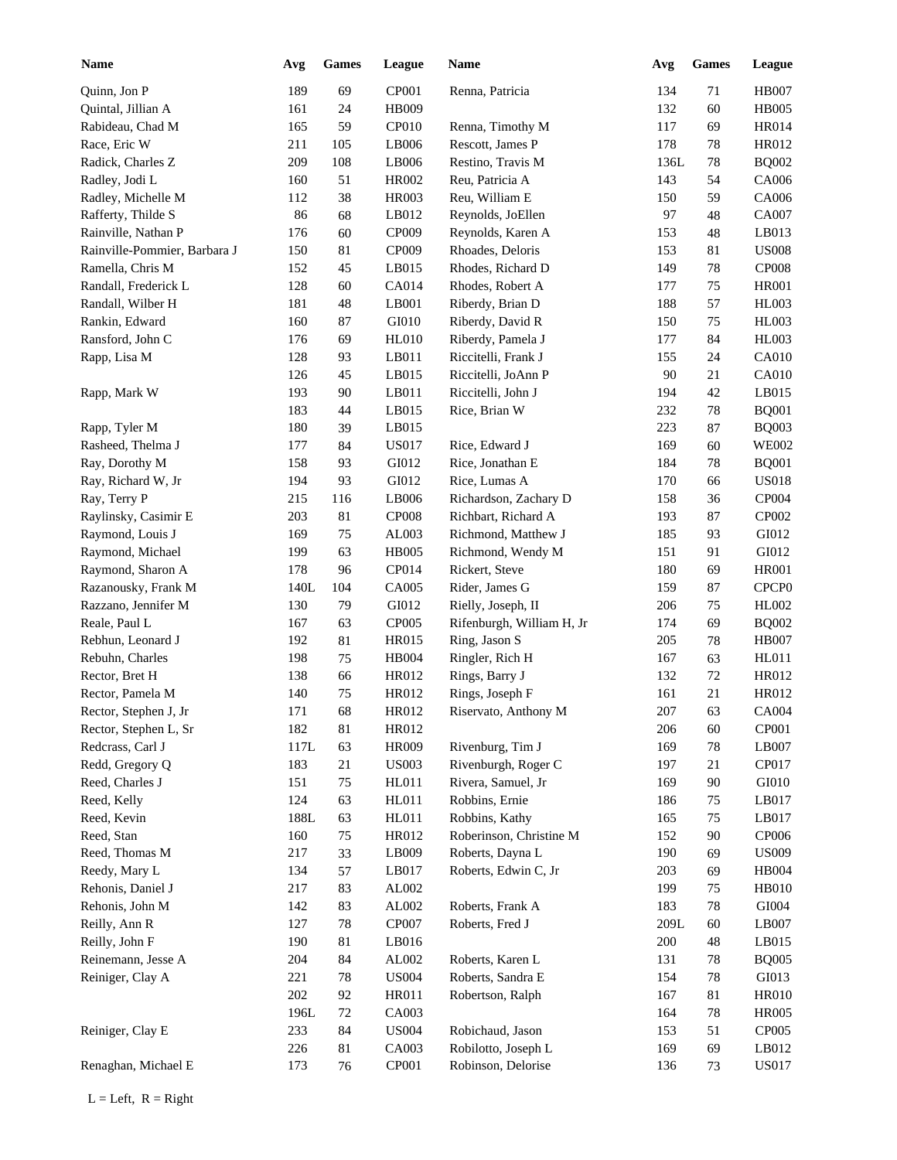| <b>Name</b>                  | Avg  | <b>Games</b> | League       | Name                      | Avg     | Games  | <b>League</b>     |
|------------------------------|------|--------------|--------------|---------------------------|---------|--------|-------------------|
| Quinn, Jon P                 | 189  | 69           | CP001        | Renna, Patricia           | 134     | 71     | <b>HB007</b>      |
| Quintal, Jillian A           | 161  | 24           | HB009        |                           | 132     | 60     | <b>HB005</b>      |
| Rabideau, Chad M             | 165  | 59           | CP010        | Renna, Timothy M          | 117     | 69     | <b>HR014</b>      |
| Race, Eric W                 | 211  | 105          | LB006        | Rescott, James P          | 178     | 78     | <b>HR012</b>      |
| Radick, Charles Z            | 209  | 108          | LB006        | Restino, Travis M         | 136L    | 78     | <b>BQ002</b>      |
| Radley, Jodi L               | 160  | 51           | HR002        | Reu, Patricia A           | 143     | 54     | CA006             |
| Radley, Michelle M           | 112  | 38           | <b>HR003</b> | Reu, William E            | 150     | 59     | CA006             |
| Rafferty, Thilde S           | 86   | 68           | LB012        | Reynolds, JoEllen         | 97      | 48     | <b>CA007</b>      |
| Rainville, Nathan P          | 176  | 60           | CP009        | Reynolds, Karen A         | 153     | 48     | LB013             |
| Rainville-Pommier, Barbara J | 150  | 81           | CP009        | Rhoades, Deloris          | 153     | 81     | <b>US008</b>      |
| Ramella, Chris M             | 152  | 45           | LB015        | Rhodes, Richard D         | 149     | 78     | <b>CP008</b>      |
| Randall, Frederick L         | 128  | 60           | CA014        | Rhodes, Robert A          | 177     | 75     | <b>HR001</b>      |
| Randall, Wilber H            | 181  | 48           | LB001        | Riberdy, Brian D          | 188     | 57     | HL003             |
| Rankin, Edward               | 160  | 87           | GI010        | Riberdy, David R          | 150     | 75     | HL003             |
| Ransford, John C             | 176  | 69           | HL010        | Riberdy, Pamela J         | 177     | 84     | HL003             |
| Rapp, Lisa M                 | 128  | 93           | LB011        | Riccitelli, Frank J       | 155     | 24     | <b>CA010</b>      |
|                              | 126  | 45           | LB015        | Riccitelli, JoAnn P       | 90      | 21     | <b>CA010</b>      |
| Rapp, Mark W                 | 193  | 90           | LB011        | Riccitelli, John J        | 194     | 42     | LB015             |
|                              | 183  | 44           | LB015        | Rice, Brian W             | 232     | 78     | <b>BQ001</b>      |
| Rapp, Tyler M                | 180  | 39           | LB015        |                           | 223     | 87     | <b>BQ003</b>      |
| Rasheed, Thelma J            | 177  | 84           | <b>US017</b> | Rice, Edward J            | 169     | 60     | <b>WE002</b>      |
| Ray, Dorothy M               | 158  | 93           | GI012        | Rice, Jonathan E          | 184     | 78     | <b>BQ001</b>      |
| Ray, Richard W, Jr           | 194  | 93           | GI012        | Rice, Lumas A             | 170     | 66     | <b>US018</b>      |
| Ray, Terry P                 | 215  | 116          | LB006        | Richardson, Zachary D     | 158     | 36     | CP004             |
| Raylinsky, Casimir E         | 203  | 81           | <b>CP008</b> | Richbart, Richard A       | 193     | 87     | CP002             |
| Raymond, Louis J             | 169  | 75           | AL003        | Richmond, Matthew J       | 185     | 93     | GI012             |
| Raymond, Michael             | 199  | 63           | <b>HB005</b> | Richmond, Wendy M         | 151     | 91     | GI012             |
| Raymond, Sharon A            | 178  | 96           | CP014        | Rickert, Steve            | 180     | 69     | <b>HR001</b>      |
| Razanousky, Frank M          | 140L | 104          | CA005        | Rider, James G            | 159     | 87     | CPCP <sub>0</sub> |
| Razzano, Jennifer M          | 130  | 79           | GI012        | Rielly, Joseph, II        | 206     | 75     | <b>HL002</b>      |
| Reale, Paul L                | 167  | 63           | <b>CP005</b> | Rifenburgh, William H, Jr | 174     | 69     | <b>BQ002</b>      |
| Rebhun, Leonard J            | 192  | 81           | HR015        | Ring, Jason S             | 205     | 78     | <b>HB007</b>      |
| Rebuhn, Charles              | 198  | 75           | HB004        | Ringler, Rich H           | 167     | 63     | HL011             |
| Rector, Bret H               | 138  | 66           | HR012        | Rings, Barry J            | 132     | 72     | <b>HR012</b>      |
| Rector, Pamela M             | 140  | 75           | HR012        | Rings, Joseph F           | 161     | $21\,$ | <b>HR012</b>      |
| Rector, Stephen J, Jr        | 171  | 68           | HR012        | Riservato, Anthony M      | $207\,$ | 63     | <b>CA004</b>      |
| Rector, Stephen L, Sr        | 182  | $81\,$       | HR012        |                           | 206     | 60     | CP001             |
| Redcrass, Carl J             | 117L | 63           | <b>HR009</b> | Rivenburg, Tim J          | 169     | 78     | LB007             |
| Redd, Gregory Q              | 183  | 21           | <b>US003</b> | Rivenburgh, Roger C       | 197     | 21     | CP017             |
| Reed, Charles J              | 151  | 75           | HL011        | Rivera, Samuel, Jr        | 169     | 90     | GI010             |
| Reed, Kelly                  | 124  | 63           | HL011        | Robbins, Ernie            | 186     | $75\,$ | LB017             |
| Reed, Kevin                  | 188L | 63           | HL011        | Robbins, Kathy            | 165     | 75     | LB017             |
| Reed, Stan                   | 160  | $75\,$       | HR012        | Roberinson, Christine M   | 152     | 90     | CP006             |
| Reed, Thomas M               | 217  | 33           | LB009        | Roberts, Dayna L          | 190     | 69     | <b>US009</b>      |
| Reedy, Mary L                | 134  | 57           | LB017        | Roberts, Edwin C, Jr      | 203     | 69     | <b>HB004</b>      |
| Rehonis, Daniel J            | 217  | 83           | AL002        |                           | 199     | 75     | <b>HB010</b>      |
| Rehonis, John M              | 142  | 83           | AL002        | Roberts, Frank A          | 183     | 78     | GI004             |
| Reilly, Ann R                | 127  | 78           | CP007        | Roberts, Fred J           | 209L    | 60     | LB007             |
| Reilly, John F               | 190  | $81\,$       | LB016        |                           | 200     | 48     | LB015             |
|                              |      |              |              |                           |         |        |                   |
| Reinemann, Jesse A           | 204  | 84           | AL002        | Roberts, Karen L          | 131     | 78     | <b>BQ005</b>      |
| Reiniger, Clay A             | 221  | 78           | <b>US004</b> | Roberts, Sandra E         | 154     | 78     | GI013             |
|                              | 202  | 92           | HR011        | Robertson, Ralph          | 167     | 81     | <b>HR010</b>      |
|                              | 196L | $72\,$       | CA003        |                           | 164     | 78     | <b>HR005</b>      |
| Reiniger, Clay E             | 233  | 84           | <b>US004</b> | Robichaud, Jason          | 153     | 51     | CP005             |
|                              | 226  | 81           | CA003        | Robilotto, Joseph L       | 169     | 69     | LB012             |
| Renaghan, Michael E          | 173  | 76           | CP001        | Robinson, Delorise        | 136     | 73     | <b>US017</b>      |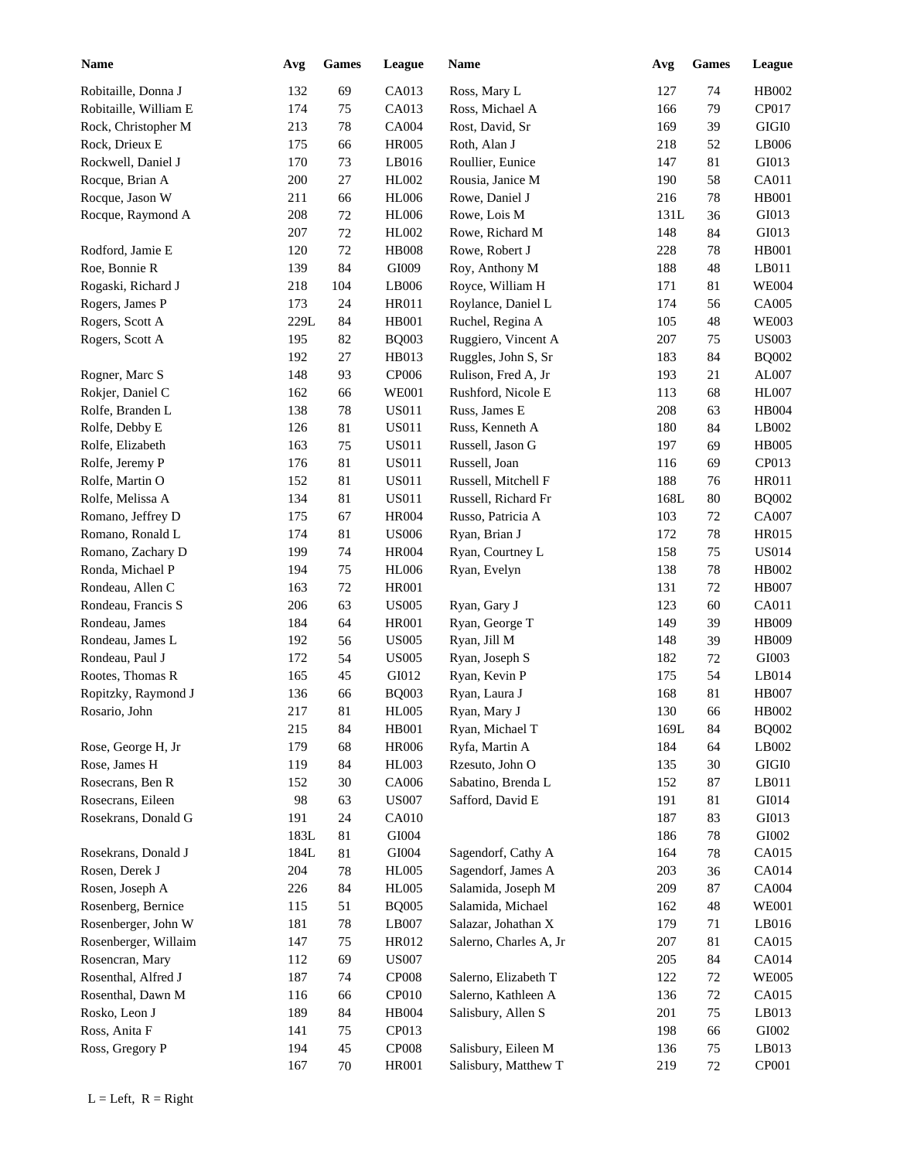| <b>Name</b>                          | Avg  | ${\bf Games}$ | League       | <b>Name</b>            | Avg  | <b>Games</b> | <b>League</b> |
|--------------------------------------|------|---------------|--------------|------------------------|------|--------------|---------------|
| Robitaille, Donna J                  | 132  | 69            | CA013        | Ross, Mary L           | 127  | 74           | HB002         |
| Robitaille, William E                | 174  | 75            | CA013        | Ross, Michael A        | 166  | 79           | CP017         |
| Rock, Christopher M                  | 213  | $78\,$        | CA004        | Rost, David, Sr        | 169  | 39           | $\rm GIGI0$   |
| Rock, Drieux E                       | 175  | 66            | <b>HR005</b> | Roth, Alan J           | 218  | 52           | LB006         |
| Rockwell, Daniel J                   | 170  | 73            | LB016        | Roullier, Eunice       | 147  | 81           | GI013         |
| Rocque, Brian A                      | 200  | $27\,$        | HL002        | Rousia, Janice M       | 190  | 58           | CA011         |
| Rocque, Jason W                      | 211  | 66            | <b>HL006</b> | Rowe, Daniel J         | 216  | 78           | <b>HB001</b>  |
| Rocque, Raymond A                    | 208  | $72\,$        | <b>HL006</b> | Rowe, Lois M           | 131L | 36           | GI013         |
|                                      | 207  | $72\,$        | HL002        | Rowe, Richard M        | 148  | 84           | GI013         |
| Rodford, Jamie E                     | 120  | $72\,$        | <b>HB008</b> | Rowe, Robert J         | 228  | 78           | <b>HB001</b>  |
| Roe, Bonnie R                        | 139  | 84            | GI009        | Roy, Anthony M         | 188  | 48           | LB011         |
| Rogaski, Richard J                   | 218  | 104           | LB006        | Royce, William H       | 171  | 81           | <b>WE004</b>  |
| Rogers, James P                      | 173  | 24            | HR011        | Roylance, Daniel L     | 174  | 56           | CA005         |
| Rogers, Scott A                      | 229L | 84            | HB001        | Ruchel, Regina A       | 105  | 48           | <b>WE003</b>  |
| Rogers, Scott A                      | 195  | 82            | <b>BQ003</b> | Ruggiero, Vincent A    | 207  | 75           | <b>US003</b>  |
|                                      | 192  | 27            | HB013        | Ruggles, John S, Sr    | 183  | 84           | <b>BQ002</b>  |
| Rogner, Marc S                       | 148  | 93            | CP006        | Rulison, Fred A, Jr    | 193  | 21           | AL007         |
| Rokjer, Daniel C                     | 162  | 66            | <b>WE001</b> | Rushford, Nicole E     | 113  | 68           | <b>HL007</b>  |
| Rolfe, Branden L                     | 138  | 78            | <b>US011</b> | Russ, James E          | 208  | 63           | HB004         |
| Rolfe, Debby E                       | 126  | 81            | <b>US011</b> | Russ, Kenneth A        | 180  | 84           | LB002         |
| Rolfe, Elizabeth                     | 163  | 75            | <b>US011</b> | Russell, Jason G       | 197  | 69           | <b>HB005</b>  |
| Rolfe, Jeremy P                      | 176  | 81            | <b>US011</b> | Russell, Joan          | 116  | 69           | CP013         |
| Rolfe, Martin O                      | 152  | 81            | <b>US011</b> | Russell, Mitchell F    | 188  | 76           | <b>HR011</b>  |
| Rolfe, Melissa A                     | 134  | 81            | <b>US011</b> | Russell, Richard Fr    | 168L | 80           | <b>BQ002</b>  |
| Romano, Jeffrey D                    | 175  | 67            | <b>HR004</b> | Russo, Patricia A      | 103  | 72           | CA007         |
| Romano, Ronald L                     | 174  | 81            | <b>US006</b> | Ryan, Brian J          | 172  | $78\,$       | HR015         |
| Romano, Zachary D                    | 199  | 74            | <b>HR004</b> | Ryan, Courtney L       | 158  | 75           | <b>US014</b>  |
| Ronda, Michael P                     | 194  | 75            | <b>HL006</b> | Ryan, Evelyn           | 138  | 78           | HB002         |
|                                      | 163  | $72\,$        | <b>HR001</b> |                        | 131  | 72           | <b>HB007</b>  |
| Rondeau, Allen C                     |      | 63            |              |                        |      |              | CA011         |
| Rondeau, Francis S<br>Rondeau, James | 206  |               | <b>US005</b> | Ryan, Gary J           | 123  | 60           |               |
|                                      | 184  | 64            | <b>HR001</b> | Ryan, George T         | 149  | 39           | HB009         |
| Rondeau, James L                     | 192  | 56            | <b>US005</b> | Ryan, Jill M           | 148  | 39           | <b>HB009</b>  |
| Rondeau, Paul J                      | 172  | 54            | <b>US005</b> | Ryan, Joseph S         | 182  | 72           | GI003         |
| Rootes, Thomas R                     | 165  | 45            | GI012        | Ryan, Kevin P          | 175  | 54           | LB014         |
| Ropitzky, Raymond J                  | 136  | 66            | <b>BQ003</b> | Ryan, Laura J          | 168  | 81           | <b>HB007</b>  |
| Rosario, John                        | 217  | $81\,$        | <b>HL005</b> | Ryan, Mary J           | 130  | 66           | HB002         |
|                                      | 215  | 84            | HB001        | Ryan, Michael T        | 169L | 84           | <b>BQ002</b>  |
| Rose, George H, Jr                   | 179  | 68            | <b>HR006</b> | Ryfa, Martin A         | 184  | 64           | LB002         |
| Rose, James H                        | 119  | 84            | HL003        | Rzesuto, John O        | 135  | $30\,$       | $\rm GIGI0$   |
| Rosecrans, Ben R                     | 152  | $30\,$        | CA006        | Sabatino, Brenda L     | 152  | 87           | LB011         |
| Rosecrans, Eileen                    | 98   | 63            | <b>US007</b> | Safford, David E       | 191  | 81           | GI014         |
| Rosekrans, Donald G                  | 191  | 24            | CA010        |                        | 187  | 83           | GI013         |
|                                      | 183L | 81            | GI004        |                        | 186  | 78           | ${\rm GIO}02$ |
| Rosekrans, Donald J                  | 184L | 81            | GI004        | Sagendorf, Cathy A     | 164  | 78           | CA015         |
| Rosen, Derek J                       | 204  | $78\,$        | <b>HL005</b> | Sagendorf, James A     | 203  | 36           | CA014         |
| Rosen, Joseph A                      | 226  | 84            | <b>HL005</b> | Salamida, Joseph M     | 209  | 87           | CA004         |
| Rosenberg, Bernice                   | 115  | 51            | <b>BQ005</b> | Salamida, Michael      | 162  | 48           | <b>WE001</b>  |
| Rosenberger, John W                  | 181  | $78\,$        | LB007        | Salazar, Johathan X    | 179  | 71           | LB016         |
| Rosenberger, Willaim                 | 147  | 75            | HR012        | Salerno, Charles A, Jr | 207  | 81           | CA015         |
| Rosencran, Mary                      | 112  | 69            | <b>US007</b> |                        | 205  | 84           | CA014         |
| Rosenthal, Alfred J                  | 187  | 74            | CP008        | Salerno, Elizabeth T   | 122  | $72\,$       | <b>WE005</b>  |
| Rosenthal, Dawn M                    | 116  | 66            | CP010        | Salerno, Kathleen A    | 136  | $72\,$       | CA015         |
| Rosko, Leon J                        | 189  | 84            | HB004        | Salisbury, Allen S     | 201  | 75           | LB013         |
| Ross, Anita F                        | 141  | 75            | CP013        |                        | 198  | 66           | GI002         |
| Ross, Gregory P                      | 194  | $45\,$        | CP008        | Salisbury, Eileen M    | 136  | $75\,$       | LB013         |
|                                      | 167  | 70            | <b>HR001</b> | Salisbury, Matthew T   | 219  | 72           | CP001         |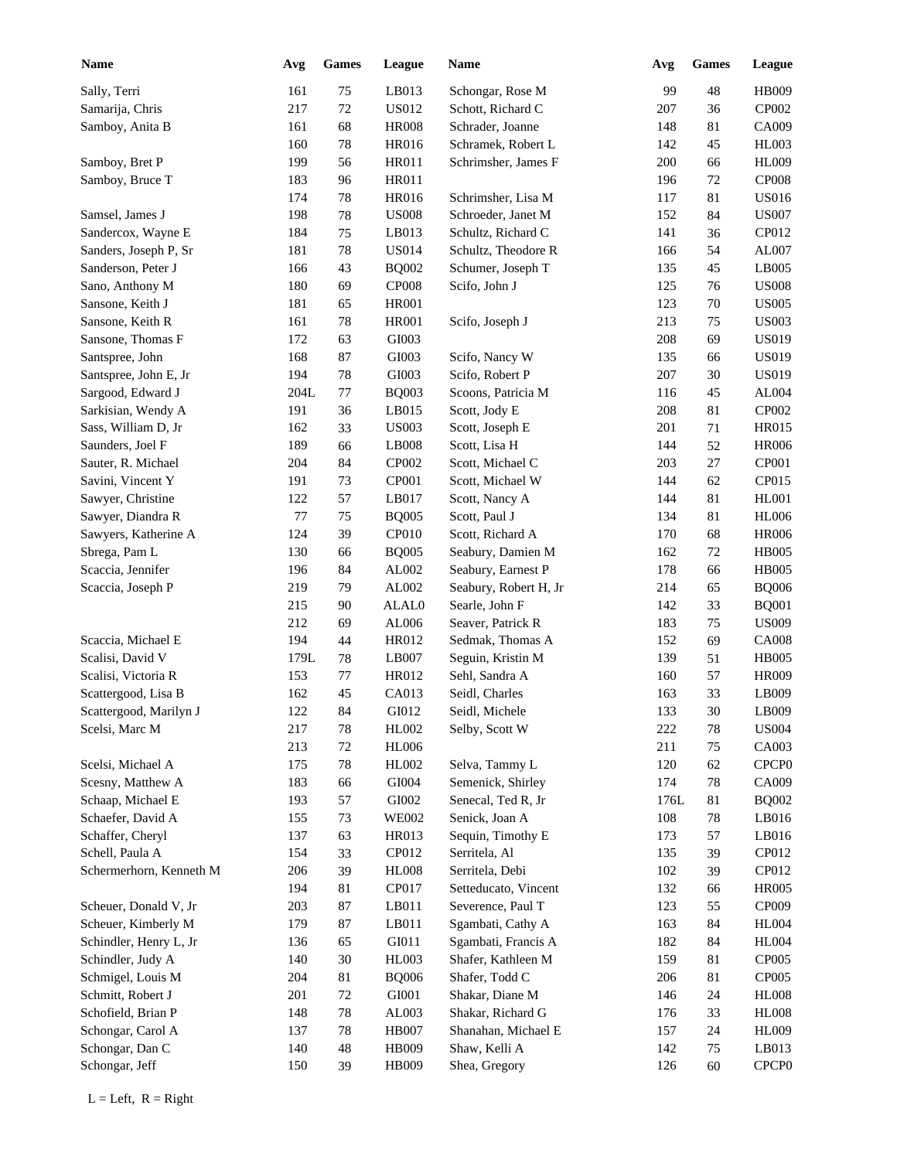| <b>Name</b>             | Avg  | <b>Games</b> | League       | Name                  | Avg  | <b>Games</b> | League            |
|-------------------------|------|--------------|--------------|-----------------------|------|--------------|-------------------|
| Sally, Terri            | 161  | $75\,$       | LB013        | Schongar, Rose M      | 99   | 48           | HB009             |
| Samarija, Chris         | 217  | 72           | <b>US012</b> | Schott, Richard C     | 207  | 36           | CP002             |
| Samboy, Anita B         | 161  | 68           | <b>HR008</b> | Schrader, Joanne      | 148  | 81           | CA009             |
|                         | 160  | 78           | <b>HR016</b> | Schramek, Robert L    | 142  | 45           | HL003             |
| Samboy, Bret P          | 199  | 56           | <b>HR011</b> | Schrimsher, James F   | 200  | 66           | HL009             |
| Samboy, Bruce T         | 183  | 96           | <b>HR011</b> |                       | 196  | 72           | <b>CP008</b>      |
|                         | 174  | 78           | <b>HR016</b> | Schrimsher, Lisa M    | 117  | 81           | <b>US016</b>      |
| Samsel, James J         | 198  | 78           | <b>US008</b> | Schroeder, Janet M    | 152  | 84           | <b>US007</b>      |
| Sandercox, Wayne E      | 184  | 75           | LB013        | Schultz, Richard C    | 141  | 36           | CP012             |
| Sanders, Joseph P, Sr   | 181  | $78\,$       | <b>US014</b> | Schultz, Theodore R   | 166  | 54           | AL007             |
| Sanderson, Peter J      | 166  | 43           | <b>BQ002</b> | Schumer, Joseph T     | 135  | 45           | LB005             |
| Sano, Anthony M         | 180  | 69           | <b>CP008</b> | Scifo, John J         | 125  | 76           | <b>US008</b>      |
| Sansone, Keith J        | 181  | 65           | <b>HR001</b> |                       | 123  | 70           | <b>US005</b>      |
| Sansone, Keith R        | 161  | 78           | <b>HR001</b> | Scifo, Joseph J       | 213  | 75           | <b>US003</b>      |
| Sansone, Thomas F       | 172  | 63           | GI003        |                       | 208  | 69           | <b>US019</b>      |
| Santspree, John         | 168  | 87           | GI003        | Scifo, Nancy W        | 135  | 66           | <b>US019</b>      |
| Santspree, John E, Jr   | 194  | 78           | GI003        | Scifo, Robert P       | 207  | 30           | <b>US019</b>      |
| Sargood, Edward J       | 204L | $77\,$       | <b>BQ003</b> | Scoons, Patricia M    | 116  | 45           | AL004             |
| Sarkisian, Wendy A      | 191  | 36           | LB015        | Scott, Jody E         | 208  | 81           | CP002             |
| Sass, William D, Jr     | 162  | 33           | <b>US003</b> | Scott, Joseph E       | 201  | 71           | HR015             |
| Saunders, Joel F        | 189  | 66           | LB008        | Scott, Lisa H         | 144  | 52           | <b>HR006</b>      |
| Sauter, R. Michael      | 204  | 84           | CP002        | Scott, Michael C      | 203  | 27           | CP001             |
| Savini, Vincent Y       | 191  | 73           | CP001        | Scott, Michael W      | 144  | 62           | CP015             |
| Sawyer, Christine       | 122  | 57           | LB017        | Scott, Nancy A        | 144  | 81           | <b>HL001</b>      |
| Sawyer, Diandra R       | 77   | 75           | <b>BQ005</b> | Scott, Paul J         | 134  | 81           | <b>HL006</b>      |
| Sawyers, Katherine A    | 124  | 39           | CP010        | Scott, Richard A      | 170  | 68           | <b>HR006</b>      |
| Sbrega, Pam L           | 130  | 66           | <b>BQ005</b> | Seabury, Damien M     | 162  | 72           | <b>HB005</b>      |
| Scaccia, Jennifer       | 196  | 84           | AL002        | Seabury, Earnest P    | 178  | 66           | <b>HB005</b>      |
| Scaccia, Joseph P       | 219  | 79           | AL002        | Seabury, Robert H, Jr | 214  | 65           | <b>BQ006</b>      |
|                         | 215  | 90           | ALAL0        | Searle, John F        | 142  | 33           | <b>BQ001</b>      |
|                         | 212  | 69           | AL006        | Seaver, Patrick R     | 183  | 75           | <b>US009</b>      |
| Scaccia, Michael E      | 194  | 44           | HR012        | Sedmak, Thomas A      | 152  | 69           | <b>CA008</b>      |
| Scalisi, David V        | 179L | 78           | LB007        | Seguin, Kristin M     | 139  | 51           | <b>HB005</b>      |
| Scalisi, Victoria R     | 153  | 77           | HR012        | Sehl, Sandra A        | 160  | 57           | <b>HR009</b>      |
| Scattergood, Lisa B     | 162  | 45           | CA013        | Seidl, Charles        | 163  | 33           | LB009             |
| Scattergood, Marilyn J  | 122  | 84           | GI012        | Seidl, Michele        | 133  | 30           | LB009             |
| Scelsi, Marc M          | 217  | 78           | HL002        | Selby, Scott W        | 222  | 78           | <b>US004</b>      |
|                         | 213  | $72\,$       | <b>HL006</b> |                       | 211  | 75           | CA003             |
| Scelsi, Michael A       | 175  | 78           | HL002        | Selva, Tammy L        | 120  | 62           | CPCP <sub>0</sub> |
| Scesny, Matthew A       | 183  | 66           | GI004        | Semenick, Shirley     | 174  | 78           | CA009             |
| Schaap, Michael E       | 193  | 57           | GI002        | Senecal, Ted R, Jr    | 176L | 81           | <b>BQ002</b>      |
| Schaefer, David A       | 155  | 73           | <b>WE002</b> | Senick, Joan A        | 108  | 78           | LB016             |
| Schaffer, Cheryl        | 137  | 63           | HR013        | Sequin, Timothy E     | 173  | 57           | LB016             |
| Schell, Paula A         | 154  | 33           | CP012        | Serritela, Al         | 135  | 39           | CP012             |
| Schermerhorn, Kenneth M | 206  | 39           | <b>HL008</b> | Serritela, Debi       | 102  | 39           | CP012             |
|                         | 194  | 81           | CP017        | Setteducato, Vincent  | 132  | 66           | <b>HR005</b>      |
| Scheuer, Donald V, Jr   | 203  | $87\,$       | LB011        | Severence, Paul T     | 123  | 55           | CP009             |
| Scheuer, Kimberly M     | 179  | $87\,$       | LB011        | Sgambati, Cathy A     | 163  | 84           | <b>HL004</b>      |
| Schindler, Henry L, Jr  | 136  | 65           | GI011        | Sgambati, Francis A   | 182  | 84           | HL004             |
| Schindler, Judy A       | 140  | $30\,$       | HL003        | Shafer, Kathleen M    | 159  | 81           | CP005             |
| Schmigel, Louis M       | 204  | 81           | <b>BQ006</b> | Shafer, Todd C        | 206  | 81           | CP005             |
| Schmitt, Robert J       | 201  | $72\,$       | GI001        | Shakar, Diane M       | 146  | 24           | <b>HL008</b>      |
| Schofield, Brian P      | 148  | $78\,$       | AL003        | Shakar, Richard G     | 176  | 33           | <b>HL008</b>      |
| Schongar, Carol A       | 137  | $78\,$       | <b>HB007</b> | Shanahan, Michael E   | 157  | 24           | HL009             |
| Schongar, Dan C         | 140  | 48           | HB009        | Shaw, Kelli A         | 142  | 75           | LB013             |
| Schongar, Jeff          | 150  | 39           | HB009        | Shea, Gregory         | 126  | 60           | CPCP <sub>0</sub> |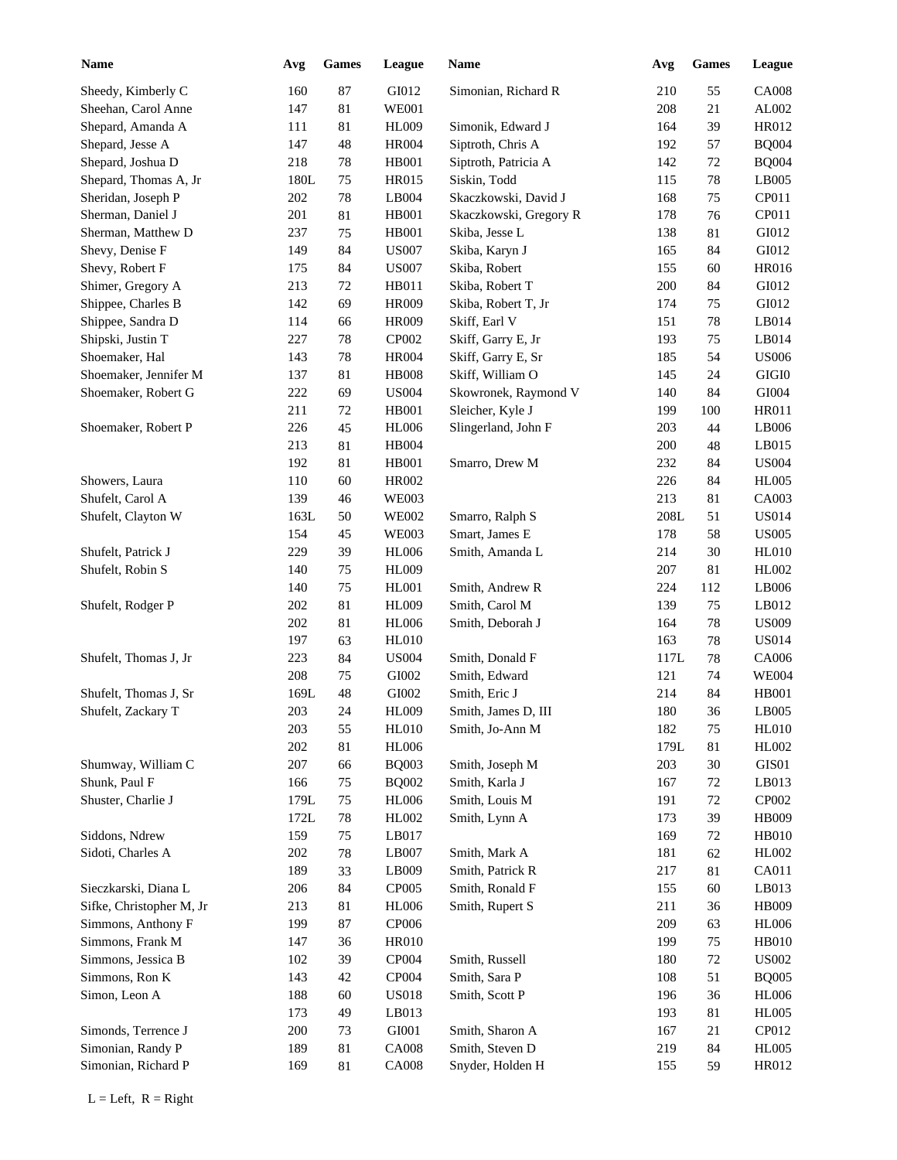| <b>Name</b>              | Avg     | Games  | League        | Name                   | Avg  | <b>Games</b> | League       |
|--------------------------|---------|--------|---------------|------------------------|------|--------------|--------------|
| Sheedy, Kimberly C       | 160     | 87     | GI012         | Simonian, Richard R    | 210  | 55           | <b>CA008</b> |
| Sheehan, Carol Anne      | 147     | 81     | <b>WE001</b>  |                        | 208  | 21           | AL002        |
| Shepard, Amanda A        | 111     | 81     | <b>HL009</b>  | Simonik, Edward J      | 164  | 39           | HR012        |
| Shepard, Jesse A         | 147     | 48     | <b>HR004</b>  | Siptroth, Chris A      | 192  | 57           | <b>BQ004</b> |
| Shepard, Joshua D        | 218     | 78     | HB001         | Siptroth, Patricia A   | 142  | 72           | <b>BQ004</b> |
| Shepard, Thomas A, Jr    | 180L    | 75     | HR015         | Siskin, Todd           | 115  | 78           | LB005        |
| Sheridan, Joseph P       | 202     | 78     | LB004         | Skaczkowski, David J   | 168  | 75           | CP011        |
| Sherman, Daniel J        | 201     | $81\,$ | <b>HB001</b>  | Skaczkowski, Gregory R | 178  | 76           | CP011        |
| Sherman, Matthew D       | 237     | 75     | <b>HB001</b>  | Skiba, Jesse L         | 138  | 81           | GI012        |
| Shevy, Denise F          | 149     | 84     | <b>US007</b>  | Skiba, Karyn J         | 165  | 84           | GI012        |
| Shevy, Robert F          | 175     | 84     | <b>US007</b>  | Skiba, Robert          | 155  | 60           | HR016        |
| Shimer, Gregory A        | 213     | 72     | HB011         | Skiba, Robert T        | 200  | 84           | GI012        |
| Shippee, Charles B       | 142     | 69     | <b>HR009</b>  | Skiba, Robert T, Jr    | 174  | 75           | GI012        |
| Shippee, Sandra D        | 114     | 66     | <b>HR009</b>  | Skiff, Earl V          | 151  | 78           | LB014        |
| Shipski, Justin T        | 227     | 78     | CP002         | Skiff, Garry E, Jr     | 193  | 75           | LB014        |
| Shoemaker, Hal           | 143     | 78     | <b>HR004</b>  | Skiff, Garry E, Sr     | 185  | 54           | <b>US006</b> |
| Shoemaker, Jennifer M    | 137     | 81     | <b>HB008</b>  | Skiff, William O       | 145  | 24           | $\rm GIGI0$  |
| Shoemaker, Robert G      | 222     | 69     | <b>US004</b>  | Skowronek, Raymond V   | 140  | 84           | GI004        |
|                          | 211     | 72     | <b>HB001</b>  | Sleicher, Kyle J       | 199  | 100          | <b>HR011</b> |
| Shoemaker, Robert P      | 226     | 45     | <b>HL006</b>  | Slingerland, John F    | 203  | 44           | LB006        |
|                          | 213     | 81     | HB004         |                        | 200  | 48           | LB015        |
|                          | 192     | 81     | <b>HB001</b>  | Smarro, Drew M         | 232  | 84           | <b>US004</b> |
| Showers, Laura           | 110     | 60     | <b>HR002</b>  |                        | 226  | 84           | <b>HL005</b> |
| Shufelt, Carol A         | 139     | 46     | <b>WE003</b>  |                        | 213  | 81           | CA003        |
| Shufelt, Clayton W       | 163L    | 50     | <b>WE002</b>  | Smarro, Ralph S        | 208L | 51           | <b>US014</b> |
|                          | 154     | 45     | <b>WE003</b>  | Smart, James E         | 178  | 58           | <b>US005</b> |
| Shufelt, Patrick J       | 229     | 39     | <b>HL006</b>  | Smith, Amanda L        | 214  | 30           | <b>HL010</b> |
| Shufelt, Robin S         | 140     | 75     | <b>HL009</b>  |                        | 207  | 81           | HL002        |
|                          | 140     | 75     | <b>HL001</b>  | Smith, Andrew R        | 224  | 112          | LB006        |
| Shufelt, Rodger P        | 202     | $81\,$ | <b>HL009</b>  | Smith, Carol M         | 139  | 75           | LB012        |
|                          | 202     | 81     | <b>HL006</b>  | Smith, Deborah J       | 164  | 78           | <b>US009</b> |
|                          | 197     | 63     | HL010         |                        | 163  | 78           | <b>US014</b> |
| Shufelt, Thomas J, Jr    | 223     | 84     | <b>US004</b>  | Smith, Donald F        | 117L | $78\,$       | CA006        |
|                          | 208     | $75\,$ | ${\rm GIO}02$ | Smith, Edward          | 121  | 74           | <b>WE004</b> |
| Shufelt, Thomas J, Sr    | 169L    | 48     | GI002         | Smith, Eric J          | 214  | 84           | <b>HB001</b> |
| Shufelt, Zackary T       | $203\,$ | 24     | <b>HL009</b>  | Smith, James D, III    | 180  | 36           | LB005        |
|                          | 203     | 55     | <b>HL010</b>  | Smith, Jo-Ann M        | 182  | 75           | <b>HL010</b> |
|                          | 202     | $81\,$ | <b>HL006</b>  |                        | 179L | $81\,$       | HL002        |
| Shumway, William C       | 207     | 66     | <b>BQ003</b>  | Smith, Joseph M        | 203  | $30\,$       | GIS01        |
| Shunk, Paul F            | 166     | 75     | <b>BQ002</b>  | Smith, Karla J         | 167  | 72           | LB013        |
| Shuster, Charlie J       | 179L    | $75\,$ | <b>HL006</b>  | Smith, Louis M         | 191  | 72           | CP002        |
|                          | 172L    | $78\,$ | HL002         | Smith, Lynn A          | 173  | 39           | <b>HB009</b> |
| Siddons, Ndrew           | 159     | 75     | LB017         |                        | 169  | $72\,$       | HB010        |
| Sidoti, Charles A        | 202     | 78     | LB007         | Smith, Mark A          | 181  | 62           | HL002        |
|                          | 189     | 33     | LB009         | Smith, Patrick R       | 217  | 81           | CA011        |
| Sieczkarski, Diana L     | 206     | 84     | CP005         | Smith, Ronald F        | 155  | 60           | LB013        |
| Sifke, Christopher M, Jr | 213     | $81\,$ | <b>HL006</b>  | Smith, Rupert S        | 211  | 36           | HB009        |
| Simmons, Anthony F       | 199     | 87     | CP006         |                        | 209  | 63           | <b>HL006</b> |
| Simmons, Frank M         | 147     | 36     | <b>HR010</b>  |                        | 199  | 75           | <b>HB010</b> |
| Simmons, Jessica B       | 102     | 39     | CP004         | Smith, Russell         | 180  | $72\,$       | <b>US002</b> |
| Simmons, Ron K           | 143     | 42     | CP004         | Smith, Sara P          | 108  | 51           | <b>BQ005</b> |
| Simon, Leon A            | 188     | 60     | <b>US018</b>  | Smith, Scott P         | 196  | 36           | <b>HL006</b> |
|                          | 173     | 49     | LB013         |                        | 193  | 81           | <b>HL005</b> |
| Simonds, Terrence J      | 200     | 73     | GI001         | Smith, Sharon A        | 167  | 21           | CP012        |
| Simonian, Randy P        | 189     | $81\,$ | <b>CA008</b>  | Smith, Steven D        | 219  | 84           | <b>HL005</b> |
| Simonian, Richard P      | 169     | 81     | <b>CA008</b>  | Snyder, Holden H       | 155  | 59           | HR012        |
|                          |         |        |               |                        |      |              |              |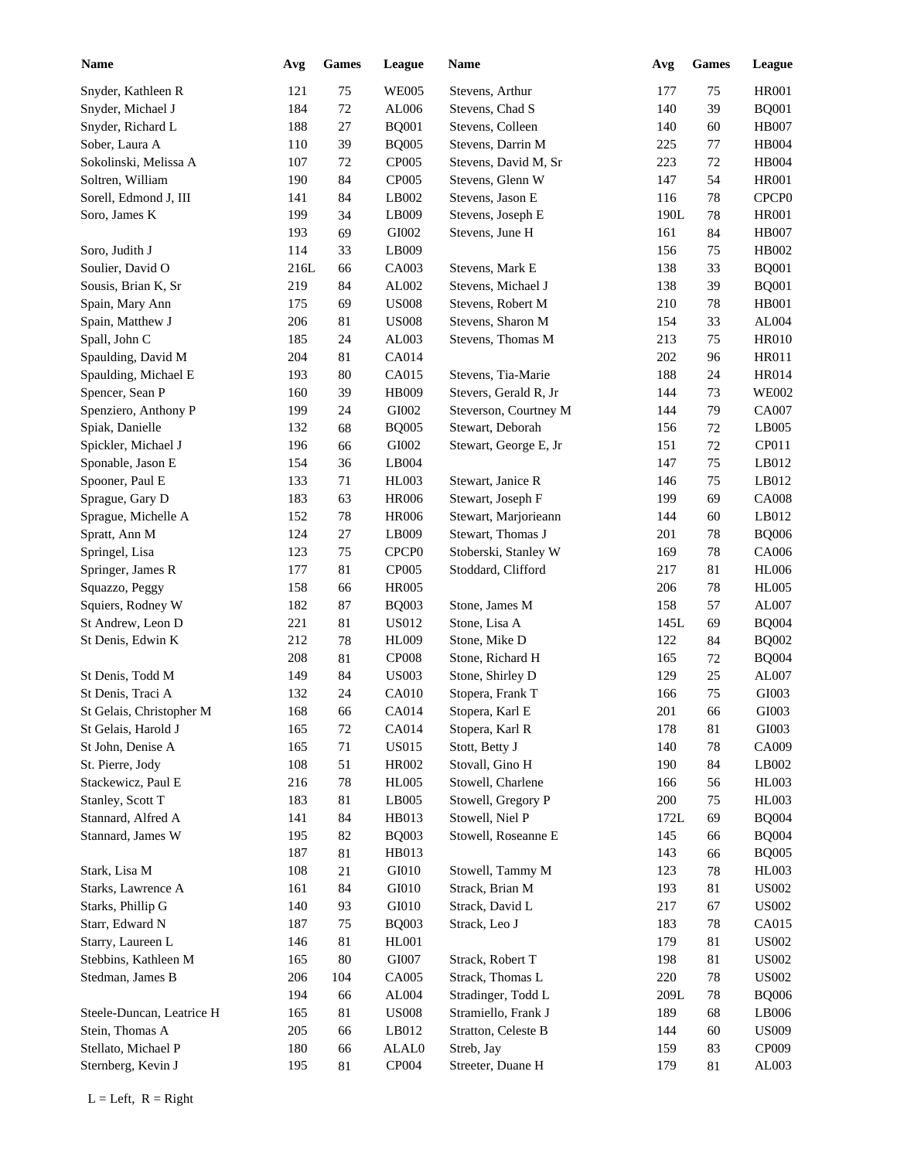| <b>Name</b>               | Avg  | <b>Games</b> | League                        | <b>Name</b>                             | Avg        | <b>Games</b> | League            |
|---------------------------|------|--------------|-------------------------------|-----------------------------------------|------------|--------------|-------------------|
| Snyder, Kathleen R        | 121  | 75           | <b>WE005</b>                  | Stevens, Arthur                         | 177        | 75           | <b>HR001</b>      |
| Snyder, Michael J         | 184  | $72\,$       | AL006                         | Stevens, Chad S                         | 140        | 39           | <b>BQ001</b>      |
| Snyder, Richard L         | 188  | $27\,$       | <b>BQ001</b>                  | Stevens, Colleen                        | 140        | 60           | <b>HB007</b>      |
| Sober, Laura A            | 110  | 39           | <b>BQ005</b>                  | Stevens, Darrin M                       | 225        | 77           | HB004             |
| Sokolinski, Melissa A     | 107  | $72\,$       | CP005                         | Stevens, David M, Sr                    | 223        | 72           | HB004             |
| Soltren, William          | 190  | 84           | CP005                         | Stevens, Glenn W                        | 147        | 54           | <b>HR001</b>      |
| Sorell, Edmond J, III     | 141  | 84           | LB002                         | Stevens, Jason E                        | 116        | 78           | CPCP <sub>0</sub> |
| Soro, James K             | 199  | 34           | LB009                         | Stevens, Joseph E                       | 190L       | 78           | <b>HR001</b>      |
|                           | 193  | 69           | GI002                         | Stevens, June H                         | 161        | 84           | <b>HB007</b>      |
| Soro, Judith J            | 114  | 33           | LB009                         |                                         | 156        | 75           | HB002             |
| Soulier, David O          | 216L | 66           | CA003                         | Stevens, Mark E                         | 138        | 33           | <b>BQ001</b>      |
| Sousis, Brian K, Sr       | 219  | 84           | ${\rm AL}002$                 | Stevens, Michael J                      | 138        | 39           | <b>BQ001</b>      |
| Spain, Mary Ann           | 175  | 69           | $\ensuremath{\mathrm{USO08}}$ | Stevens, Robert M                       | 210        | 78           | <b>HB001</b>      |
| Spain, Matthew J          | 206  | 81           | $\ensuremath{\mathrm{USO08}}$ | Stevens, Sharon M                       | 154        | 33           | ${\rm AL004}$     |
| Spall, John C             | 185  | 24           | AL003                         | Stevens, Thomas M                       | 213        | 75           | <b>HR010</b>      |
| Spaulding, David M        | 204  | 81           | CA014                         |                                         | 202        | 96           | <b>HR011</b>      |
| Spaulding, Michael E      | 193  | 80           | CA015                         | Stevens, Tia-Marie                      | 188        | 24           | <b>HR014</b>      |
| Spencer, Sean P           | 160  | 39           | HB009                         | Stevers, Gerald R, Jr                   | 144        | 73           | <b>WE002</b>      |
| Spenziero, Anthony P      | 199  | 24           | GI002                         | Steverson, Courtney M                   | 144        | 79           | <b>CA007</b>      |
| Spiak, Danielle           | 132  | 68           | <b>BQ005</b>                  | Stewart, Deborah                        | 156        | 72           | LB005             |
| Spickler, Michael J       | 196  | 66           | GI002                         | Stewart, George E, Jr                   | 151        | 72           | CP011             |
| Sponable, Jason E         | 154  | 36           | LB004                         |                                         | 147        | 75           | LB012             |
| Spooner, Paul E           | 133  | 71           | <b>HL003</b>                  | Stewart, Janice R                       | 146        | 75           | LB012             |
| Sprague, Gary D           | 183  | 63           | <b>HR006</b>                  | Stewart, Joseph F                       | 199        | 69           | <b>CA008</b>      |
| Sprague, Michelle A       | 152  | 78           | <b>HR006</b>                  | Stewart, Marjorieann                    | 144        | 60           | LB012             |
| Spratt, Ann M             | 124  | 27           | LB009                         | Stewart, Thomas J                       | 201        | 78           | <b>BQ006</b>      |
| Springel, Lisa            | 123  | 75           | CPCP <sub>0</sub>             | Stoberski, Stanley W                    | 169        | 78           | CA006             |
| Springer, James R         | 177  | $81\,$       | CP005                         | Stoddard, Clifford                      | 217        | 81           | <b>HL006</b>      |
| Squazzo, Peggy            | 158  | 66           | <b>HR005</b>                  |                                         | 206        | 78           | <b>HL005</b>      |
| Squiers, Rodney W         | 182  | 87           | <b>BQ003</b>                  | Stone, James M                          | 158        | 57           | AL007             |
| St Andrew, Leon D         | 221  | 81           | US012                         | Stone, Lisa A                           | 145L       | 69           | <b>BQ004</b>      |
| St Denis, Edwin K         | 212  | 78           | <b>HL009</b>                  | Stone, Mike D                           | 122        | 84           | <b>BQ002</b>      |
|                           | 208  | 81           | <b>CP008</b>                  | Stone, Richard H                        | 165        | 72           | <b>BQ004</b>      |
| St Denis, Todd M          | 149  | 84           | <b>US003</b>                  | Stone, Shirley D                        | 129        | 25           | AL007             |
| St Denis, Traci A         | 132  | 24           | CA010                         | Stopera, Frank T                        | 166        | 75           | GI003             |
| St Gelais, Christopher M  | 168  | 66           | CA014                         | Stopera, Karl E                         | $201\,$    | 66           | GI003             |
| St Gelais, Harold J       | 165  | 72           | CA014                         | Stopera, Karl R                         | 178        | 81           | GI003             |
| St John, Denise A         | 165  | 71           | <b>US015</b>                  | Stott, Betty J                          |            | 78           | CA009             |
| St. Pierre, Jody          | 108  |              | HR002                         | Stovall, Gino H                         | 140<br>190 | 84           | LB002             |
| Stackewicz, Paul E        | 216  | 51           | <b>HL005</b>                  |                                         |            |              | HL003             |
|                           |      | 78           |                               | Stowell, Charlene<br>Stowell, Gregory P | 166        | 56           | HL003             |
| Stanley, Scott T          | 183  | 81           | LB005                         | Stowell, Niel P                         | 200        | 75           |                   |
| Stannard, Alfred A        | 141  | 84           | HB013                         | Stowell, Roseanne E                     | 172L       | 69           | <b>BQ004</b>      |
| Stannard, James W         | 195  | 82           | <b>BQ003</b>                  |                                         | 145        | 66           | <b>BQ004</b>      |
|                           | 187  | 81           | HB013                         |                                         | 143        | 66           | <b>BQ005</b>      |
| Stark, Lisa M             | 108  | 21           | GI010                         | Stowell, Tammy M                        | 123        | 78           | <b>HL003</b>      |
| Starks, Lawrence A        | 161  | 84           | GI010                         | Strack, Brian M                         | 193        | 81           | <b>US002</b>      |
| Starks, Phillip G         | 140  | 93           | GI010                         | Strack, David L                         | 217        | 67           | <b>US002</b>      |
| Starr, Edward N           | 187  | 75           | <b>BQ003</b>                  | Strack, Leo J                           | 183        | 78           | CA015             |
| Starry, Laureen L         | 146  | 81           | HL001                         |                                         | 179        | 81           | <b>US002</b>      |
| Stebbins, Kathleen M      | 165  | 80           | GI007                         | Strack, Robert T                        | 198        | 81           | <b>US002</b>      |
| Stedman, James B          | 206  | 104          | CA005                         | Strack, Thomas L                        | 220        | 78           | <b>US002</b>      |
|                           | 194  | 66           | AL004                         | Stradinger, Todd L                      | 209L       | 78           | <b>BQ006</b>      |
| Steele-Duncan, Leatrice H | 165  | 81           | <b>US008</b>                  | Stramiello, Frank J                     | 189        | 68           | LB006             |
| Stein, Thomas A           | 205  | 66           | LB012                         | Stratton, Celeste B                     | 144        | 60           | <b>US009</b>      |
| Stellato, Michael P       | 180  | 66           | ALAL0                         | Streb, Jay                              | 159        | 83           | CP009             |
| Sternberg, Kevin J        | 195  | 81           | CP004                         | Streeter, Duane H                       | 179        | 81           | AL003             |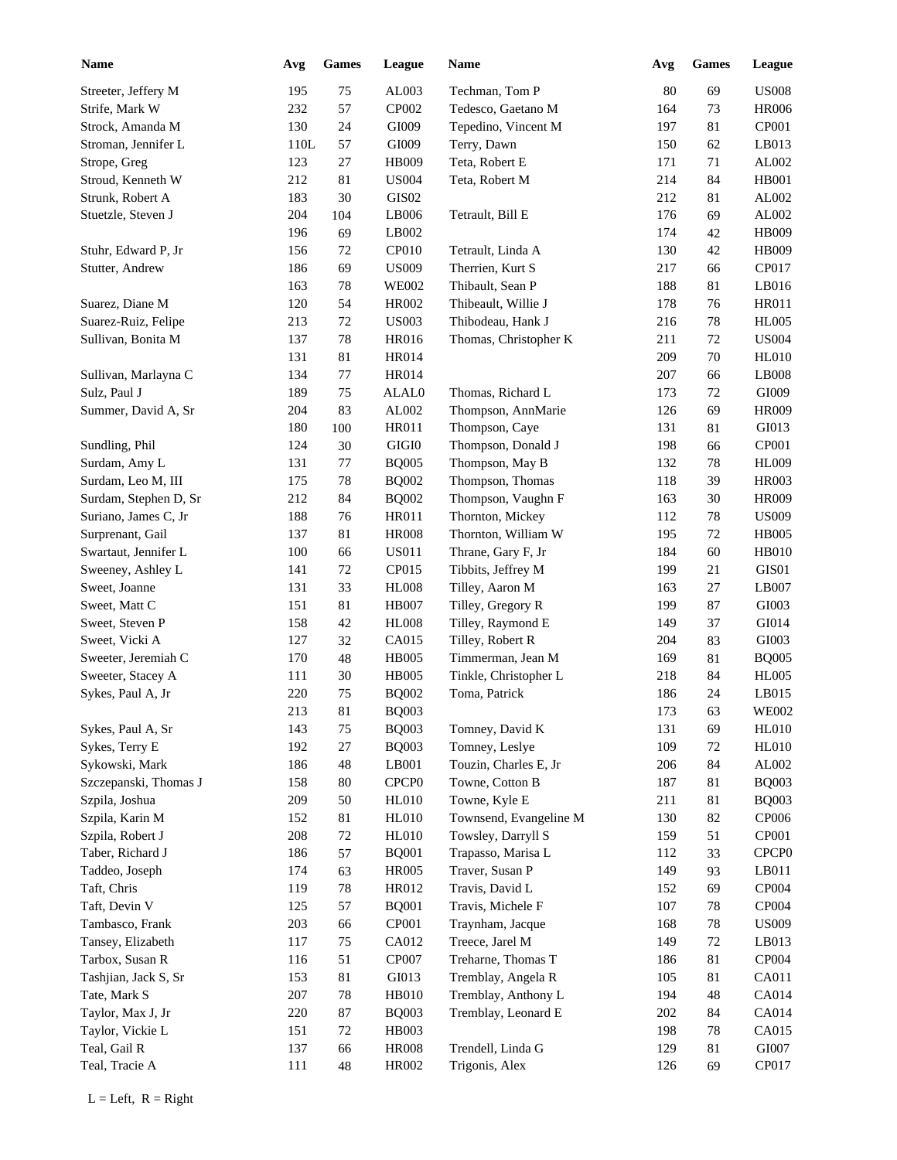| <b>Name</b>           | Avg  | ${\bf Games}$ | League            | <b>Name</b>            | Avg | Games  | League            |
|-----------------------|------|---------------|-------------------|------------------------|-----|--------|-------------------|
| Streeter, Jeffery M   | 195  | 75            | AL003             | Techman, Tom P         | 80  | 69     | <b>US008</b>      |
| Strife, Mark W        | 232  | 57            | CP002             | Tedesco, Gaetano M     | 164 | 73     | <b>HR006</b>      |
| Strock, Amanda M      | 130  | 24            | GI009             | Tepedino, Vincent M    | 197 | 81     | CP001             |
| Stroman, Jennifer L   | 110L | 57            | GI009             | Terry, Dawn            | 150 | 62     | LB013             |
| Strope, Greg          | 123  | $27\,$        | HB009             | Teta, Robert E         | 171 | 71     | AL002             |
| Stroud, Kenneth W     | 212  | 81            | <b>US004</b>      | Teta, Robert M         | 214 | 84     | <b>HB001</b>      |
| Strunk, Robert A      | 183  | 30            | GIS02             |                        | 212 | 81     | AL002             |
| Stuetzle, Steven J    | 204  | 104           | LB006             | Tetrault, Bill E       | 176 | 69     | AL002             |
|                       | 196  | 69            | LB002             |                        | 174 | 42     | HB009             |
| Stuhr, Edward P, Jr   | 156  | 72            | CP010             | Tetrault, Linda A      | 130 | 42     | HB009             |
| Stutter, Andrew       | 186  | 69            | <b>US009</b>      | Therrien, Kurt S       | 217 | 66     | CP017             |
|                       | 163  | 78            | <b>WE002</b>      | Thibault, Sean P       | 188 | 81     | LB016             |
| Suarez, Diane M       | 120  | 54            | <b>HR002</b>      | Thibeault, Willie J    | 178 | 76     | <b>HR011</b>      |
| Suarez-Ruiz, Felipe   | 213  | $72\,$        | <b>US003</b>      | Thibodeau, Hank J      | 216 | 78     | <b>HL005</b>      |
| Sullivan, Bonita M    | 137  | 78            | <b>HR016</b>      | Thomas, Christopher K  | 211 | 72     | <b>US004</b>      |
|                       | 131  | $81\,$        | <b>HR014</b>      |                        | 209 | 70     | <b>HL010</b>      |
| Sullivan, Marlayna C  | 134  | 77            | HR014             |                        | 207 | 66     | LB008             |
| Sulz, Paul J          | 189  | 75            | ALAL0             | Thomas, Richard L      | 173 | 72     | GI009             |
| Summer, David A, Sr   | 204  | 83            | ${\rm AL}002$     | Thompson, AnnMarie     | 126 | 69     | <b>HR009</b>      |
|                       | 180  | 100           | <b>HR011</b>      | Thompson, Caye         | 131 | 81     | GI013             |
| Sundling, Phil        | 124  | 30            | $\rm GIGI0$       | Thompson, Donald J     | 198 | 66     | CP001             |
| Surdam, Amy L         | 131  | $77\,$        | <b>BQ005</b>      | Thompson, May B        | 132 | 78     | <b>HL009</b>      |
| Surdam, Leo M, III    | 175  | 78            | <b>BQ002</b>      | Thompson, Thomas       | 118 | 39     | <b>HR003</b>      |
| Surdam, Stephen D, Sr | 212  | 84            | <b>BQ002</b>      | Thompson, Vaughn F     | 163 | 30     | <b>HR009</b>      |
| Suriano, James C, Jr  | 188  | 76            | HR011             | Thornton, Mickey       | 112 | $78\,$ | <b>US009</b>      |
| Surprenant, Gail      | 137  | $81\,$        | <b>HR008</b>      | Thornton, William W    | 195 | 72     | <b>HB005</b>      |
| Swartaut, Jennifer L  | 100  | 66            | <b>US011</b>      | Thrane, Gary F, Jr     | 184 | 60     | <b>HB010</b>      |
| Sweeney, Ashley L     | 141  | 72            | CP015             | Tibbits, Jeffrey M     | 199 | 21     | GIS01             |
| Sweet, Joanne         | 131  | 33            | <b>HL008</b>      | Tilley, Aaron M        | 163 | 27     | LB007             |
| Sweet, Matt C         | 151  | $81\,$        | <b>HB007</b>      | Tilley, Gregory R      | 199 | 87     | GI003             |
| Sweet, Steven P       | 158  | 42            | <b>HL008</b>      | Tilley, Raymond E      | 149 | 37     | GI014             |
| Sweet, Vicki A        | 127  | 32            | CA015             | Tilley, Robert R       | 204 | 83     | GI003             |
| Sweeter, Jeremiah C   |      | 48            |                   |                        |     |        |                   |
|                       | 170  |               | <b>HB005</b>      | Timmerman, Jean M      | 169 | 81     | <b>BQ005</b>      |
| Sweeter, Stacey A     | 111  | $30\,$        | <b>HB005</b>      | Tinkle, Christopher L  | 218 | 84     | <b>HL005</b>      |
| Sykes, Paul A, Jr     | 220  | 75            | <b>BQ002</b>      | Toma, Patrick          | 186 | 24     | LB015             |
|                       | 213  | $81\,$        | $\rm BQ003$       |                        | 173 | 63     | <b>WE002</b>      |
| Sykes, Paul A, Sr     | 143  | $75\,$        | <b>BQ003</b>      | Tomney, David K        | 131 | 69     | <b>HL010</b>      |
| Sykes, Terry E        | 192  | $27\,$        | <b>BQ003</b>      | Tomney, Leslye         | 109 | 72     | <b>HL010</b>      |
| Sykowski, Mark        | 186  | $\sqrt{48}$   | LB001             | Touzin, Charles E, Jr  | 206 | 84     | AL002             |
| Szczepanski, Thomas J | 158  | $80\,$        | CPCP <sub>0</sub> | Towne, Cotton B        | 187 | 81     | <b>BQ003</b>      |
| Szpila, Joshua        | 209  | $50\,$        | <b>HL010</b>      | Towne, Kyle E          | 211 | 81     | <b>BQ003</b>      |
| Szpila, Karin M       | 152  | 81            | <b>HL010</b>      | Townsend, Evangeline M | 130 | 82     | CP006             |
| Szpila, Robert J      | 208  | 72            | <b>HL010</b>      | Towsley, Darryll S     | 159 | 51     | CP001             |
| Taber, Richard J      | 186  | 57            | <b>BQ001</b>      | Trapasso, Marisa L     | 112 | 33     | CPCP <sub>0</sub> |
| Taddeo, Joseph        | 174  | 63            | <b>HR005</b>      | Traver, Susan P        | 149 | 93     | LB011             |
| Taft, Chris           | 119  | 78            | HR012             | Travis, David L        | 152 | 69     | CP004             |
| Taft, Devin V         | 125  | 57            | <b>BQ001</b>      | Travis, Michele F      | 107 | 78     | CP004             |
| Tambasco, Frank       | 203  | 66            | CP001             | Traynham, Jacque       | 168 | 78     | <b>US009</b>      |
| Tansey, Elizabeth     | 117  | 75            | CA012             | Treece, Jarel M        | 149 | $72\,$ | LB013             |
| Tarbox, Susan R       | 116  | 51            | CP007             | Treharne, Thomas T     | 186 | 81     | CP004             |
| Tashjian, Jack S, Sr  | 153  | 81            | GI013             | Tremblay, Angela R     | 105 | 81     | CA011             |
| Tate, Mark S          | 207  | 78            | <b>HB010</b>      | Tremblay, Anthony L    | 194 | 48     | CA014             |
| Taylor, Max J, Jr     | 220  | 87            | <b>BQ003</b>      | Tremblay, Leonard E    | 202 | 84     | CA014             |
| Taylor, Vickie L      | 151  | $72\,$        | HB003             |                        | 198 | 78     | CA015             |
| Teal, Gail R          | 137  | 66            | <b>HR008</b>      | Trendell, Linda G      | 129 | 81     | GI007             |
| Teal, Tracie A        | 111  | 48            | HR002             | Trigonis, Alex         | 126 | 69     | CP017             |
|                       |      |               |                   |                        |     |        |                   |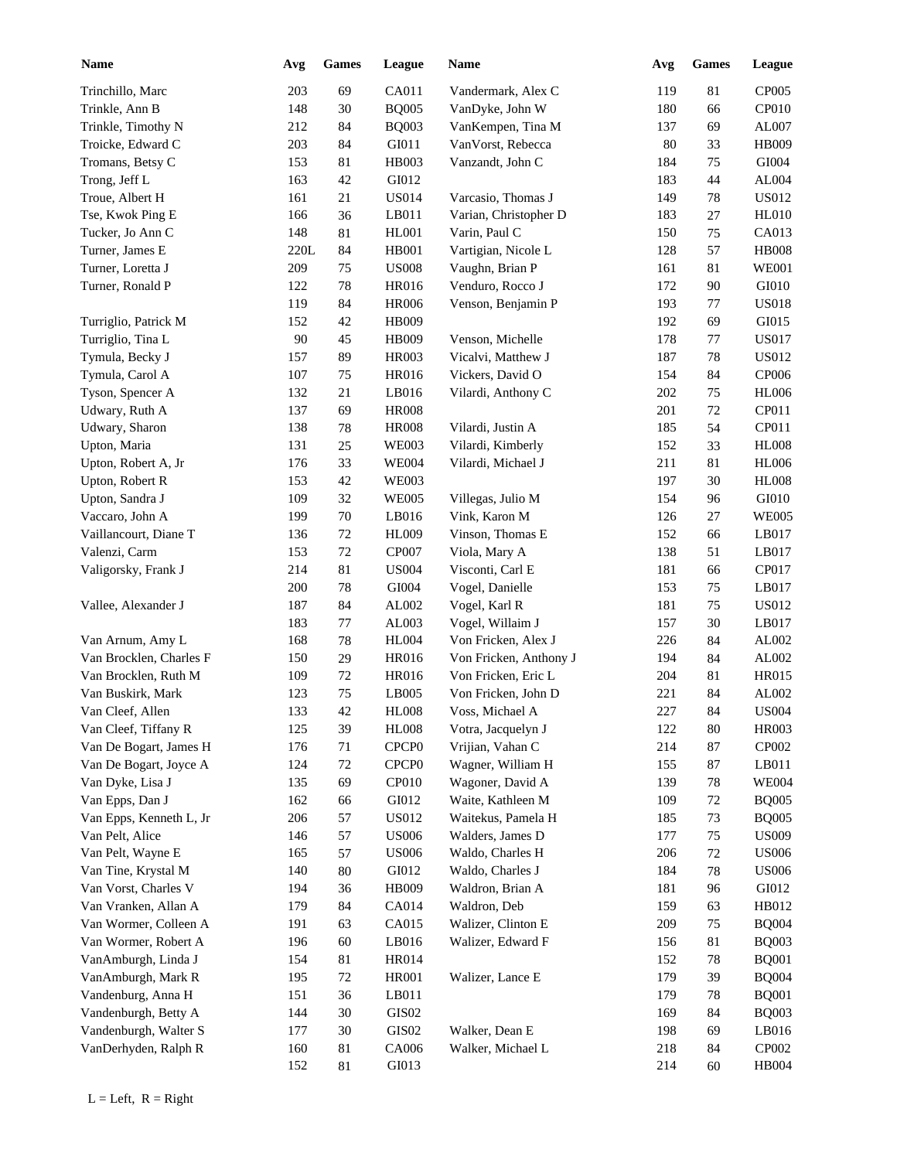| <b>Name</b>                                    | Avg        | <b>Games</b>   | League                                 | Name                                   | Avg        | Games            | <b>League</b>                |
|------------------------------------------------|------------|----------------|----------------------------------------|----------------------------------------|------------|------------------|------------------------------|
| Trinchillo, Marc                               | 203        | 69             | CA011                                  | Vandermark, Alex C                     | 119        | 81               | CP005                        |
| Trinkle, Ann B                                 | 148        | 30             | <b>BQ005</b>                           | VanDyke, John W                        | 180        | 66               | CP010                        |
| Trinkle, Timothy N                             | 212        | 84             | <b>BQ003</b>                           | VanKempen, Tina M                      | 137        | 69               | AL007                        |
| Troicke, Edward C                              | 203        | 84             | GI011                                  | VanVorst, Rebecca                      | 80         | 33               | HB009                        |
| Tromans, Betsy C                               | 153        | 81             | HB003                                  | Vanzandt, John C                       | 184        | 75               | GI004                        |
| Trong, Jeff L                                  | 163        | 42             | GI012                                  |                                        | 183        | 44               | AL004                        |
| Troue, Albert H                                | 161        | 21             | <b>US014</b>                           | Varcasio, Thomas J                     | 149        | 78               | <b>US012</b>                 |
| Tse, Kwok Ping E                               | 166        | 36             | LB011                                  | Varian, Christopher D                  | 183        | 27               | <b>HL010</b>                 |
| Tucker, Jo Ann C                               | 148        | 81             | HL001                                  | Varin, Paul C                          | 150        | 75               | CA013                        |
| Turner, James E                                | 220L       | 84             | HB001                                  | Vartigian, Nicole L                    | 128        | 57               | <b>HB008</b>                 |
| Turner, Loretta J                              | 209        | 75             | <b>US008</b>                           | Vaughn, Brian P                        | 161        | 81               | <b>WE001</b>                 |
| Turner, Ronald P                               | 122        | 78             | HR016                                  | Venduro, Rocco J                       | 172        | 90               | GI010                        |
|                                                | 119        | 84             | <b>HR006</b>                           | Venson, Benjamin P                     | 193        | 77               | <b>US018</b>                 |
| Turriglio, Patrick M                           | 152        | 42             | HB009                                  |                                        | 192        | 69               | GI015                        |
| Turriglio, Tina L                              | 90         | 45             | HB009                                  | Venson, Michelle                       | 178        | 77               | <b>US017</b>                 |
| Tymula, Becky J                                | 157        | 89             | HR003                                  | Vicalvi, Matthew J                     | 187        | 78               | <b>US012</b>                 |
| Tymula, Carol A                                | 107        | 75             | HR016                                  | Vickers, David O                       | 154        | 84               | CP006                        |
| Tyson, Spencer A                               | 132        | 21             | LB016                                  | Vilardi, Anthony C                     | 202        | 75               | <b>HL006</b>                 |
| Udwary, Ruth A                                 | 137        | 69             | <b>HR008</b>                           |                                        | 201        | 72               | CP011                        |
| Udwary, Sharon                                 | 138        | 78             | <b>HR008</b>                           | Vilardi, Justin A                      | 185        | 54               | CP011                        |
| Upton, Maria                                   | 131        | $25\,$         | <b>WE003</b>                           | Vilardi, Kimberly                      | 152        | 33               | <b>HL008</b>                 |
| Upton, Robert A, Jr                            | 176        | 33             | <b>WE004</b>                           | Vilardi, Michael J                     | 211        | 81               | <b>HL006</b>                 |
| Upton, Robert R                                | 153        | 42             | <b>WE003</b>                           |                                        | 197        | 30               | <b>HL008</b>                 |
| Upton, Sandra J                                | 109        | 32             | <b>WE005</b>                           | Villegas, Julio M                      | 154        | 96               | GI010                        |
| Vaccaro, John A                                | 199        | 70             | LB016                                  | Vink, Karon M                          | 126        | 27               | <b>WE005</b>                 |
| Vaillancourt, Diane T                          | 136        | $72\,$         | <b>HL009</b>                           | Vinson, Thomas E                       | 152        | 66               | LB017                        |
| Valenzi, Carm                                  | 153        | $72\,$         | <b>CP007</b>                           | Viola, Mary A                          | 138        | 51               | LB017                        |
| Valigorsky, Frank J                            | 214        | $81\,$         | <b>US004</b>                           | Visconti, Carl E                       | 181        | 66               | CP017                        |
|                                                | 200        | $78\,$         | GI004                                  | Vogel, Danielle                        | 153        | 75               | LB017                        |
| Vallee, Alexander J                            | 187        | 84             | AL002                                  | Vogel, Karl R                          | 181        | $75\,$           | <b>US012</b>                 |
|                                                | 183        | $77 \,$        | AL003                                  | Vogel, Willaim J                       | 157        | 30               | LB017                        |
| Van Arnum, Amy L                               | 168        | $78\,$         | <b>HL004</b>                           | Von Fricken, Alex J                    | 226        | 84               | AL002                        |
| Van Brocklen, Charles F                        | 150        | 29             | HR016                                  | Von Fricken, Anthony J                 | 194        | 84               | AL002                        |
| Van Brocklen, Ruth M                           | 109        | $72\,$         | HR016                                  | Von Fricken, Eric L                    | 204        | 81               | HR015                        |
| Van Buskirk, Mark                              | 123        | 75             | LB005                                  | Von Fricken, John D                    | 221        | 84               | AL002                        |
| Van Cleef, Allen                               | 133        | $42\,$         | $\rm{H}L008$                           | Voss, Michael A                        | 227        | 84               | <b>US004</b>                 |
|                                                |            |                |                                        |                                        |            |                  |                              |
| Van Cleef, Tiffany R<br>Van De Bogart, James H | 125        | 39             | <b>HL008</b>                           | Votra, Jacquelyn J<br>Vrijian, Vahan C | 122        | 80               | HR003<br>CP002               |
| Van De Bogart, Joyce A                         | 176<br>124 | 71<br>72       | CPCP <sub>0</sub><br>CPCP <sub>0</sub> | Wagner, William H                      | 214<br>155 | $87\,$<br>$87\,$ | LB011                        |
| Van Dyke, Lisa J                               | 135        | 69             | CP010                                  | Wagoner, David A                       | 139        |                  | <b>WE004</b>                 |
|                                                |            |                |                                        | Waite, Kathleen M                      |            | 78               |                              |
| Van Epps, Dan J<br>Van Epps, Kenneth L, Jr     | 162        | 66<br>57       | GI012<br><b>US012</b>                  | Waitekus, Pamela H                     | 109        | $72\,$           | <b>BQ005</b><br><b>BQ005</b> |
|                                                | 206        | 57             |                                        | Walders, James D                       | 185        | 73               | <b>US009</b>                 |
| Van Pelt, Alice                                | 146        |                | <b>US006</b>                           |                                        | 177        | $75\,$           | <b>US006</b>                 |
| Van Pelt, Wayne E                              | 165        | 57             | <b>US006</b>                           | Waldo, Charles H<br>Waldo, Charles J   | 206        | $72\,$           | <b>US006</b>                 |
| Van Tine, Krystal M<br>Van Vorst, Charles V    | 140        | $80\,$         | GI012<br>HB009                         | Waldron, Brian A                       | 184        | 78               | GI012                        |
| Van Vranken, Allan A                           | 194<br>179 | 36<br>$\bf 84$ | CA014                                  | Waldron, Deb                           | 181<br>159 | 96<br>63         | HB012                        |
|                                                |            |                |                                        |                                        |            |                  |                              |
| Van Wormer, Colleen A                          | 191        | 63             | CA015                                  | Walizer, Clinton E                     | 209        | $75\,$           | <b>BQ004</b>                 |
| Van Wormer, Robert A                           | 196        | 60             | LB016                                  | Walizer, Edward F                      | 156        | 81               | <b>BQ003</b>                 |
| VanAmburgh, Linda J                            | 154        | 81             | <b>HR014</b>                           |                                        | 152        | 78               | <b>BQ001</b>                 |
| VanAmburgh, Mark R                             | 195        | $72\,$         | <b>HR001</b>                           | Walizer, Lance E                       | 179        | 39               | <b>BQ004</b>                 |
| Vandenburg, Anna H                             | 151        | 36             | LB011                                  |                                        | 179        | $78\,$           | <b>BQ001</b>                 |
| Vandenburgh, Betty A                           | 144        | $30\,$         | GIS02                                  |                                        | 169        | 84               | <b>BQ003</b>                 |
| Vandenburgh, Walter S                          | 177        | $30\,$         | GIS02                                  | Walker, Dean E                         | 198        | 69               | LB016                        |
| VanDerhyden, Ralph R                           | 160        | $81\,$         | CA006                                  | Walker, Michael L                      | 218        | 84               | CP002                        |
|                                                | 152        | 81             | GI013                                  |                                        | 214        | 60               | HB004                        |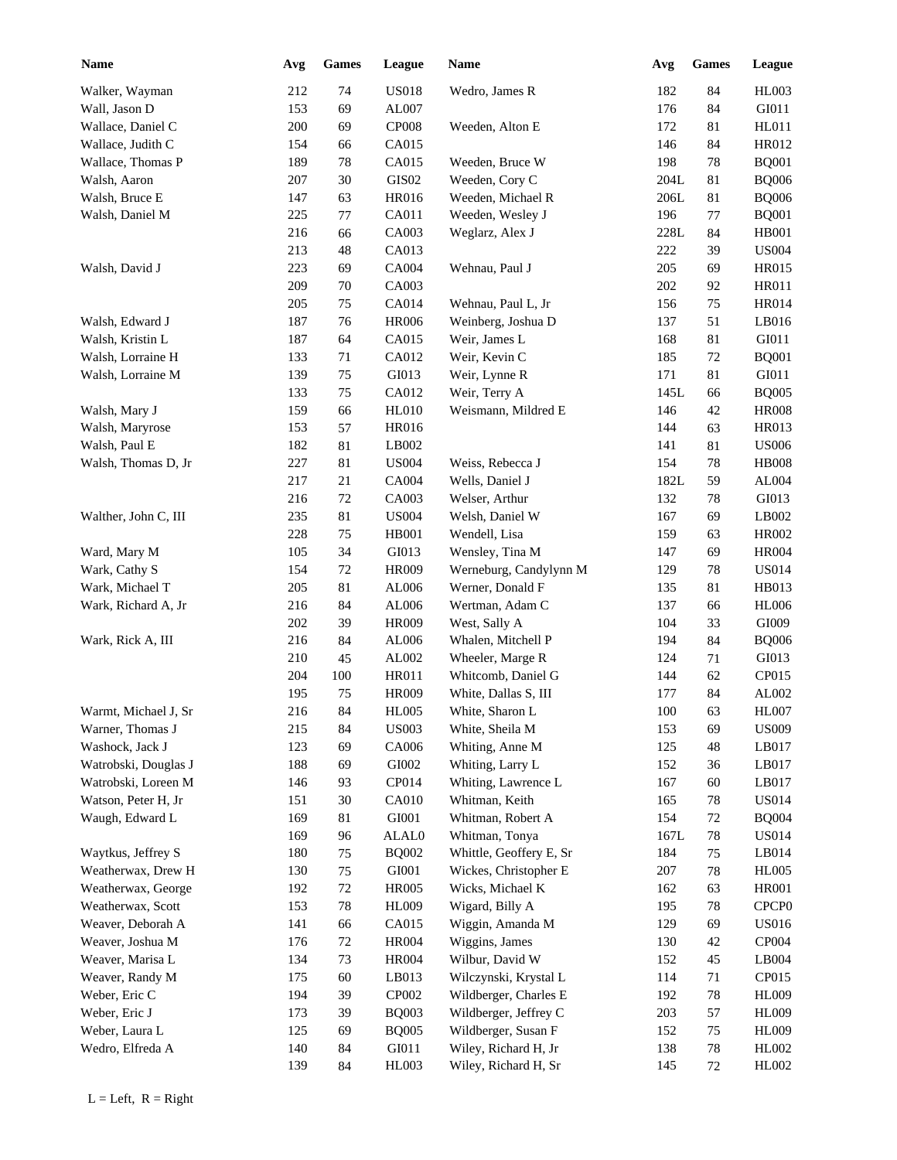| <b>Name</b>          | Avg        | Games    | League                | Name                                      | Avg         | <b>Games</b> | League                       |
|----------------------|------------|----------|-----------------------|-------------------------------------------|-------------|--------------|------------------------------|
| Walker, Wayman       | 212        | 74       | <b>US018</b>          | Wedro, James R                            | 182         | 84           | HL003                        |
| Wall, Jason D        | 153        | 69       | AL007                 |                                           | 176         | 84           | GI011                        |
| Wallace, Daniel C    | 200        | 69       | <b>CP008</b>          | Weeden, Alton E                           | 172         | 81           | HL011                        |
| Wallace, Judith C    | 154        | 66       | CA015                 |                                           | 146         | 84           | HR012                        |
| Wallace, Thomas P    | 189        | 78       | CA015                 | Weeden, Bruce W                           | 198         | 78           | <b>BQ001</b>                 |
| Walsh, Aaron         | 207        | 30       | GIS02                 | Weeden, Cory C                            | 204L        | 81           | <b>BQ006</b>                 |
| Walsh, Bruce E       | 147        | 63       | <b>HR016</b>          | Weeden, Michael R                         | 206L        | 81           | <b>BQ006</b>                 |
| Walsh, Daniel M      | 225        | 77       | CA011                 | Weeden, Wesley J                          | 196         | 77           | <b>BQ001</b>                 |
|                      | 216        | 66       | CA003                 | Weglarz, Alex J                           | 228L        | 84           | <b>HB001</b>                 |
|                      | 213        | 48       | CA013                 |                                           | 222         | 39           | <b>US004</b>                 |
| Walsh, David J       | 223        | 69       | CA004                 | Wehnau, Paul J                            | 205         | 69           | HR015                        |
|                      | 209        | 70       | CA003                 |                                           | 202         | 92           | HR011                        |
|                      | 205        | 75       | CA014                 | Wehnau, Paul L, Jr                        | 156         | 75           | <b>HR014</b>                 |
| Walsh, Edward J      | 187        | 76       | <b>HR006</b>          | Weinberg, Joshua D                        | 137         | 51           | LB016                        |
| Walsh, Kristin L     | 187        | 64       | CA015                 | Weir, James L                             | 168         | 81           | GI011                        |
| Walsh, Lorraine H    | 133        | 71       | CA012                 | Weir, Kevin C                             | 185         | 72           | <b>BQ001</b>                 |
| Walsh, Lorraine M    | 139        | 75       | GI013                 | Weir, Lynne R                             | 171         | 81           | GI011                        |
|                      | 133        | 75       | CA012                 | Weir, Terry A                             | 145L        | 66           | <b>BQ005</b>                 |
| Walsh, Mary J        | 159        | 66       | <b>HL010</b>          | Weismann, Mildred E                       | 146         | 42           | <b>HR008</b>                 |
| Walsh, Maryrose      | 153        | 57       | HR016                 |                                           | 144         | 63           | HR013                        |
| Walsh, Paul E        | 182        | 81       | LB002                 |                                           | 141         | 81           | <b>US006</b>                 |
| Walsh, Thomas D, Jr  | 227        | 81       | <b>US004</b>          | Weiss, Rebecca J                          | 154         | 78           | <b>HB008</b>                 |
|                      | 217        | 21       | CA004                 | Wells, Daniel J                           | 182L        | 59           | AL004                        |
|                      | 216        | 72       | CA003                 | Welser, Arthur                            | 132         | 78           | GI013                        |
| Walther, John C, III | 235        | $81\,$   | <b>US004</b>          | Welsh, Daniel W                           | 167         | 69           | LB002                        |
|                      | 228        | 75       | <b>HB001</b>          | Wendell, Lisa                             | 159         | 63           | <b>HR002</b>                 |
| Ward, Mary M         | 105        | 34       | GI013                 | Wensley, Tina M                           | 147         | 69           | <b>HR004</b>                 |
| Wark, Cathy S        | 154        | $72\,$   | <b>HR009</b>          | Werneburg, Candylynn M                    | 129         | 78           | <b>US014</b>                 |
| Wark, Michael T      | 205        | 81       | AL006                 | Werner, Donald F                          | 135         | 81           | HB013                        |
| Wark, Richard A, Jr  | 216        | 84       | AL006                 | Wertman, Adam C                           | 137         | 66           | <b>HL006</b>                 |
|                      | 202        | 39       | HR009                 | West, Sally A                             | 104         | 33           | GI009                        |
| Wark, Rick A, III    | 216        | 84       | AL006                 | Whalen, Mitchell P                        | 194         | 84           | <b>BQ006</b>                 |
|                      | 210        | 45       | AL002                 | Wheeler, Marge R                          | 124         | 71           | GI013                        |
|                      | 204        | 100      | HR011                 | Whitcomb, Daniel G                        | 144         | 62           | CP015                        |
|                      | 195        | 75       | <b>HR009</b>          | White, Dallas S, III                      | 177         | 84           | AL002                        |
| Warmt, Michael J, Sr | 216        | 84       | <b>HL005</b>          | White, Sharon L                           | $100\,$     | 63           | <b>HL007</b>                 |
| Warner, Thomas J     | 215        | 84       | <b>US003</b>          | White, Sheila M                           | 153         | 69           | <b>US009</b>                 |
| Washock, Jack J      | 123        | 69       | CA006                 | Whiting, Anne M                           | 125         | 48           | LB017                        |
| Watrobski, Douglas J | 188        | 69       | GI002                 | Whiting, Larry L                          | 152         | 36           | LB017                        |
| Watrobski, Loreen M  | 146        | 93       | CP014                 | Whiting, Lawrence L                       | 167         | 60           | LB017                        |
| Watson, Peter H, Jr  | 151        | $30\,$   | CA010                 | Whitman, Keith                            | 165         | $78\,$       | <b>US014</b>                 |
| Waugh, Edward L      | 169        | 81       | GI001                 | Whitman, Robert A                         | 154         | 72           | <b>BQ004</b><br><b>US014</b> |
| Waytkus, Jeffrey S   | 169<br>180 | 96       | ALAL0<br><b>BQ002</b> | Whitman, Tonya<br>Whittle, Geoffery E, Sr | 167L<br>184 | $78\,$       | LB014                        |
| Weatherwax, Drew H   | 130        | 75<br>75 | GI001                 | Wickes, Christopher E                     | 207         | 75<br>$78\,$ | <b>HL005</b>                 |
| Weatherwax, George   | 192        | $72\,$   | <b>HR005</b>          | Wicks, Michael K                          | 162         | 63           | <b>HR001</b>                 |
| Weatherwax, Scott    | 153        | 78       | HL009                 | Wigard, Billy A                           | 195         | $78\,$       | CPCP <sub>0</sub>            |
| Weaver, Deborah A    | 141        | 66       | CA015                 | Wiggin, Amanda M                          | 129         | 69           | <b>US016</b>                 |
| Weaver, Joshua M     | 176        | $72\,$   | <b>HR004</b>          | Wiggins, James                            | 130         | $42\,$       | CP004                        |
| Weaver, Marisa L     | 134        | 73       | <b>HR004</b>          | Wilbur, David W                           | 152         | 45           | LB004                        |
| Weaver, Randy M      | 175        | 60       | LB013                 | Wilczynski, Krystal L                     | 114         | 71           | CP015                        |
| Weber, Eric C        | 194        | 39       | CP002                 | Wildberger, Charles E                     | 192         | $78\,$       | <b>HL009</b>                 |
| Weber, Eric J        | 173        | 39       | <b>BQ003</b>          | Wildberger, Jeffrey C                     | 203         | 57           | <b>HL009</b>                 |
| Weber, Laura L       | 125        | 69       | <b>BQ005</b>          | Wildberger, Susan F                       | 152         | 75           | <b>HL009</b>                 |
| Wedro, Elfreda A     | 140        | 84       | GI011                 | Wiley, Richard H, Jr                      | 138         | $78\,$       | HL002                        |
|                      | 139        | 84       | HL003                 | Wiley, Richard H, Sr                      | 145         | 72           | HL002                        |
|                      |            |          |                       |                                           |             |              |                              |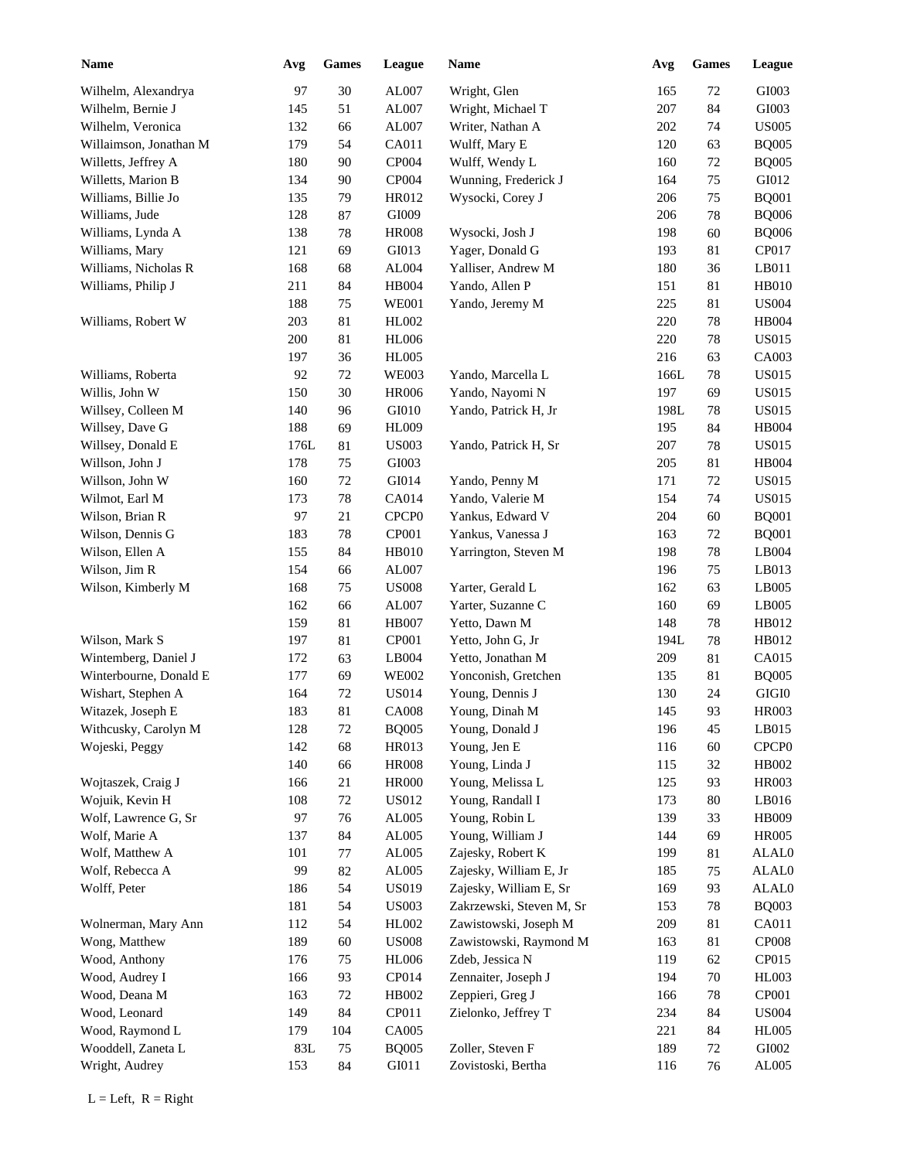| <b>Name</b>            | Avg  | <b>Games</b> | League                        | Name                     | Avg  | Games  | League        |
|------------------------|------|--------------|-------------------------------|--------------------------|------|--------|---------------|
| Wilhelm, Alexandrya    | 97   | $30\,$       | AL007                         | Wright, Glen             | 165  | $72\,$ | GI003         |
| Wilhelm, Bernie J      | 145  | 51           | AL007                         | Wright, Michael T        | 207  | 84     | GI003         |
| Wilhelm, Veronica      | 132  | 66           | AL007                         | Writer, Nathan A         | 202  | 74     | <b>US005</b>  |
| Willaimson, Jonathan M | 179  | 54           | CA011                         | Wulff, Mary E            | 120  | 63     | <b>BQ005</b>  |
| Willetts, Jeffrey A    | 180  | 90           | CP004                         | Wulff, Wendy L           | 160  | $72\,$ | <b>BQ005</b>  |
| Willetts, Marion B     | 134  | $90\,$       | CP004                         | Wunning, Frederick J     | 164  | 75     | GI012         |
| Williams, Billie Jo    | 135  | 79           | HR012                         | Wysocki, Corey J         | 206  | 75     | <b>BQ001</b>  |
| Williams, Jude         | 128  | 87           | GI009                         |                          | 206  | 78     | <b>BQ006</b>  |
| Williams, Lynda A      | 138  | $78\,$       | <b>HR008</b>                  | Wysocki, Josh J          | 198  | 60     | <b>BQ006</b>  |
| Williams, Mary         | 121  | 69           | GI013                         | Yager, Donald G          | 193  | 81     | CP017         |
| Williams, Nicholas R   | 168  | 68           | AL004                         | Yalliser, Andrew M       | 180  | 36     | LB011         |
| Williams, Philip J     | 211  | 84           | HB004                         | Yando, Allen P           | 151  | 81     | HB010         |
|                        | 188  | 75           | <b>WE001</b>                  | Yando, Jeremy M          | 225  | 81     | <b>US004</b>  |
| Williams, Robert W     | 203  | 81           | HL002                         |                          | 220  | 78     | <b>HB004</b>  |
|                        | 200  | 81           | <b>HL006</b>                  |                          | 220  | 78     | <b>US015</b>  |
|                        | 197  | 36           | HL005                         |                          | 216  | 63     | CA003         |
| Williams, Roberta      | 92   | 72           | <b>WE003</b>                  | Yando, Marcella L        | 166L | 78     | <b>US015</b>  |
| Willis, John W         | 150  | 30           | <b>HR006</b>                  | Yando, Nayomi N          | 197  | 69     | <b>US015</b>  |
| Willsey, Colleen M     | 140  | 96           | GI010                         | Yando, Patrick H, Jr     | 198L | 78     | <b>US015</b>  |
| Willsey, Dave G        | 188  | 69           | HL009                         |                          | 195  | 84     | <b>HB004</b>  |
| Willsey, Donald E      | 176L | 81           | <b>US003</b>                  | Yando, Patrick H, Sr     | 207  | 78     | <b>US015</b>  |
| Willson, John J        | 178  | 75           | GI003                         |                          | 205  | 81     | <b>HB004</b>  |
| Willson, John W        | 160  | 72           | GI014                         | Yando, Penny M           | 171  | 72     | <b>US015</b>  |
| Wilmot, Earl M         | 173  | $78\,$       | CA014                         | Yando, Valerie M         | 154  | 74     | <b>US015</b>  |
| Wilson, Brian R        | 97   | $21\,$       | CPCP <sub>0</sub>             | Yankus, Edward V         | 204  | 60     | <b>BQ001</b>  |
| Wilson, Dennis G       | 183  | $78\,$       | CP001                         | Yankus, Vanessa J        | 163  | 72     | <b>BQ001</b>  |
|                        |      |              |                               |                          |      |        |               |
| Wilson, Ellen A        | 155  | 84           | HB010                         | Yarrington, Steven M     | 198  | 78     | LB004         |
| Wilson, Jim R          | 154  | 66           | AL007                         |                          | 196  | 75     | LB013         |
| Wilson, Kimberly M     | 168  | 75           | <b>US008</b>                  | Yarter, Gerald L         | 162  | 63     | LB005         |
|                        | 162  | 66           | AL007                         | Yarter, Suzanne C        | 160  | 69     | LB005         |
|                        | 159  | $81\,$       | <b>HB007</b>                  | Yetto, Dawn M            | 148  | 78     | HB012         |
| Wilson, Mark S         | 197  | 81           | CP001                         | Yetto, John G, Jr        | 194L | 78     | HB012         |
| Wintemberg, Daniel J   | 172  | 63           | LB004                         | Yetto, Jonathan M        | 209  | 81     | CA015         |
| Winterbourne, Donald E | 177  | 69           | <b>WE002</b>                  | Yonconish, Gretchen      | 135  | 81     | <b>BQ005</b>  |
| Wishart, Stephen A     | 164  | $72\,$       | <b>US014</b>                  | Young, Dennis J          | 130  | 24     | $\rm GIGI0$   |
| Witazek, Joseph E      | 183  | $81\,$       | <b>CA008</b>                  | Young, Dinah M           | 145  | 93     | <b>HR003</b>  |
| Withcusky, Carolyn M   | 128  | $72\,$       | <b>BQ005</b>                  | Young, Donald J          | 196  | 45     | LB015         |
| Wojeski, Peggy         | 142  | 68           | HR013                         | Young, Jen E             | 116  | 60     | CPCP0         |
|                        | 140  | 66           | <b>HR008</b>                  | Young, Linda J           | 115  | 32     | HB002         |
| Wojtaszek, Craig J     | 166  | 21           | <b>HR000</b>                  | Young, Melissa L         | 125  | 93     | <b>HR003</b>  |
| Wojuik, Kevin H        | 108  | $72\,$       | <b>US012</b>                  | Young, Randall I         | 173  | $80\,$ | LB016         |
| Wolf, Lawrence G, Sr   | 97   | $76\,$       | AL005                         | Young, Robin L           | 139  | 33     | HB009         |
| Wolf, Marie A          | 137  | 84           | AL005                         | Young, William J         | 144  | 69     | <b>HR005</b>  |
| Wolf, Matthew A        | 101  | $77\,$       | AL005                         | Zajesky, Robert K        | 199  | 81     | ALAL0         |
| Wolf, Rebecca A        | 99   | $82\,$       | AL005                         | Zajesky, William E, Jr   | 185  | 75     | ALAL0         |
| Wolff, Peter           | 186  | 54           | <b>US019</b>                  | Zajesky, William E, Sr   | 169  | 93     | ALAL0         |
|                        | 181  | 54           | <b>US003</b>                  | Zakrzewski, Steven M, Sr | 153  | 78     | <b>BQ003</b>  |
| Wolnerman, Mary Ann    | 112  | 54           | HL002                         | Zawistowski, Joseph M    | 209  | 81     | CA011         |
| Wong, Matthew          | 189  | 60           | $\ensuremath{\mathrm{USO08}}$ | Zawistowski, Raymond M   | 163  | 81     | CP008         |
| Wood, Anthony          | 176  | 75           | <b>HL006</b>                  | Zdeb, Jessica N          | 119  | 62     | CP015         |
| Wood, Audrey I         | 166  | 93           | CP014                         | Zennaiter, Joseph J      | 194  | $70\,$ | <b>HL003</b>  |
| Wood, Deana M          | 163  | $72\,$       | HB002                         | Zeppieri, Greg J         | 166  | 78     | CP001         |
| Wood, Leonard          | 149  | 84           | CP011                         | Zielonko, Jeffrey T      | 234  | 84     | <b>US004</b>  |
| Wood, Raymond L        | 179  | 104          | CA005                         |                          | 221  | 84     | <b>HL005</b>  |
| Wooddell, Zaneta L     | 83L  | 75           | <b>BQ005</b>                  | Zoller, Steven F         | 189  | 72     | GI002         |
| Wright, Audrey         | 153  | 84           | GI011                         | Zovistoski, Bertha       | 116  | 76     | ${\rm AL005}$ |
|                        |      |              |                               |                          |      |        |               |